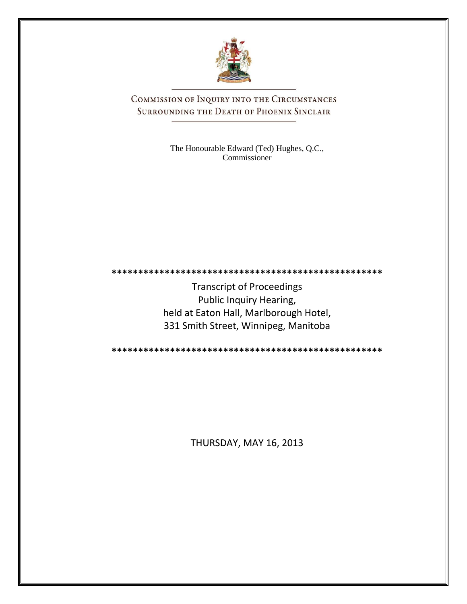

COMMISSION OF INQUIRY INTO THE CIRCUMSTANCES SURROUNDING THE DEATH OF PHOENIX SINCLAIR

> The Honourable Edward (Ted) Hughes, Q.C., Commissioner

**\*\*\*\*\*\*\*\*\*\*\*\*\*\*\*\*\*\*\*\*\*\*\*\*\*\*\*\*\*\*\*\*\*\*\*\*\*\*\*\*\*\*\*\*\*\*\*\*\*\*\***

Transcript of Proceedings Public Inquiry Hearing, held at Eaton Hall, Marlborough Hotel, 331 Smith Street, Winnipeg, Manitoba

**\*\*\*\*\*\*\*\*\*\*\*\*\*\*\*\*\*\*\*\*\*\*\*\*\*\*\*\*\*\*\*\*\*\*\*\*\*\*\*\*\*\*\*\*\*\*\*\*\*\*\***

THURSDAY, MAY 16, 2013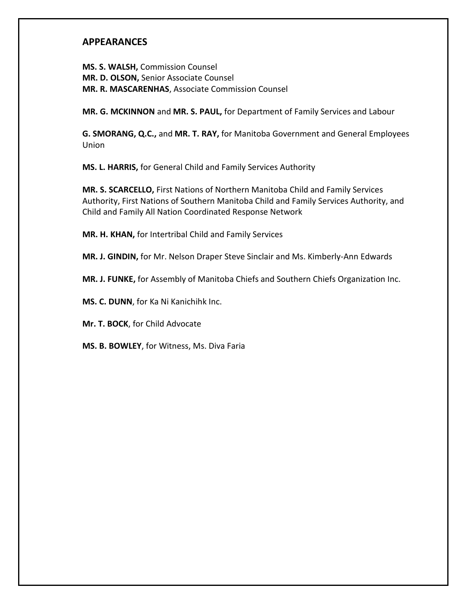### **APPEARANCES**

**MS. S. WALSH,** Commission Counsel **MR. D. OLSON,** Senior Associate Counsel **MR. R. MASCARENHAS**, Associate Commission Counsel

**MR. G. MCKINNON** and **MR. S. PAUL,** for Department of Family Services and Labour

**G. SMORANG, Q.C.,** and **MR. T. RAY,** for Manitoba Government and General Employees Union

**MS. L. HARRIS,** for General Child and Family Services Authority

**MR. S. SCARCELLO,** First Nations of Northern Manitoba Child and Family Services Authority, First Nations of Southern Manitoba Child and Family Services Authority, and Child and Family All Nation Coordinated Response Network

**MR. H. KHAN,** for Intertribal Child and Family Services

**MR. J. GINDIN,** for Mr. Nelson Draper Steve Sinclair and Ms. Kimberly-Ann Edwards

**MR. J. FUNKE,** for Assembly of Manitoba Chiefs and Southern Chiefs Organization Inc.

**MS. C. DUNN**, for Ka Ni Kanichihk Inc.

**Mr. T. BOCK**, for Child Advocate

**MS. B. BOWLEY**, for Witness, Ms. Diva Faria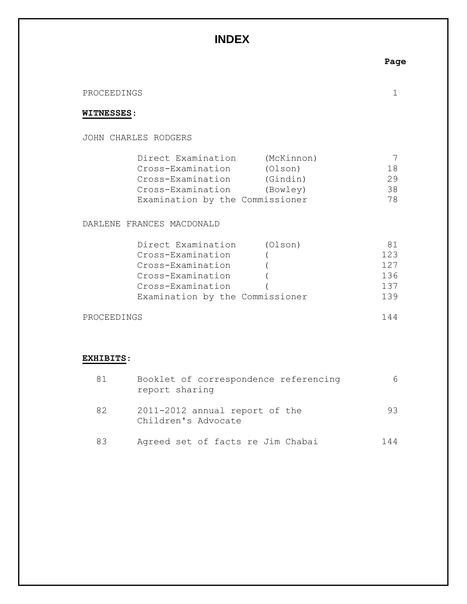# **INDEX**

**Page**

#### PROCEEDINGS 1

### **WITNESSES**:

JOHN CHARLES RODGERS

| Direct Examination              | (McKinnon) |     |
|---------------------------------|------------|-----|
| Cross-Examination               | (Olson)    | 18  |
| Cross-Examination               | (Gindin)   | 29  |
| Cross-Examination               | (Bowley)   | 38. |
| Examination by the Commissioner |            | 78  |

DARLENE FRANCES MACDONALD

| (Olson)                         | 81  |
|---------------------------------|-----|
|                                 | 123 |
|                                 | 127 |
|                                 | 136 |
|                                 | 137 |
| Examination by the Commissioner | 139 |
|                                 |     |

PROCEEDINGS 144

## **EXHIBITS**:

| 81 | Booklet of correspondence referencing<br>report sharing | 6.  |
|----|---------------------------------------------------------|-----|
| 82 | 2011-2012 annual report of the<br>Children's Advocate   | 93. |
| 83 | Agreed set of facts re Jim Chabai                       | 144 |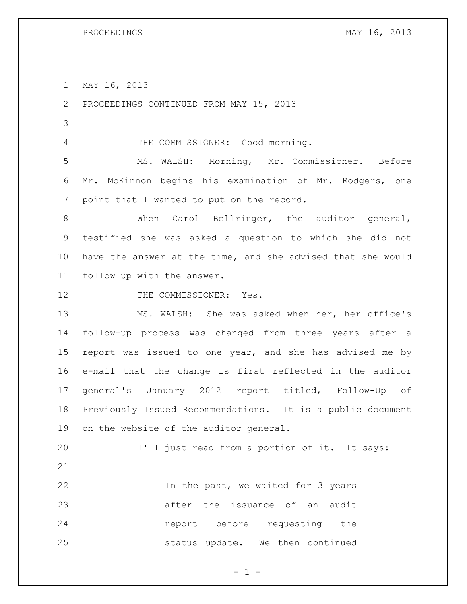MAY 16, 2013

PROCEEDINGS CONTINUED FROM MAY 15, 2013

THE COMMISSIONER: Good morning.

 MS. WALSH: Morning, Mr. Commissioner. Before Mr. McKinnon begins his examination of Mr. Rodgers, one point that I wanted to put on the record.

 When Carol Bellringer, the auditor general, testified she was asked a question to which she did not have the answer at the time, and she advised that she would follow up with the answer.

12 THE COMMISSIONER: Yes.

 MS. WALSH: She was asked when her, her office's follow-up process was changed from three years after a report was issued to one year, and she has advised me by e-mail that the change is first reflected in the auditor general's January 2012 report titled, Follow-Up of Previously Issued Recommendations. It is a public document on the website of the auditor general.

 I'll just read from a portion of it. It says: In the past, we waited for 3 years after the issuance of an audit

**report** before requesting the status update. We then continued

 $- 1 -$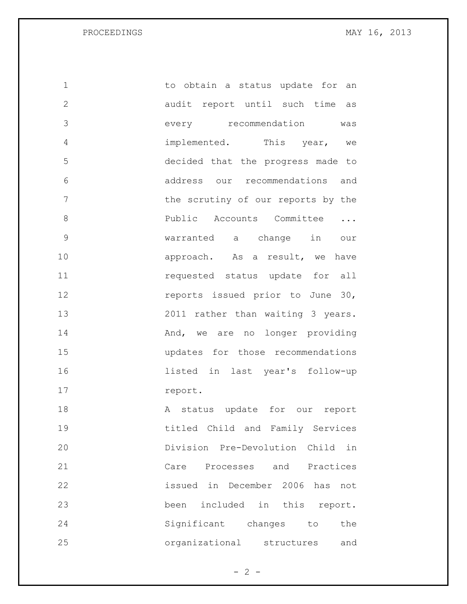PROCEEDINGS MAY 16, 2013

1 to obtain a status update for an audit report until such time as every recommendation was implemented. This year, we decided that the progress made to address our recommendations and 7 the scrutiny of our reports by the **Public Accounts Committee ...**  warranted a change in our 10 approach. As a result, we have requested status update for all **reports** issued prior to June 30, 2011 rather than waiting 3 years. 14 And, we are no longer providing updates for those recommendations listed in last year's follow-up 17 report. 18 A status update for our report titled Child and Family Services Division Pre-Devolution Child in Care Processes and Practices issued in December 2006 has not been included in this report. Significant changes to the organizational structures and

 $- 2 -$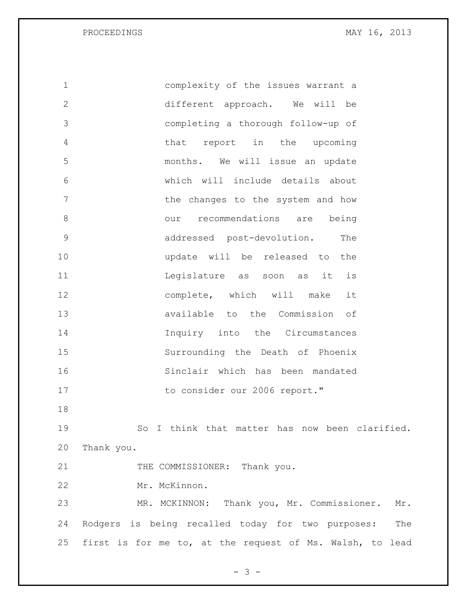PROCEEDINGS MAY 16, 2013

 complexity of the issues warrant a different approach. We will be completing a thorough follow-up of that report in the upcoming months. We will issue an update which will include details about 7 The changes to the system and how our recommendations are being addressed post-devolution. The update will be released to the 11 11 Legislature as soon as it is 12 complete, which will make it available to the Commission of Inquiry into the Circumstances Surrounding the Death of Phoenix Sinclair which has been mandated 17 to consider our 2006 report." So I think that matter has now been clarified. Thank you. 21 THE COMMISSIONER: Thank you. Mr. McKinnon. MR. MCKINNON: Thank you, Mr. Commissioner. Mr. Rodgers is being recalled today for two purposes: The

- 3 -

first is for me to, at the request of Ms. Walsh, to lead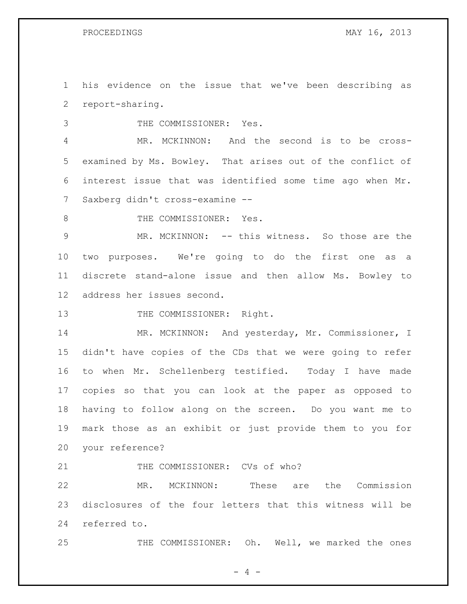his evidence on the issue that we've been describing as report-sharing.

THE COMMISSIONER: Yes.

 MR. MCKINNON: And the second is to be cross- examined by Ms. Bowley. That arises out of the conflict of interest issue that was identified some time ago when Mr. Saxberg didn't cross-examine --

8 THE COMMISSIONER: Yes.

 MR. MCKINNON: -- this witness. So those are the two purposes. We're going to do the first one as a discrete stand-alone issue and then allow Ms. Bowley to address her issues second.

13 THE COMMISSIONER: Right.

14 MR. MCKINNON: And yesterday, Mr. Commissioner, I didn't have copies of the CDs that we were going to refer to when Mr. Schellenberg testified. Today I have made copies so that you can look at the paper as opposed to having to follow along on the screen. Do you want me to mark those as an exhibit or just provide them to you for your reference?

21 THE COMMISSIONER: CVs of who?

 MR. MCKINNON: These are the Commission disclosures of the four letters that this witness will be referred to.

THE COMMISSIONER: Oh. Well, we marked the ones

 $- 4 -$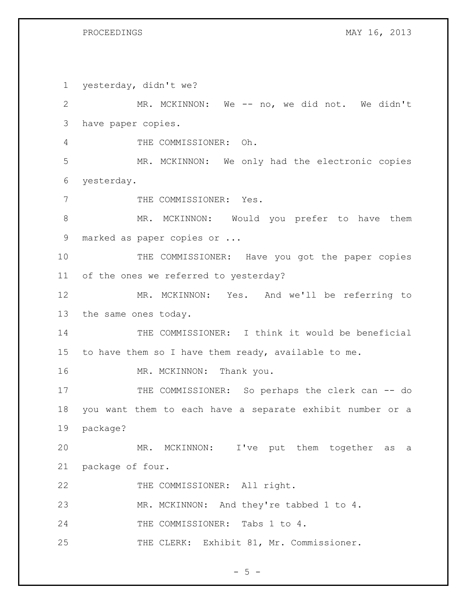yesterday, didn't we? MR. MCKINNON: We -- no, we did not. We didn't have paper copies. THE COMMISSIONER: Oh. MR. MCKINNON: We only had the electronic copies yesterday. 7 THE COMMISSIONER: Yes. 8 MR. MCKINNON: Would you prefer to have them marked as paper copies or ... 10 THE COMMISSIONER: Have you got the paper copies of the ones we referred to yesterday? MR. MCKINNON: Yes. And we'll be referring to the same ones today. THE COMMISSIONER: I think it would be beneficial to have them so I have them ready, available to me. 16 MR. MCKINNON: Thank you. 17 THE COMMISSIONER: So perhaps the clerk can -- do you want them to each have a separate exhibit number or a package? MR. MCKINNON: I've put them together as a package of four. 22 THE COMMISSIONER: All right. MR. MCKINNON: And they're tabbed 1 to 4. 24 THE COMMISSIONER: Tabs 1 to 4. 25 THE CLERK: Exhibit 81, Mr. Commissioner.

 $- 5 -$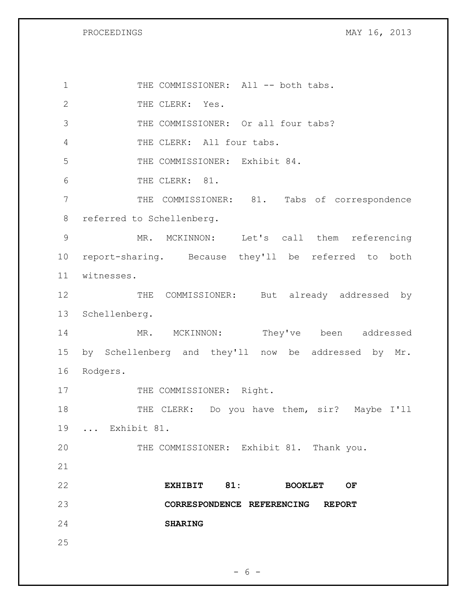PROCEEDINGS MAY 16, 2013

1 THE COMMISSIONER: All -- both tabs. 2 THE CLERK: Yes. 3 THE COMMISSIONER: Or all four tabs? THE CLERK: All four tabs. THE COMMISSIONER: Exhibit 84. THE CLERK: 81. THE COMMISSIONER: 81. Tabs of correspondence referred to Schellenberg. MR. MCKINNON: Let's call them referencing report-sharing. Because they'll be referred to both witnesses. 12 THE COMMISSIONER: But already addressed by Schellenberg. 14 MR. MCKINNON: They've been addressed by Schellenberg and they'll now be addressed by Mr. Rodgers. 17 THE COMMISSIONER: Right. 18 THE CLERK: Do you have them, sir? Maybe I'll ... Exhibit 81. THE COMMISSIONER: Exhibit 81. Thank you. **EXHIBIT 81: BOOKLET OF CORRESPONDENCE REFERENCING REPORT SHARING** 

 $- 6 -$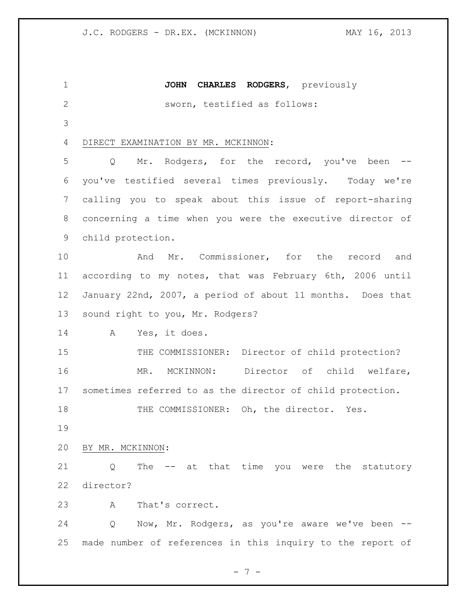**JOHN CHARLES RODGERS**, previously sworn, testified as follows: DIRECT EXAMINATION BY MR. MCKINNON: Q Mr. Rodgers, for the record, you've been -- you've testified several times previously. Today we're calling you to speak about this issue of report-sharing concerning a time when you were the executive director of child protection. **And Mr.** Commissioner, for the record and according to my notes, that was February 6th, 2006 until January 22nd, 2007, a period of about 11 months. Does that sound right to you, Mr. Rodgers? A Yes, it does. 15 THE COMMISSIONER: Director of child protection? MR. MCKINNON: Director of child welfare, sometimes referred to as the director of child protection. THE COMMISSIONER: Oh, the director. Yes. BY MR. MCKINNON: Q The -- at that time you were the statutory director? A That's correct. Q Now, Mr. Rodgers, as you're aware we've been -- made number of references in this inquiry to the report of

- 7 -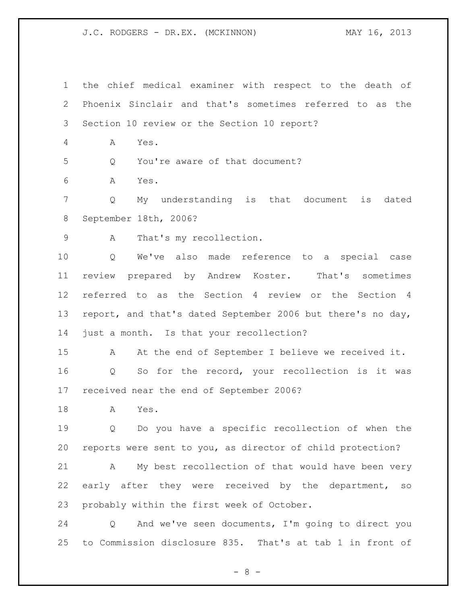the chief medical examiner with respect to the death of Phoenix Sinclair and that's sometimes referred to as the Section 10 review or the Section 10 report?

A Yes.

Q You're aware of that document?

A Yes.

 Q My understanding is that document is dated September 18th, 2006?

A That's my recollection.

 Q We've also made reference to a special case review prepared by Andrew Koster. That's sometimes referred to as the Section 4 review or the Section 4 report, and that's dated September 2006 but there's no day, 14 just a month. Is that your recollection?

 A At the end of September I believe we received it. Q So for the record, your recollection is it was received near the end of September 2006?

A Yes.

 Q Do you have a specific recollection of when the reports were sent to you, as director of child protection?

 A My best recollection of that would have been very early after they were received by the department, so probably within the first week of October.

 Q And we've seen documents, I'm going to direct you to Commission disclosure 835. That's at tab 1 in front of

 $- 8 -$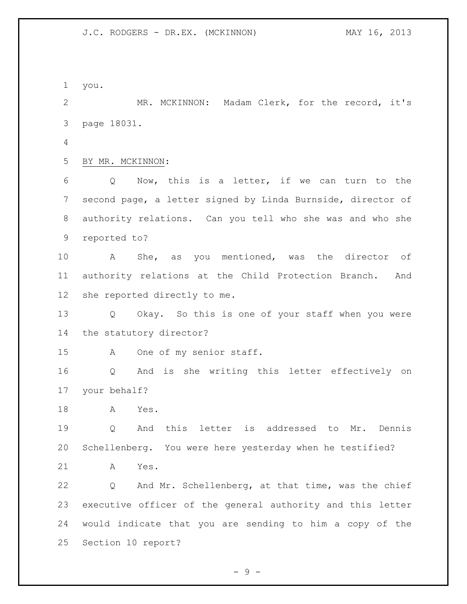you.

 MR. MCKINNON: Madam Clerk, for the record, it's page 18031.

BY MR. MCKINNON:

 Q Now, this is a letter, if we can turn to the second page, a letter signed by Linda Burnside, director of authority relations. Can you tell who she was and who she reported to?

 A She, as you mentioned, was the director of authority relations at the Child Protection Branch. And she reported directly to me.

 Q Okay. So this is one of your staff when you were the statutory director?

A One of my senior staff.

 Q And is she writing this letter effectively on your behalf?

A Yes.

 Q And this letter is addressed to Mr. Dennis Schellenberg. You were here yesterday when he testified?

A Yes.

 Q And Mr. Schellenberg, at that time, was the chief executive officer of the general authority and this letter would indicate that you are sending to him a copy of the Section 10 report?

- 9 -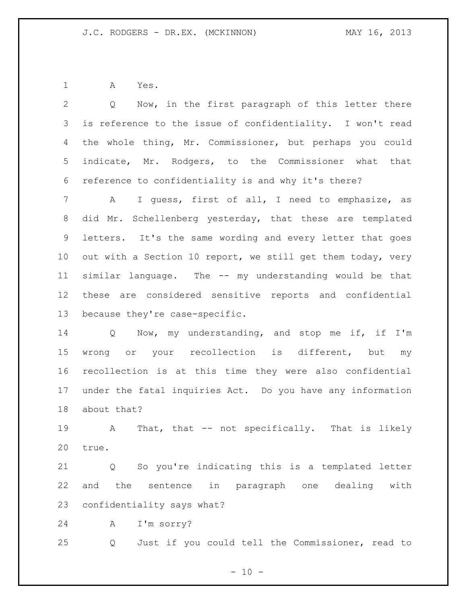A Yes.

 Q Now, in the first paragraph of this letter there is reference to the issue of confidentiality. I won't read the whole thing, Mr. Commissioner, but perhaps you could indicate, Mr. Rodgers, to the Commissioner what that reference to confidentiality is and why it's there? A I guess, first of all, I need to emphasize, as did Mr. Schellenberg yesterday, that these are templated letters. It's the same wording and every letter that goes out with a Section 10 report, we still get them today, very similar language. The -- my understanding would be that these are considered sensitive reports and confidential because they're case-specific.

 Q Now, my understanding, and stop me if, if I'm 15 wrong or your recollection is different, but my recollection is at this time they were also confidential under the fatal inquiries Act. Do you have any information about that?

 A That, that -- not specifically. That is likely true.

 Q So you're indicating this is a templated letter and the sentence in paragraph one dealing with confidentiality says what?

A I'm sorry?

Q Just if you could tell the Commissioner, read to

 $- 10 -$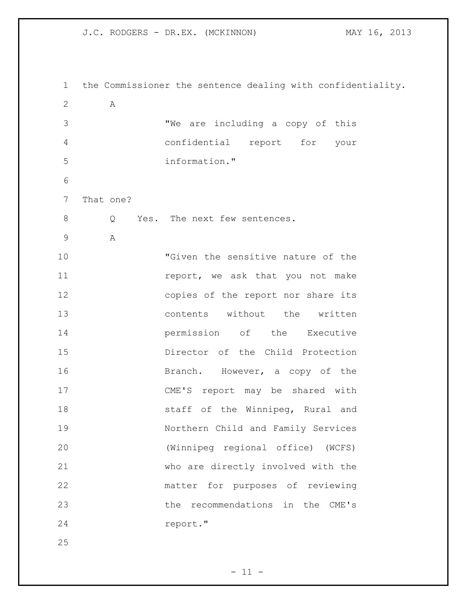| 1              |           | the Commissioner the sentence dealing with confidentiality. |
|----------------|-----------|-------------------------------------------------------------|
| 2              | Α         |                                                             |
| 3              |           | "We are including a copy of this                            |
| $\overline{4}$ |           | confidential report for your                                |
| 5              |           | information."                                               |
| 6              |           |                                                             |
| 7              | That one? |                                                             |
| 8              | Q         | Yes. The next few sentences.                                |
| 9              | Α         |                                                             |
| 10             |           | "Given the sensitive nature of the                          |
| 11             |           | report, we ask that you not make                            |
| 12             |           | copies of the report nor share its                          |
| 13             |           | contents without the written                                |
| 14             |           | permission of the Executive                                 |
| 15             |           | Director of the Child Protection                            |
| 16             |           | Branch. However, a copy of the                              |
| 17             |           | CME'S report may be shared with                             |
| 18             |           | staff of the Winnipeg, Rural and                            |
| 19             |           | Northern Child and Family Services                          |
| 20             |           | (Winnipeg regional office) (WCFS)                           |
| 21             |           | who are directly involved with the                          |
| 22             |           | matter for purposes of reviewing                            |
| 23             |           | the recommendations in the CME's                            |
| 24             |           | report."                                                    |
| 25             |           |                                                             |

 $- 11 -$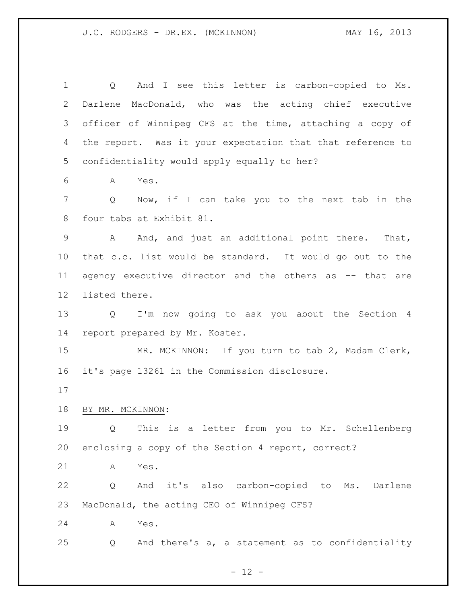1 Q And I see this letter is carbon-copied to Ms. Darlene MacDonald, who was the acting chief executive officer of Winnipeg CFS at the time, attaching a copy of the report. Was it your expectation that that reference to confidentiality would apply equally to her? A Yes. Q Now, if I can take you to the next tab in the four tabs at Exhibit 81. 9 A And, and just an additional point there. That, that c.c. list would be standard. It would go out to the agency executive director and the others as -- that are listed there. Q I'm now going to ask you about the Section 4 report prepared by Mr. Koster. MR. MCKINNON: If you turn to tab 2, Madam Clerk, it's page 13261 in the Commission disclosure. BY MR. MCKINNON: Q This is a letter from you to Mr. Schellenberg enclosing a copy of the Section 4 report, correct? A Yes. Q And it's also carbon-copied to Ms. Darlene MacDonald, the acting CEO of Winnipeg CFS? A Yes. Q And there's a, a statement as to confidentiality

 $- 12 -$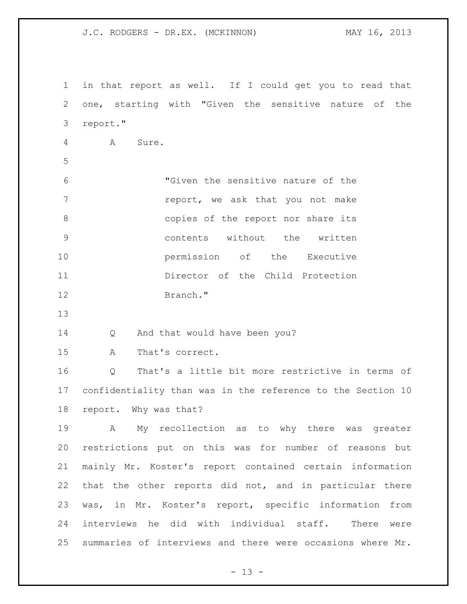in that report as well. If I could get you to read that one, starting with "Given the sensitive nature of the report." A Sure. "Given the sensitive nature of the **report,** we ask that you not make 8 copies of the report nor share its contents without the written **permission** of the Executive Director of the Child Protection Branch." 14 Q And that would have been you? A That's correct. Q That's a little bit more restrictive in terms of confidentiality than was in the reference to the Section 10 report. Why was that? A My recollection as to why there was greater restrictions put on this was for number of reasons but mainly Mr. Koster's report contained certain information that the other reports did not, and in particular there was, in Mr. Koster's report, specific information from interviews he did with individual staff. There were summaries of interviews and there were occasions where Mr.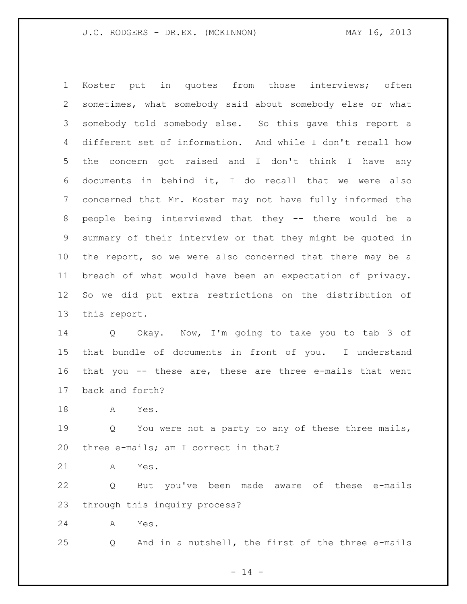Koster put in quotes from those interviews; often sometimes, what somebody said about somebody else or what somebody told somebody else. So this gave this report a different set of information. And while I don't recall how the concern got raised and I don't think I have any documents in behind it, I do recall that we were also concerned that Mr. Koster may not have fully informed the people being interviewed that they -- there would be a summary of their interview or that they might be quoted in the report, so we were also concerned that there may be a breach of what would have been an expectation of privacy. So we did put extra restrictions on the distribution of this report.

 Q Okay. Now, I'm going to take you to tab 3 of that bundle of documents in front of you. I understand that you -- these are, these are three e-mails that went back and forth?

A Yes.

19 Q You were not a party to any of these three mails, three e-mails; am I correct in that?

A Yes.

 Q But you've been made aware of these e-mails through this inquiry process?

A Yes.

Q And in a nutshell, the first of the three e-mails

 $- 14 -$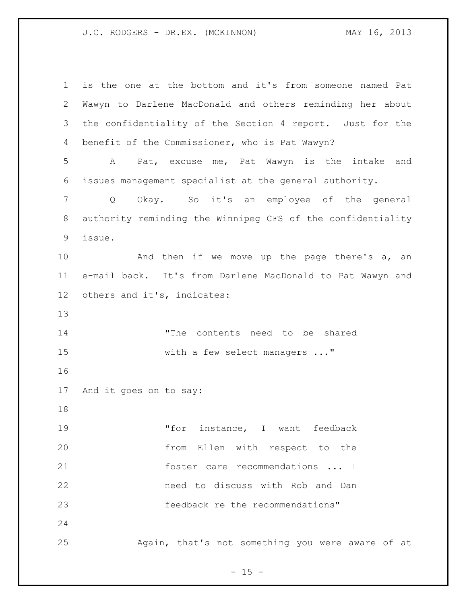| $\mathbf 1$ | is the one at the bottom and it's from someone named Pat    |
|-------------|-------------------------------------------------------------|
| 2           | Wawyn to Darlene MacDonald and others reminding her about   |
| 3           | the confidentiality of the Section 4 report. Just for the   |
| 4           | benefit of the Commissioner, who is Pat Wawyn?              |
| 5           | Pat, excuse me, Pat Wawyn is the intake and<br>A            |
| 6           | issues management specialist at the general authority.      |
| 7           | Okay. So it's an employee of the general<br>Q               |
| 8           | authority reminding the Winnipeg CFS of the confidentiality |
| 9           | issue.                                                      |
| 10          | And then if we move up the page there's a, an               |
| 11          | e-mail back. It's from Darlene MacDonald to Pat Wawyn and   |
| 12          | others and it's, indicates:                                 |
| 13          |                                                             |
| 14          | "The contents need to be shared                             |
| 15          | with a few select managers "                                |
| 16          |                                                             |
| 17          | And it goes on to say:                                      |
| 18          |                                                             |
| 19          | "for instance, I want feedback                              |
| 20          | from Ellen with respect to the                              |
| 21          | foster care recommendations  I                              |
| 22          | need to discuss with Rob and Dan                            |
| 23          | feedback re the recommendations"                            |
| 24          |                                                             |
| 25          | Again, that's not something you were aware of at            |

- 15 -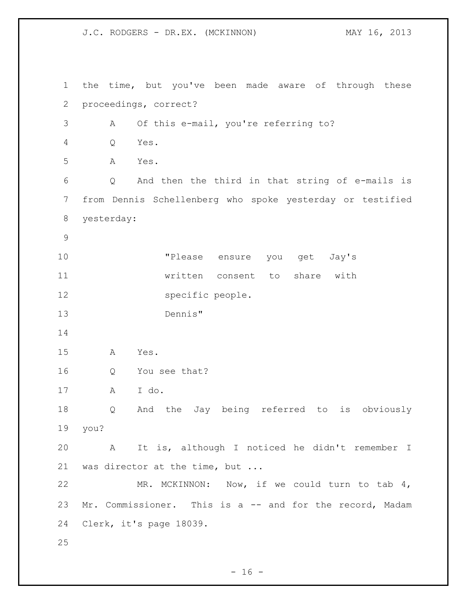the time, but you've been made aware of through these proceedings, correct? A Of this e-mail, you're referring to? Q Yes. A Yes. Q And then the third in that string of e-mails is from Dennis Schellenberg who spoke yesterday or testified yesterday: "Please ensure you get Jay's written consent to share with 12 specific people. Dennis" A Yes. Q You see that? A I do. Q And the Jay being referred to is obviously you? A It is, although I noticed he didn't remember I was director at the time, but ... MR. MCKINNON: Now, if we could turn to tab 4, Mr. Commissioner. This is a -- and for the record, Madam Clerk, it's page 18039. 

 $- 16 -$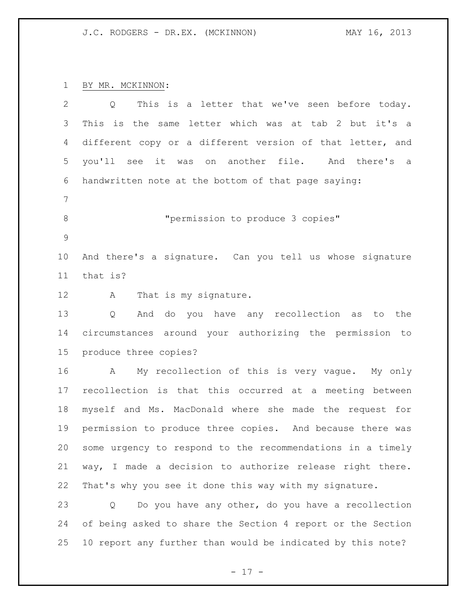BY MR. MCKINNON:

| 2              | This is a letter that we've seen before today.<br>Q         |
|----------------|-------------------------------------------------------------|
| 3              | This is the same letter which was at tab 2 but it's a       |
| 4              | different copy or a different version of that letter, and   |
| 5              | you'll see it was on another file. And there's<br>a         |
| 6              | handwritten note at the bottom of that page saying:         |
| $\overline{7}$ |                                                             |
| 8              | "permission to produce 3 copies"                            |
| 9              |                                                             |
| 10             | And there's a signature. Can you tell us whose signature    |
| 11             | that is?                                                    |
| 12             | That is my signature.<br>A                                  |
| 13             | And do you have any recollection as<br>Q<br>to the          |
| 14             | circumstances around your authorizing the permission to     |
| 15             | produce three copies?                                       |
| 16             | My recollection of this is very vague. My only<br>A         |
| 17             | recollection is that this occurred at a meeting between     |
| 18             | myself and Ms. MacDonald where she made the request for     |
| 19             | permission to produce three copies. And because there was   |
| 20             | some urgency to respond to the recommendations in a timely  |
| 21             | way, I made a decision to authorize release right there.    |
| 22             | That's why you see it done this way with my signature.      |
| 23             | Do you have any other, do you have a recollection<br>Q      |
| 24             | of being asked to share the Section 4 report or the Section |
| 25             | 10 report any further than would be indicated by this note? |

- 17 -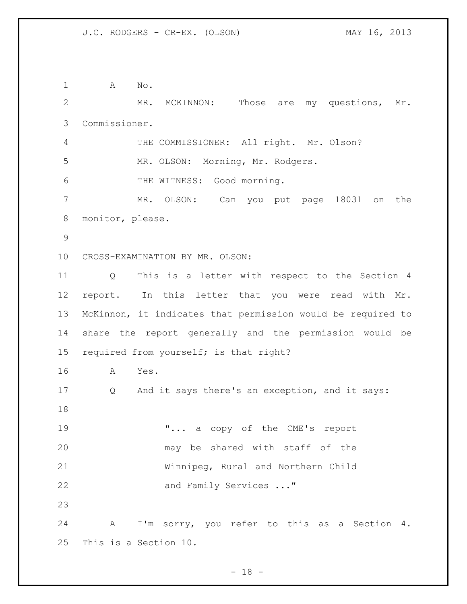1 A No. MR. MCKINNON: Those are my questions, Mr. Commissioner. THE COMMISSIONER: All right. Mr. Olson? MR. OLSON: Morning, Mr. Rodgers. THE WITNESS: Good morning. MR. OLSON: Can you put page 18031 on the monitor, please. CROSS-EXAMINATION BY MR. OLSON: Q This is a letter with respect to the Section 4 report. In this letter that you were read with Mr. McKinnon, it indicates that permission would be required to share the report generally and the permission would be required from yourself; is that right? A Yes. Q And it says there's an exception, and it says: 19 T... a copy of the CME's report may be shared with staff of the Winnipeg, Rural and Northern Child 22 and Family Services ..." A I'm sorry, you refer to this as a Section 4. This is a Section 10.

- 18 -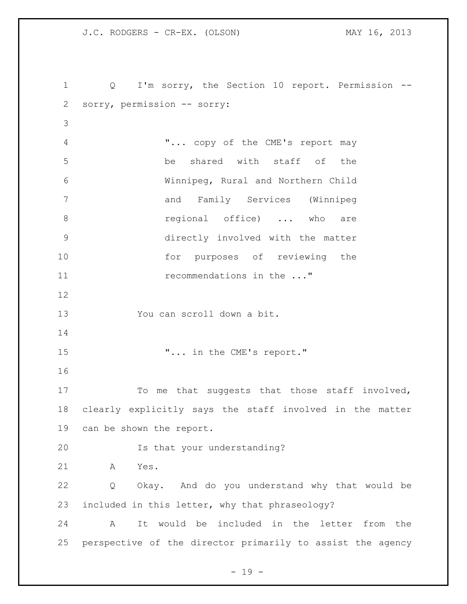Q I'm sorry, the Section 10 report. Permission -- sorry, permission -- sorry: "... copy of the CME's report may be shared with staff of the Winnipeg, Rural and Northern Child and Family Services (Winnipeg **8 19 regional** office) ... who are directly involved with the matter 10 for purposes of reviewing the 11 recommendations in the ..." You can scroll down a bit.  $\ldots$  "... in the CME's report." To me that suggests that those staff involved, clearly explicitly says the staff involved in the matter can be shown the report. Is that your understanding? A Yes. Q Okay. And do you understand why that would be included in this letter, why that phraseology? A It would be included in the letter from the perspective of the director primarily to assist the agency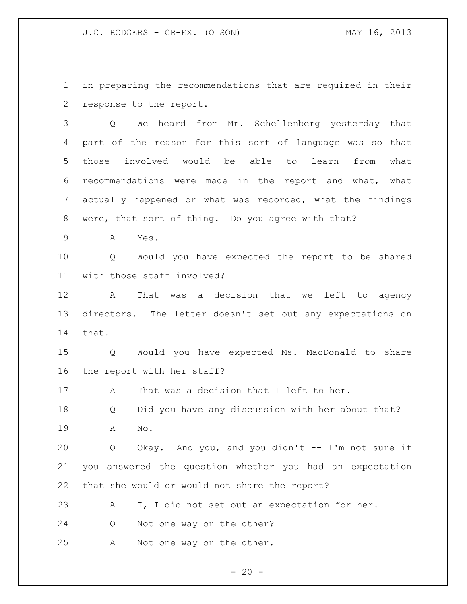J.C. RODGERS - CR-EX. (OLSON) MAY 16, 2013

 in preparing the recommendations that are required in their response to the report.

 Q We heard from Mr. Schellenberg yesterday that part of the reason for this sort of language was so that those involved would be able to learn from what recommendations were made in the report and what, what actually happened or what was recorded, what the findings were, that sort of thing. Do you agree with that?

A Yes.

 Q Would you have expected the report to be shared with those staff involved?

 A That was a decision that we left to agency directors. The letter doesn't set out any expectations on that.

 Q Would you have expected Ms. MacDonald to share the report with her staff?

17 A That was a decision that I left to her.

 Q Did you have any discussion with her about that? A No.

 Q Okay. And you, and you didn't -- I'm not sure if you answered the question whether you had an expectation that she would or would not share the report?

A I, I did not set out an expectation for her.

Q Not one way or the other?

A Not one way or the other.

 $- 20 -$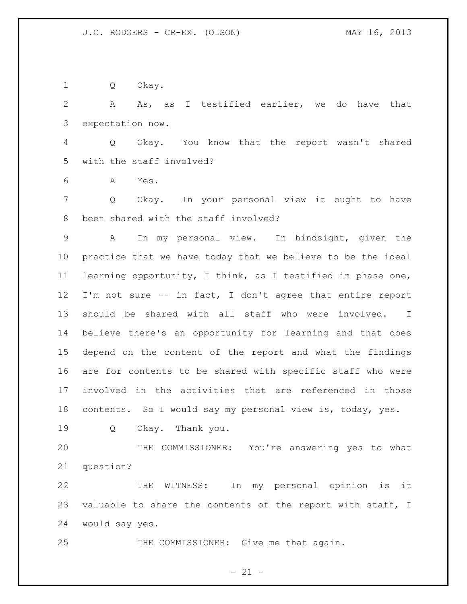Q Okay.

 A As, as I testified earlier, we do have that expectation now.

 Q Okay. You know that the report wasn't shared with the staff involved?

A Yes.

 Q Okay. In your personal view it ought to have been shared with the staff involved?

 A In my personal view. In hindsight, given the practice that we have today that we believe to be the ideal learning opportunity, I think, as I testified in phase one, I'm not sure -- in fact, I don't agree that entire report should be shared with all staff who were involved. I believe there's an opportunity for learning and that does depend on the content of the report and what the findings are for contents to be shared with specific staff who were involved in the activities that are referenced in those contents. So I would say my personal view is, today, yes.

Q Okay. Thank you.

 THE COMMISSIONER: You're answering yes to what question?

 THE WITNESS: In my personal opinion is it 23 valuable to share the contents of the report with staff, I would say yes.

25 THE COMMISSIONER: Give me that again.

- 21 -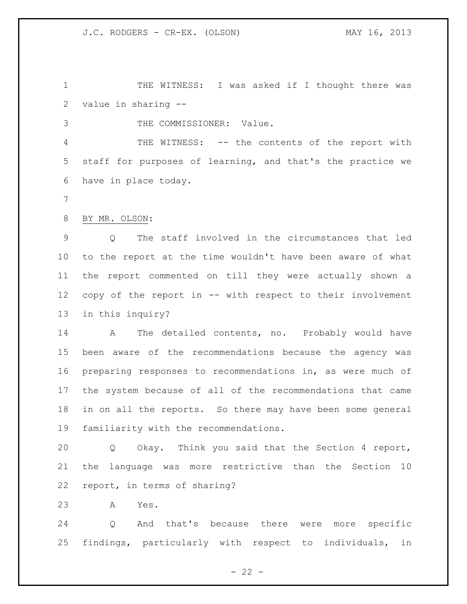THE WITNESS: I was asked if I thought there was value in sharing --

THE COMMISSIONER: Value.

 THE WITNESS: -- the contents of the report with staff for purposes of learning, and that's the practice we have in place today.

BY MR. OLSON:

 Q The staff involved in the circumstances that led to the report at the time wouldn't have been aware of what the report commented on till they were actually shown a copy of the report in -- with respect to their involvement in this inquiry?

14 A The detailed contents, no. Probably would have been aware of the recommendations because the agency was preparing responses to recommendations in, as were much of the system because of all of the recommendations that came in on all the reports. So there may have been some general familiarity with the recommendations.

 Q Okay. Think you said that the Section 4 report, the language was more restrictive than the Section 10 report, in terms of sharing?

A Yes.

 Q And that's because there were more specific findings, particularly with respect to individuals, in

 $- 22 -$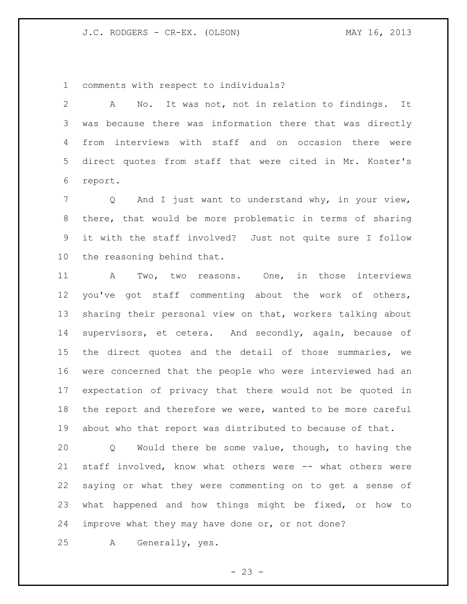comments with respect to individuals?

 A No. It was not, not in relation to findings. It was because there was information there that was directly from interviews with staff and on occasion there were direct quotes from staff that were cited in Mr. Koster's report.

 Q And I just want to understand why, in your view, there, that would be more problematic in terms of sharing it with the staff involved? Just not quite sure I follow the reasoning behind that.

 A Two, two reasons. One, in those interviews you've got staff commenting about the work of others, sharing their personal view on that, workers talking about supervisors, et cetera. And secondly, again, because of the direct quotes and the detail of those summaries, we were concerned that the people who were interviewed had an expectation of privacy that there would not be quoted in the report and therefore we were, wanted to be more careful about who that report was distributed to because of that.

 Q Would there be some value, though, to having the staff involved, know what others were -- what others were saying or what they were commenting on to get a sense of what happened and how things might be fixed, or how to improve what they may have done or, or not done?

A Generally, yes.

 $- 23 -$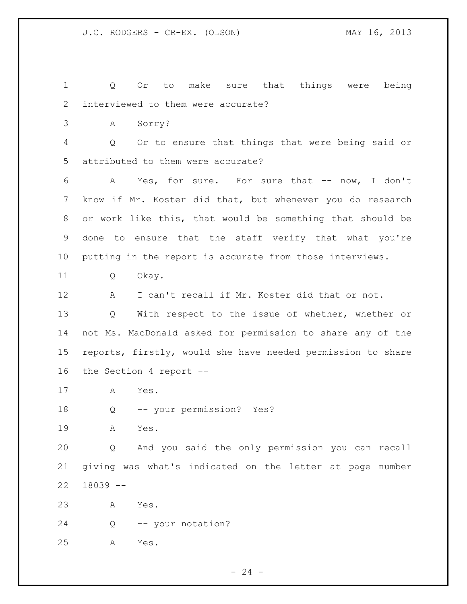Q Or to make sure that things were being interviewed to them were accurate? A Sorry? Q Or to ensure that things that were being said or attributed to them were accurate? A Yes, for sure. For sure that -- now, I don't know if Mr. Koster did that, but whenever you do research or work like this, that would be something that should be done to ensure that the staff verify that what you're putting in the report is accurate from those interviews. Q Okay. A I can't recall if Mr. Koster did that or not. Q With respect to the issue of whether, whether or not Ms. MacDonald asked for permission to share any of the reports, firstly, would she have needed permission to share the Section 4 report -- A Yes. Q -- your permission? Yes? A Yes. Q And you said the only permission you can recall giving was what's indicated on the letter at page number 18039 -- A Yes. Q -- your notation? A Yes.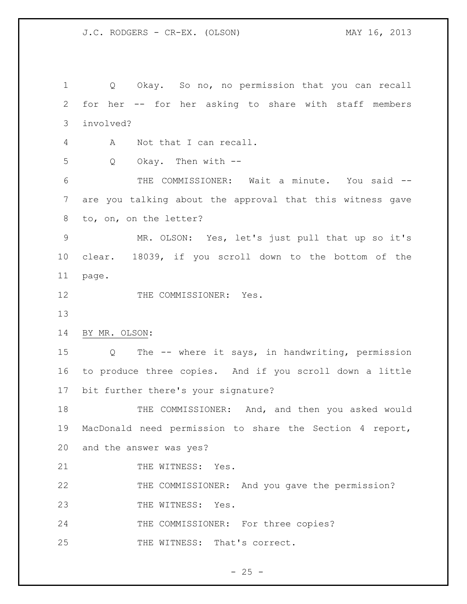Q Okay. So no, no permission that you can recall for her -- for her asking to share with staff members involved? A Not that I can recall. Q Okay. Then with -- THE COMMISSIONER: Wait a minute. You said -- are you talking about the approval that this witness gave to, on, on the letter? MR. OLSON: Yes, let's just pull that up so it's clear. 18039, if you scroll down to the bottom of the page. 12 THE COMMISSIONER: Yes. BY MR. OLSON: Q The -- where it says, in handwriting, permission to produce three copies. And if you scroll down a little bit further there's your signature? 18 THE COMMISSIONER: And, and then you asked would MacDonald need permission to share the Section 4 report, and the answer was yes? 21 THE WITNESS: Yes. THE COMMISSIONER: And you gave the permission? 23 THE WITNESS: Yes. 24 THE COMMISSIONER: For three copies? 25 THE WITNESS: That's correct.

 $- 25 -$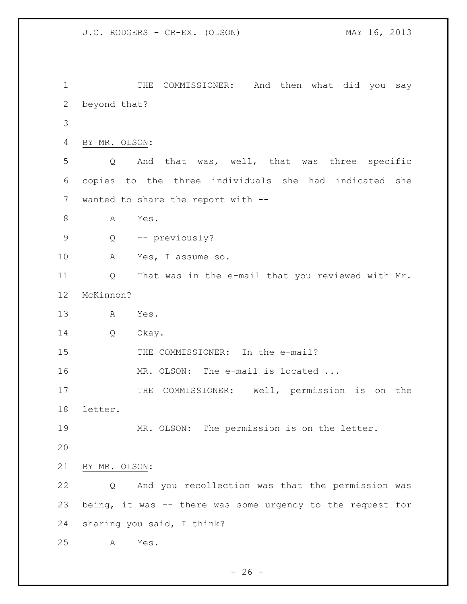```
1 THE COMMISSIONER: And then what did you say
2 beyond that?
3
4 BY MR. OLSON:
5 Q And that was, well, that was three specific 
6 copies to the three individuals she had indicated she 
7 wanted to share the report with --
8 A Yes.
9 Q -- previously?
10 A Yes, I assume so.
11 Q That was in the e-mail that you reviewed with Mr. 
12 McKinnon?
13 A Yes.
14 Q Okay.
15 THE COMMISSIONER: In the e-mail?
16 MR. OLSON: The e-mail is located ...
17 THE COMMISSIONER: Well, permission is on the
18 letter.
19 MR. OLSON: The permission is on the letter.
20
21 BY MR. OLSON:
22 Q And you recollection was that the permission was 
23 being, it was -- there was some urgency to the request for 
24 sharing you said, I think?
25 A Yes.
```
- 26 -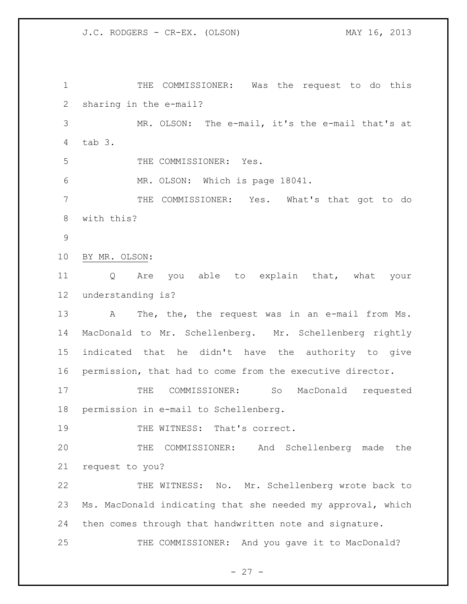THE COMMISSIONER: Was the request to do this sharing in the e-mail? MR. OLSON: The e-mail, it's the e-mail that's at tab 3. THE COMMISSIONER: Yes. MR. OLSON: Which is page 18041. THE COMMISSIONER: Yes. What's that got to do with this? BY MR. OLSON: Q Are you able to explain that, what your understanding is? A The, the, the request was in an e-mail from Ms. MacDonald to Mr. Schellenberg. Mr. Schellenberg rightly indicated that he didn't have the authority to give permission, that had to come from the executive director. THE COMMISSIONER: So MacDonald requested permission in e-mail to Schellenberg. 19 THE WITNESS: That's correct. THE COMMISSIONER: And Schellenberg made the request to you? THE WITNESS: No. Mr. Schellenberg wrote back to Ms. MacDonald indicating that she needed my approval, which then comes through that handwritten note and signature. 25 THE COMMISSIONER: And you gave it to MacDonald?

 $- 27 -$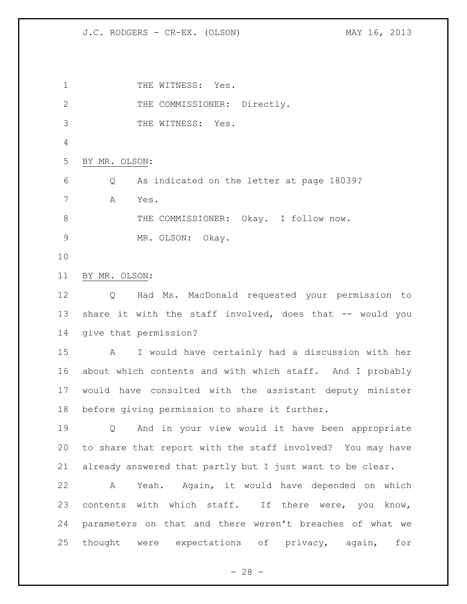J.C. RODGERS - CR-EX. (OLSON) MAY 16, 2013

1 THE WITNESS: Yes. 2 THE COMMISSIONER: Directly. THE WITNESS: Yes. BY MR. OLSON: Q As indicated on the letter at page 18039? A Yes. 8 THE COMMISSIONER: Okay. I follow now. MR. OLSON: Okay. BY MR. OLSON: Q Had Ms. MacDonald requested your permission to 13 share it with the staff involved, does that -- would you give that permission? A I would have certainly had a discussion with her about which contents and with which staff. And I probably would have consulted with the assistant deputy minister before giving permission to share it further. Q And in your view would it have been appropriate to share that report with the staff involved? You may have already answered that partly but I just want to be clear. A Yeah. Again, it would have depended on which 23 contents with which staff. If there were, you know, parameters on that and there weren't breaches of what we thought were expectations of privacy, again, for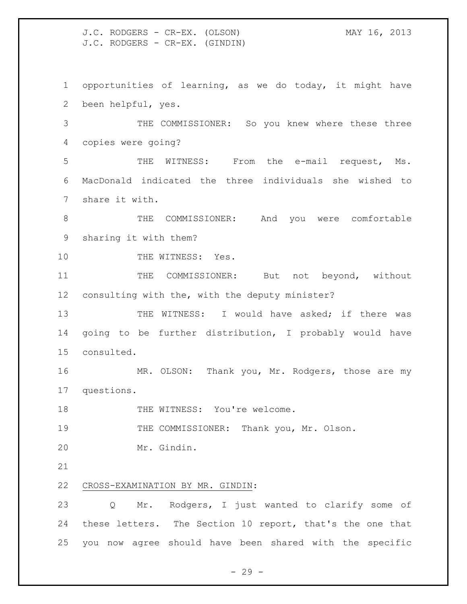J.C. RODGERS - CR-EX. (OLSON) MAY 16, 2013 J.C. RODGERS - CR-EX. (GINDIN)

 opportunities of learning, as we do today, it might have been helpful, yes.

 THE COMMISSIONER: So you knew where these three copies were going?

 THE WITNESS: From the e-mail request, Ms. MacDonald indicated the three individuals she wished to share it with.

 THE COMMISSIONER: And you were comfortable sharing it with them?

10 THE WITNESS: Yes.

11 THE COMMISSIONER: But not beyond, without consulting with the, with the deputy minister?

13 THE WITNESS: I would have asked; if there was going to be further distribution, I probably would have consulted.

 MR. OLSON: Thank you, Mr. Rodgers, those are my questions.

18 THE WITNESS: You're welcome.

THE COMMISSIONER: Thank you, Mr. Olson.

Mr. Gindin.

CROSS-EXAMINATION BY MR. GINDIN:

 Q Mr. Rodgers, I just wanted to clarify some of these letters. The Section 10 report, that's the one that you now agree should have been shared with the specific

 $-29 -$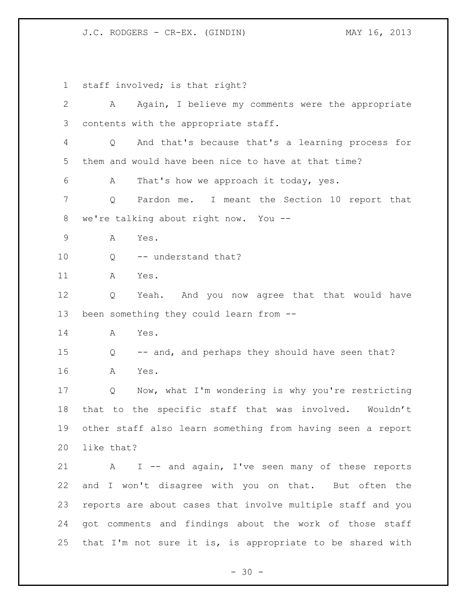J.C. RODGERS - CR-EX. (GINDIN) MAY 16, 2013

 staff involved; is that right? A Again, I believe my comments were the appropriate contents with the appropriate staff. Q And that's because that's a learning process for them and would have been nice to have at that time? A That's how we approach it today, yes. Q Pardon me. I meant the Section 10 report that we're talking about right now. You -- A Yes. 10 Q -- understand that? A Yes. Q Yeah. And you now agree that that would have been something they could learn from -- A Yes. Q -- and, and perhaps they should have seen that? A Yes. Q Now, what I'm wondering is why you're restricting that to the specific staff that was involved. Wouldn't other staff also learn something from having seen a report like that? A I -- and again, I've seen many of these reports and I won't disagree with you on that. But often the reports are about cases that involve multiple staff and you got comments and findings about the work of those staff that I'm not sure it is, is appropriate to be shared with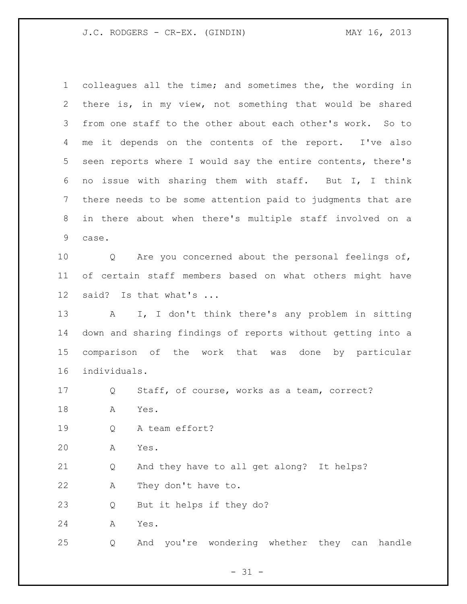J.C. RODGERS - CR-EX. (GINDIN) MAY 16, 2013

 colleagues all the time; and sometimes the, the wording in there is, in my view, not something that would be shared from one staff to the other about each other's work. So to me it depends on the contents of the report. I've also seen reports where I would say the entire contents, there's no issue with sharing them with staff. But I, I think there needs to be some attention paid to judgments that are in there about when there's multiple staff involved on a case. Q Are you concerned about the personal feelings of, of certain staff members based on what others might have said? Is that what's ... A I, I don't think there's any problem in sitting down and sharing findings of reports without getting into a comparison of the work that was done by particular individuals. Q Staff, of course, works as a team, correct? A Yes. Q A team effort? A Yes. Q And they have to all get along? It helps? A They don't have to. Q But it helps if they do? A Yes. Q And you're wondering whether they can handle

 $- 31 -$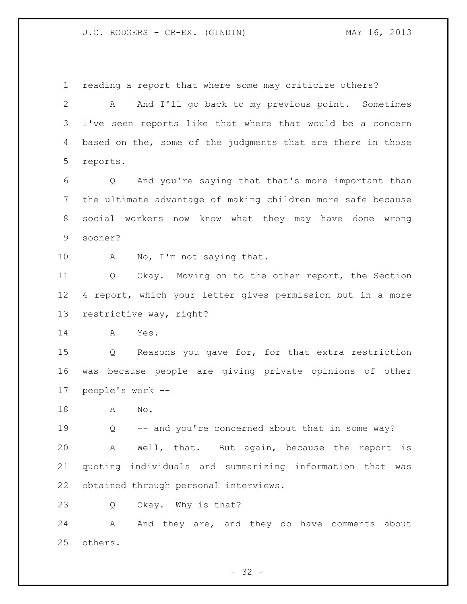J.C. RODGERS - CR-EX. (GINDIN) MAY 16, 2013

reading a report that where some may criticize others?

 A And I'll go back to my previous point. Sometimes I've seen reports like that where that would be a concern 4 based on the, some of the judgments that are there in those reports.

 Q And you're saying that that's more important than the ultimate advantage of making children more safe because social workers now know what they may have done wrong sooner?

10 A No, I'm not saying that.

 Q Okay. Moving on to the other report, the Section 4 report, which your letter gives permission but in a more restrictive way, right?

A Yes.

 Q Reasons you gave for, for that extra restriction was because people are giving private opinions of other people's work --

A No.

 Q -- and you're concerned about that in some way? A Well, that. But again, because the report is quoting individuals and summarizing information that was obtained through personal interviews.

Q Okay. Why is that?

24 A And they are, and they do have comments about others.

 $- 32 -$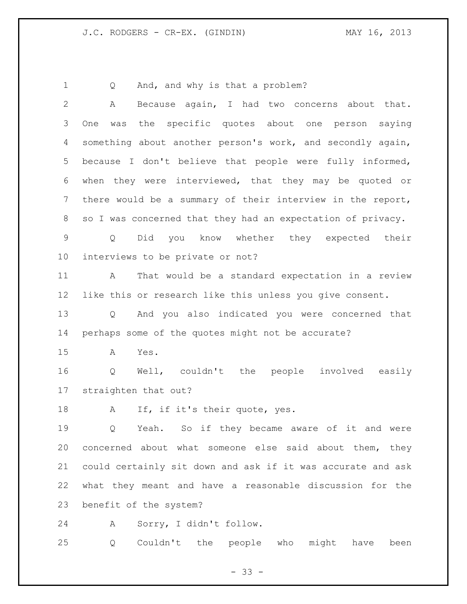1 Q And, and why is that a problem?

 A Because again, I had two concerns about that. One was the specific quotes about one person saying something about another person's work, and secondly again, because I don't believe that people were fully informed, when they were interviewed, that they may be quoted or there would be a summary of their interview in the report, so I was concerned that they had an expectation of privacy. Q Did you know whether they expected their interviews to be private or not? A That would be a standard expectation in a review like this or research like this unless you give consent. Q And you also indicated you were concerned that perhaps some of the quotes might not be accurate? A Yes. Q Well, couldn't the people involved easily straighten that out? 18 A If, if it's their quote, yes. Q Yeah. So if they became aware of it and were concerned about what someone else said about them, they could certainly sit down and ask if it was accurate and ask what they meant and have a reasonable discussion for the benefit of the system? A Sorry, I didn't follow.

Q Couldn't the people who might have been

 $- 33 -$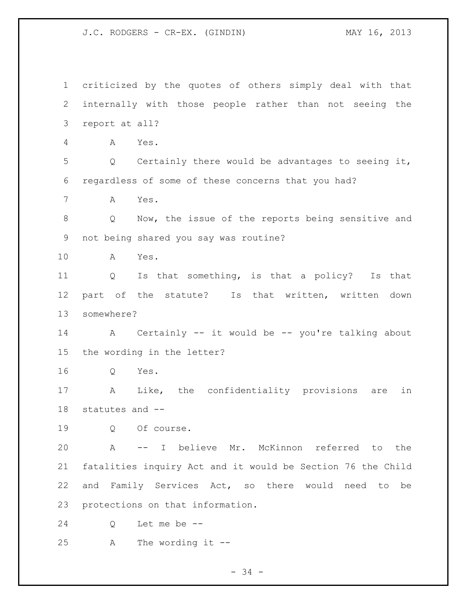J.C. RODGERS - CR-EX. (GINDIN) MAY 16, 2013

 criticized by the quotes of others simply deal with that internally with those people rather than not seeing the report at all? A Yes. Q Certainly there would be advantages to seeing it, regardless of some of these concerns that you had? A Yes. Q Now, the issue of the reports being sensitive and not being shared you say was routine? A Yes. Q Is that something, is that a policy? Is that part of the statute? Is that written, written down somewhere? A Certainly -- it would be -- you're talking about the wording in the letter? Q Yes. A Like, the confidentiality provisions are in statutes and -- Q Of course. A -- I believe Mr. McKinnon referred to the fatalities inquiry Act and it would be Section 76 the Child and Family Services Act, so there would need to be protections on that information. Q Let me be -- A The wording it --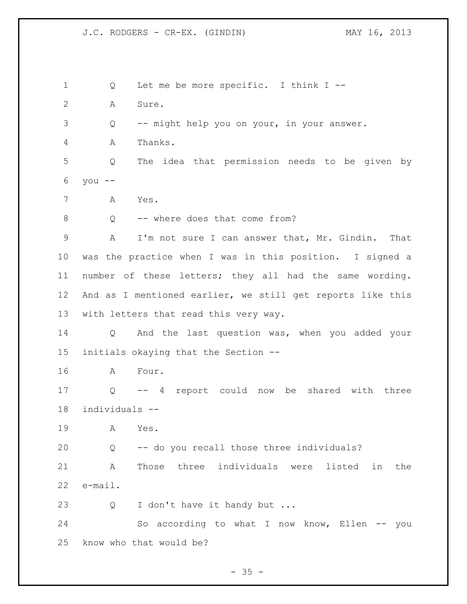Q Let me be more specific. I think I -- A Sure. Q -- might help you on your, in your answer. A Thanks. Q The idea that permission needs to be given by you -- A Yes. 8 O -- where does that come from? A I'm not sure I can answer that, Mr. Gindin. That was the practice when I was in this position. I signed a number of these letters; they all had the same wording. And as I mentioned earlier, we still get reports like this with letters that read this very way. Q And the last question was, when you added your initials okaying that the Section -- A Four. Q -- 4 report could now be shared with three individuals -- A Yes. Q -- do you recall those three individuals? A Those three individuals were listed in the e-mail. 23 Q I don't have it handy but ... So according to what I now know, Ellen -- you know who that would be?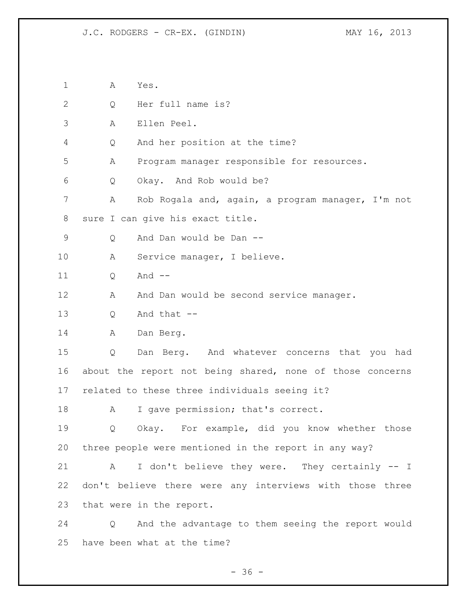J.C. RODGERS - CR-EX. (GINDIN) MAY 16, 2013

 A Yes. Q Her full name is? A Ellen Peel. Q And her position at the time? A Program manager responsible for resources. Q Okay. And Rob would be? A Rob Rogala and, again, a program manager, I'm not sure I can give his exact title. Q And Dan would be Dan -- A Service manager, I believe. 11 0 And --12 A And Dan would be second service manager. Q And that -- A Dan Berg. Q Dan Berg. And whatever concerns that you had about the report not being shared, none of those concerns related to these three individuals seeing it? 18 A I gave permission; that's correct. Q Okay. For example, did you know whether those three people were mentioned in the report in any way? A I don't believe they were. They certainly -- I don't believe there were any interviews with those three that were in the report. Q And the advantage to them seeing the report would have been what at the time?

 $- 36 -$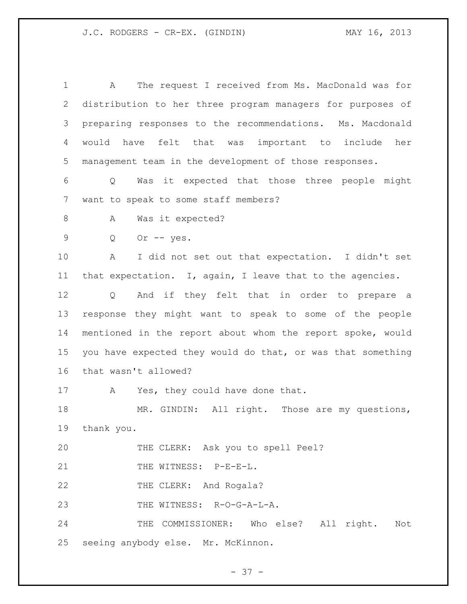A The request I received from Ms. MacDonald was for distribution to her three program managers for purposes of preparing responses to the recommendations. Ms. Macdonald would have felt that was important to include her management team in the development of those responses. Q Was it expected that those three people might want to speak to some staff members? 8 A Was it expected? Q Or -- yes. A I did not set out that expectation. I didn't set that expectation. I, again, I leave that to the agencies. Q And if they felt that in order to prepare a response they might want to speak to some of the people mentioned in the report about whom the report spoke, would you have expected they would do that, or was that something that wasn't allowed? 17 A Yes, they could have done that. MR. GINDIN: All right. Those are my questions, thank you. THE CLERK: Ask you to spell Peel? 21 THE WITNESS: P-E-E-L. 22 THE CLERK: And Rogala? THE WITNESS: R-O-G-A-L-A. THE COMMISSIONER: Who else? All right. Not seeing anybody else. Mr. McKinnon.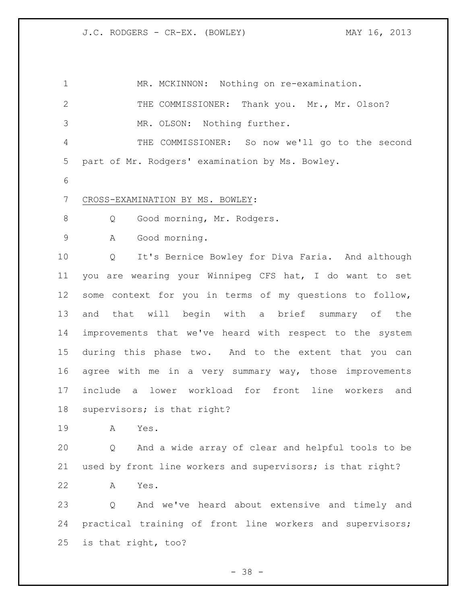1 MR. MCKINNON: Nothing on re-examination. 2 THE COMMISSIONER: Thank you. Mr., Mr. Olson? MR. OLSON: Nothing further. THE COMMISSIONER: So now we'll go to the second part of Mr. Rodgers' examination by Ms. Bowley. CROSS-EXAMINATION BY MS. BOWLEY: 8 Q Good morning, Mr. Rodgers. A Good morning. Q It's Bernice Bowley for Diva Faria. And although you are wearing your Winnipeg CFS hat, I do want to set some context for you in terms of my questions to follow, and that will begin with a brief summary of the improvements that we've heard with respect to the system during this phase two. And to the extent that you can agree with me in a very summary way, those improvements include a lower workload for front line workers and supervisors; is that right? A Yes. Q And a wide array of clear and helpful tools to be used by front line workers and supervisors; is that right? A Yes. Q And we've heard about extensive and timely and practical training of front line workers and supervisors; is that right, too?

- 38 -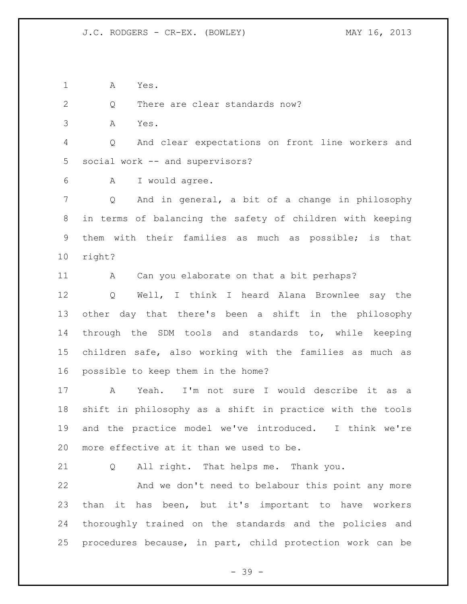A Yes.

2 Q There are clear standards now?

A Yes.

 Q And clear expectations on front line workers and social work -- and supervisors?

A I would agree.

 Q And in general, a bit of a change in philosophy in terms of balancing the safety of children with keeping them with their families as much as possible; is that right?

11 A Can you elaborate on that a bit perhaps?

 Q Well, I think I heard Alana Brownlee say the other day that there's been a shift in the philosophy through the SDM tools and standards to, while keeping children safe, also working with the families as much as possible to keep them in the home?

 A Yeah. I'm not sure I would describe it as a shift in philosophy as a shift in practice with the tools and the practice model we've introduced. I think we're more effective at it than we used to be.

Q All right. That helps me. Thank you.

 And we don't need to belabour this point any more than it has been, but it's important to have workers thoroughly trained on the standards and the policies and procedures because, in part, child protection work can be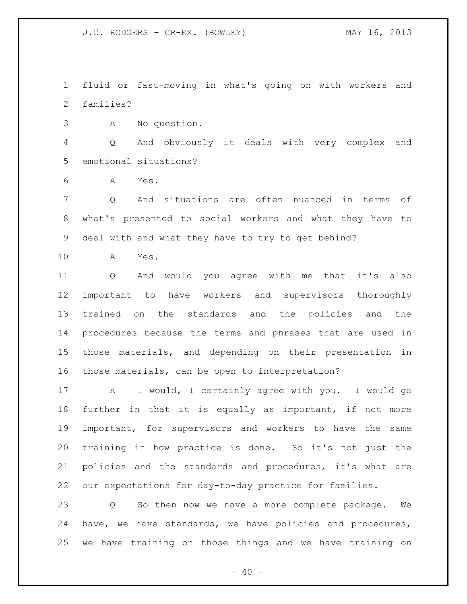fluid or fast-moving in what's going on with workers and families?

A No question.

 Q And obviously it deals with very complex and emotional situations?

A Yes.

 Q And situations are often nuanced in terms of what's presented to social workers and what they have to deal with and what they have to try to get behind?

A Yes.

 Q And would you agree with me that it's also important to have workers and supervisors thoroughly trained on the standards and the policies and the procedures because the terms and phrases that are used in those materials, and depending on their presentation in those materials, can be open to interpretation?

 A I would, I certainly agree with you. I would go further in that it is equally as important, if not more important, for supervisors and workers to have the same training in how practice is done. So it's not just the policies and the standards and procedures, it's what are our expectations for day-to-day practice for families.

 Q So then now we have a more complete package. We have, we have standards, we have policies and procedures, we have training on those things and we have training on

 $- 40 -$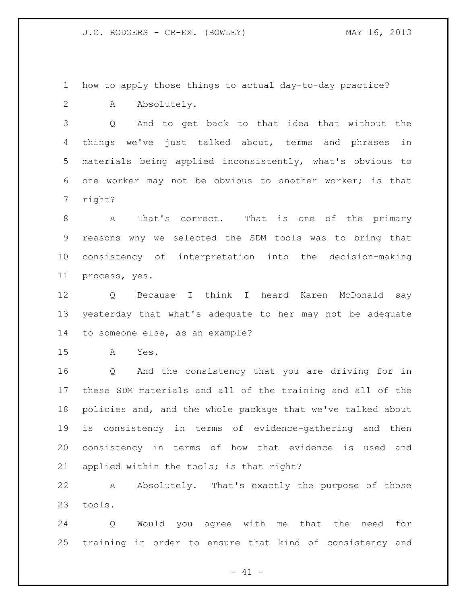how to apply those things to actual day-to-day practice?

A Absolutely.

 Q And to get back to that idea that without the things we've just talked about, terms and phrases in materials being applied inconsistently, what's obvious to one worker may not be obvious to another worker; is that right?

 A That's correct. That is one of the primary reasons why we selected the SDM tools was to bring that consistency of interpretation into the decision-making process, yes.

 Q Because I think I heard Karen McDonald say yesterday that what's adequate to her may not be adequate to someone else, as an example?

A Yes.

 Q And the consistency that you are driving for in these SDM materials and all of the training and all of the policies and, and the whole package that we've talked about is consistency in terms of evidence-gathering and then consistency in terms of how that evidence is used and applied within the tools; is that right?

 A Absolutely. That's exactly the purpose of those tools.

 Q Would you agree with me that the need for training in order to ensure that kind of consistency and

 $- 41 -$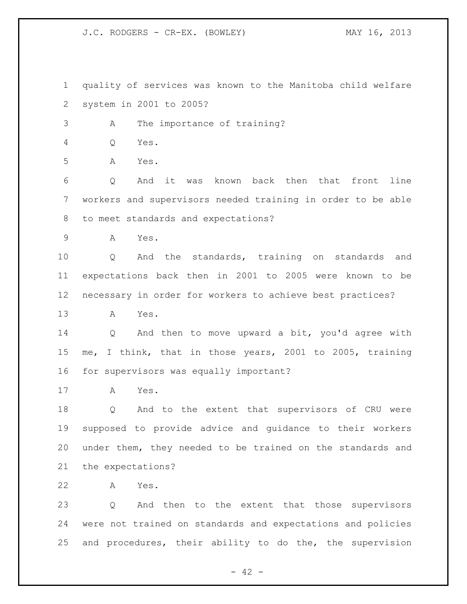quality of services was known to the Manitoba child welfare system in 2001 to 2005?

A The importance of training?

Q Yes.

A Yes.

 Q And it was known back then that front line workers and supervisors needed training in order to be able to meet standards and expectations?

A Yes.

 Q And the standards, training on standards and expectations back then in 2001 to 2005 were known to be necessary in order for workers to achieve best practices?

A Yes.

 Q And then to move upward a bit, you'd agree with me, I think, that in those years, 2001 to 2005, training for supervisors was equally important?

A Yes.

 Q And to the extent that supervisors of CRU were supposed to provide advice and guidance to their workers under them, they needed to be trained on the standards and the expectations?

A Yes.

 Q And then to the extent that those supervisors were not trained on standards and expectations and policies and procedures, their ability to do the, the supervision

 $- 42 -$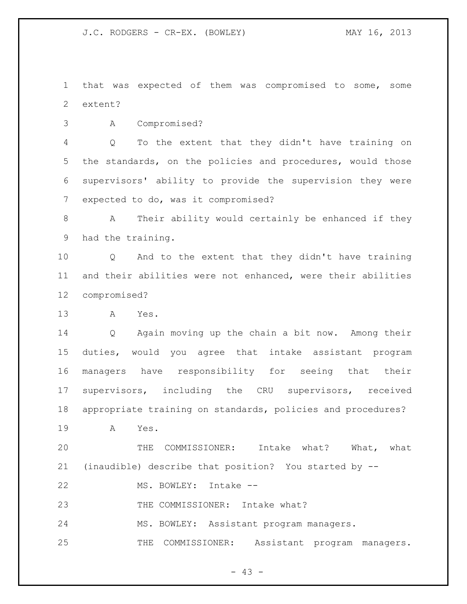that was expected of them was compromised to some, some extent?

A Compromised?

 Q To the extent that they didn't have training on the standards, on the policies and procedures, would those supervisors' ability to provide the supervision they were expected to do, was it compromised?

 A Their ability would certainly be enhanced if they had the training.

 Q And to the extent that they didn't have training and their abilities were not enhanced, were their abilities compromised?

A Yes.

 Q Again moving up the chain a bit now. Among their duties, would you agree that intake assistant program managers have responsibility for seeing that their supervisors, including the CRU supervisors, received appropriate training on standards, policies and procedures?

A Yes.

 THE COMMISSIONER: Intake what? What, what (inaudible) describe that position? You started by --

MS. BOWLEY: Intake --

23 THE COMMISSIONER: Intake what?

MS. BOWLEY: Assistant program managers.

THE COMMISSIONER: Assistant program managers.

- 43 -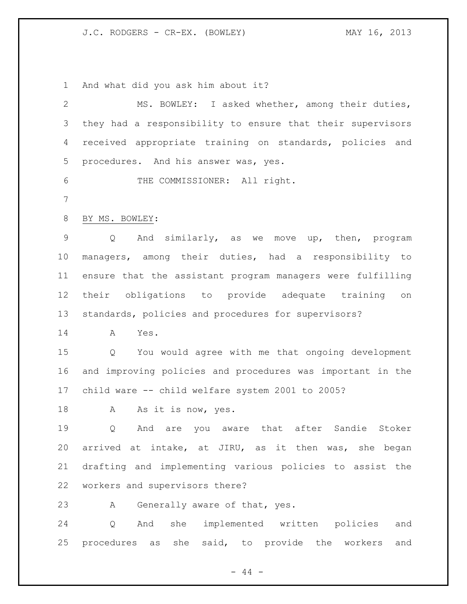And what did you ask him about it?

| $\mathbf{2}$    | MS. BOWLEY: I asked whether, among their duties,                      |
|-----------------|-----------------------------------------------------------------------|
| 3               | they had a responsibility to ensure that their supervisors            |
| 4               | received appropriate training on standards, policies and              |
| 5               | procedures. And his answer was, yes.                                  |
| 6               | THE COMMISSIONER: All right.                                          |
| 7               |                                                                       |
| 8               | BY MS. BOWLEY:                                                        |
| 9               | And similarly, as we move up, then, program<br>$Q \qquad \qquad$      |
| 10 <sub>o</sub> | managers, among their duties, had a responsibility to                 |
| 11              | ensure that the assistant program managers were fulfilling            |
| 12              | their obligations to provide adequate training on                     |
| 13              | standards, policies and procedures for supervisors?                   |
| 14              | Yes.<br>A                                                             |
| 15              | $Q \qquad \qquad$<br>You would agree with me that ongoing development |
| 16              | and improving policies and procedures was important in the            |
| 17              | child ware -- child welfare system 2001 to 2005?                      |
| 18              | A<br>As it is now, yes.                                               |
| 19              | And are you aware that after Sandie<br>Stoker<br>Q                    |
| 20              | arrived at intake, at JIRU, as it then was, she began                 |
| 21              | drafting and implementing various policies to assist the              |
| 22              | workers and supervisors there?                                        |
| 23              | Generally aware of that, yes.<br>Α                                    |
| 24              | she implemented written policies<br>Q<br>And<br>and                   |
| 25              | procedures as she said, to provide the workers<br>and                 |

- 44 -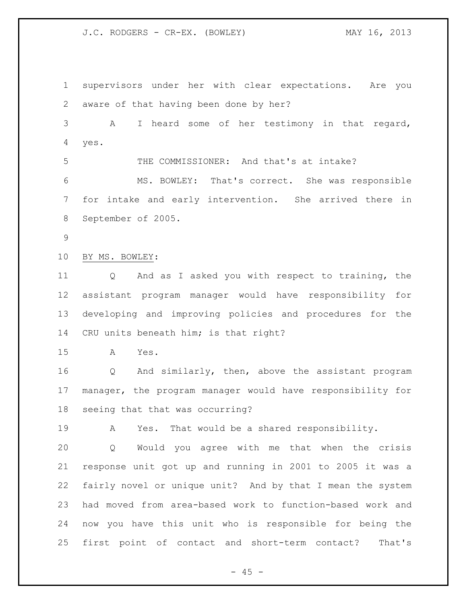supervisors under her with clear expectations. Are you aware of that having been done by her? A I heard some of her testimony in that regard, yes. THE COMMISSIONER: And that's at intake? MS. BOWLEY: That's correct. She was responsible for intake and early intervention. She arrived there in September of 2005. BY MS. BOWLEY: Q And as I asked you with respect to training, the assistant program manager would have responsibility for developing and improving policies and procedures for the CRU units beneath him; is that right? A Yes. Q And similarly, then, above the assistant program manager, the program manager would have responsibility for seeing that that was occurring? A Yes. That would be a shared responsibility. Q Would you agree with me that when the crisis response unit got up and running in 2001 to 2005 it was a fairly novel or unique unit? And by that I mean the system had moved from area-based work to function-based work and now you have this unit who is responsible for being the first point of contact and short-term contact? That's

 $- 45 -$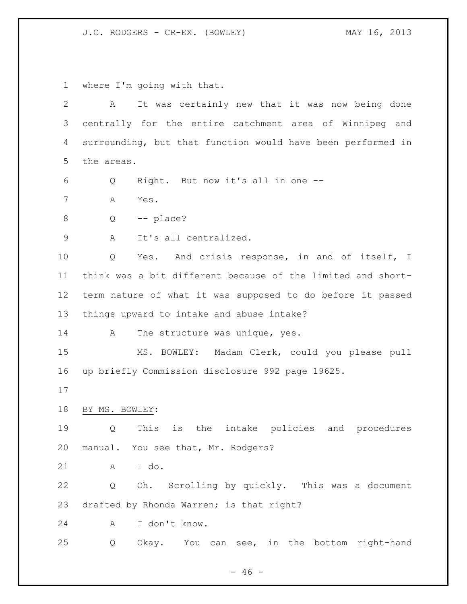where I'm going with that.

 A It was certainly new that it was now being done centrally for the entire catchment area of Winnipeg and surrounding, but that function would have been performed in the areas. Q Right. But now it's all in one -- A Yes.  $8 \qquad Q \qquad -- \text{ place?}$  A It's all centralized. Q Yes. And crisis response, in and of itself, I think was a bit different because of the limited and short- term nature of what it was supposed to do before it passed things upward to intake and abuse intake? 14 A The structure was unique, yes. MS. BOWLEY: Madam Clerk, could you please pull up briefly Commission disclosure 992 page 19625. BY MS. BOWLEY: Q This is the intake policies and procedures manual. You see that, Mr. Rodgers? A I do. Q Oh. Scrolling by quickly. This was a document drafted by Rhonda Warren; is that right? A I don't know. Q Okay. You can see, in the bottom right-hand

 $- 46 -$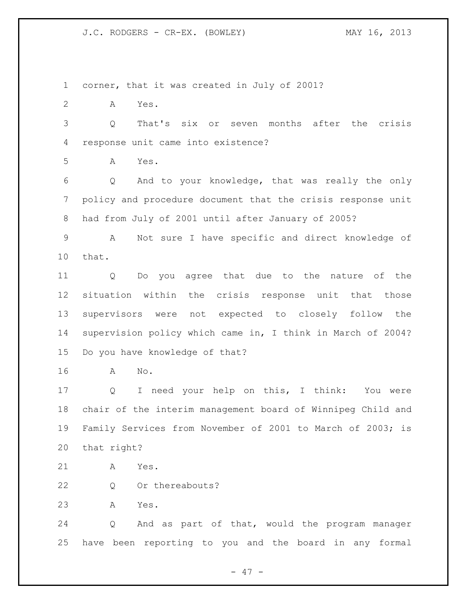corner, that it was created in July of 2001?

A Yes.

 Q That's six or seven months after the crisis response unit came into existence?

A Yes.

 Q And to your knowledge, that was really the only policy and procedure document that the crisis response unit had from July of 2001 until after January of 2005?

 A Not sure I have specific and direct knowledge of that.

 Q Do you agree that due to the nature of the situation within the crisis response unit that those supervisors were not expected to closely follow the supervision policy which came in, I think in March of 2004? Do you have knowledge of that?

A No.

 Q I need your help on this, I think: You were chair of the interim management board of Winnipeg Child and Family Services from November of 2001 to March of 2003; is that right?

- A Yes.
- 22 Q Or thereabouts?
- A Yes.

 Q And as part of that, would the program manager have been reporting to you and the board in any formal

- 47 -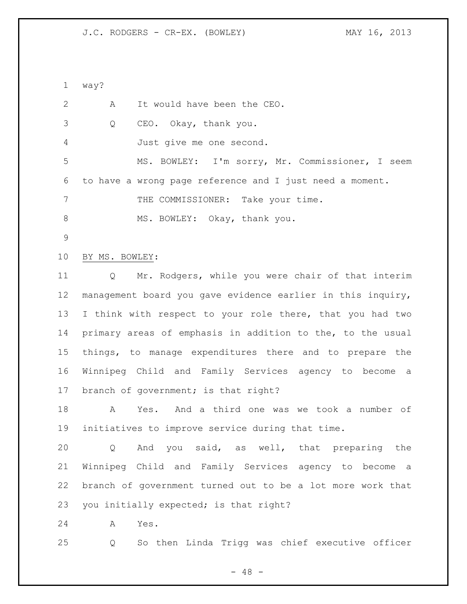way?

| 2  | It would have been the CEO.<br>Α                                     |
|----|----------------------------------------------------------------------|
| 3  | CEO. Okay, thank you.<br>Q                                           |
| 4  | Just give me one second.                                             |
| 5  | MS. BOWLEY: I'm sorry, Mr. Commissioner, I seem                      |
| 6  | to have a wrong page reference and I just need a moment.             |
| 7  | THE COMMISSIONER: Take your time.                                    |
| 8  | MS. BOWLEY: Okay, thank you.                                         |
| 9  |                                                                      |
| 10 | BY MS. BOWLEY:                                                       |
| 11 | Mr. Rodgers, while you were chair of that interim<br>Q               |
| 12 | management board you gave evidence earlier in this inquiry,          |
| 13 | I think with respect to your role there, that you had two            |
| 14 | primary areas of emphasis in addition to the, to the usual           |
| 15 | things, to manage expenditures there and to prepare the              |
| 16 | Winnipeg Child and Family Services agency to become<br>a a           |
| 17 | branch of government; is that right?                                 |
| 18 | Yes. And a third one was we took a number of<br>A                    |
| 19 | initiatives to improve service during that time.                     |
| 20 | Q And you said, as well, that preparing the                          |
| 21 | Winnipeg Child and Family Services agency to become a                |
| 22 | branch of government turned out to be a lot more work that           |
| 23 | you initially expected; is that right?                               |
| 24 | A<br>Yes.                                                            |
| 25 | So then Linda Trigg was chief executive officer<br>$Q \qquad \qquad$ |
|    |                                                                      |

- 48 -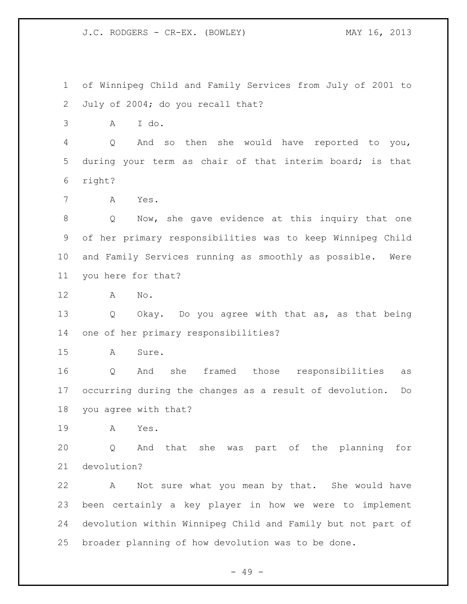of Winnipeg Child and Family Services from July of 2001 to July of 2004; do you recall that?

A I do.

 Q And so then she would have reported to you, during your term as chair of that interim board; is that right?

A Yes.

 Q Now, she gave evidence at this inquiry that one of her primary responsibilities was to keep Winnipeg Child and Family Services running as smoothly as possible. Were you here for that?

A No.

 Q Okay. Do you agree with that as, as that being one of her primary responsibilities?

A Sure.

 Q And she framed those responsibilities as occurring during the changes as a result of devolution. Do you agree with that?

A Yes.

 Q And that she was part of the planning for devolution?

 A Not sure what you mean by that. She would have been certainly a key player in how we were to implement devolution within Winnipeg Child and Family but not part of broader planning of how devolution was to be done.

- 49 -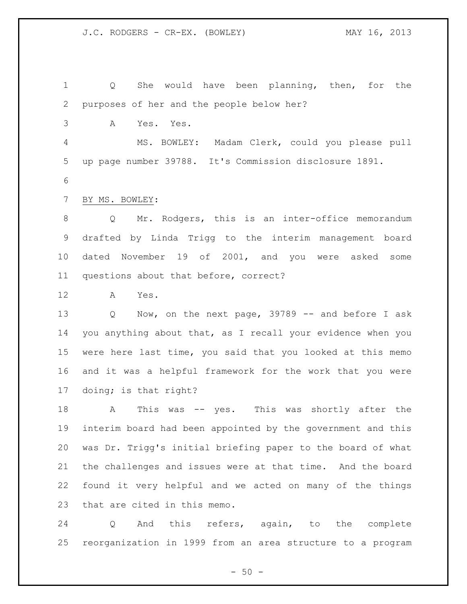Q She would have been planning, then, for the purposes of her and the people below her? A Yes. Yes. MS. BOWLEY: Madam Clerk, could you please pull up page number 39788. It's Commission disclosure 1891. BY MS. BOWLEY: Q Mr. Rodgers, this is an inter-office memorandum drafted by Linda Trigg to the interim management board dated November 19 of 2001, and you were asked some questions about that before, correct? A Yes. Q Now, on the next page, 39789 -- and before I ask you anything about that, as I recall your evidence when you were here last time, you said that you looked at this memo and it was a helpful framework for the work that you were doing; is that right? A This was -- yes. This was shortly after the interim board had been appointed by the government and this was Dr. Trigg's initial briefing paper to the board of what the challenges and issues were at that time. And the board found it very helpful and we acted on many of the things

that are cited in this memo.

 Q And this refers, again, to the complete reorganization in 1999 from an area structure to a program

 $-50 -$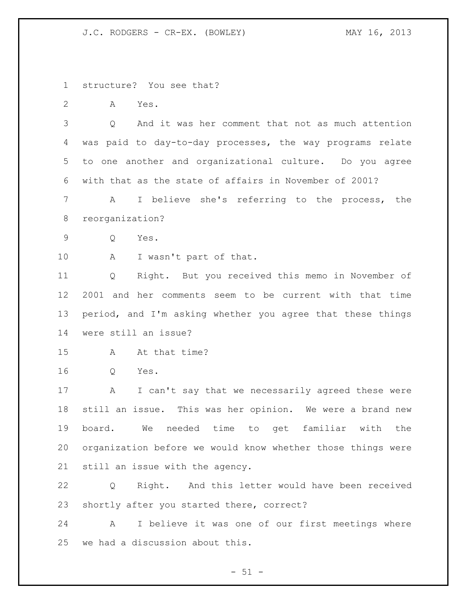structure? You see that?

A Yes.

 Q And it was her comment that not as much attention was paid to day-to-day processes, the way programs relate to one another and organizational culture. Do you agree with that as the state of affairs in November of 2001?

 A I believe she's referring to the process, the reorganization?

Q Yes.

10 A I wasn't part of that.

 Q Right. But you received this memo in November of 2001 and her comments seem to be current with that time period, and I'm asking whether you agree that these things were still an issue?

- A At that time?
- Q Yes.

 A I can't say that we necessarily agreed these were still an issue. This was her opinion. We were a brand new board. We needed time to get familiar with the organization before we would know whether those things were still an issue with the agency.

 Q Right. And this letter would have been received shortly after you started there, correct?

 A I believe it was one of our first meetings where we had a discussion about this.

 $- 51 -$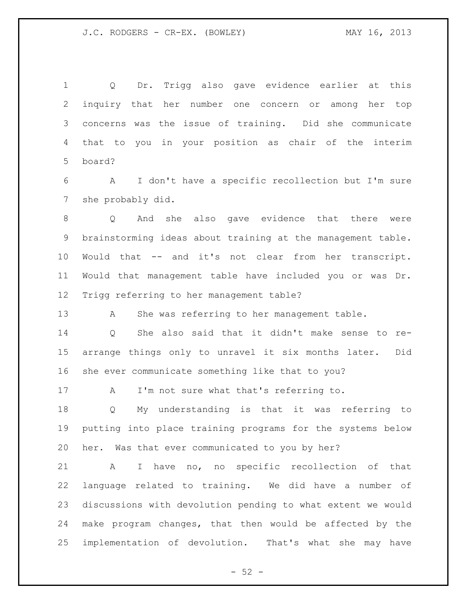Q Dr. Trigg also gave evidence earlier at this inquiry that her number one concern or among her top concerns was the issue of training. Did she communicate that to you in your position as chair of the interim board?

 A I don't have a specific recollection but I'm sure she probably did.

 Q And she also gave evidence that there were brainstorming ideas about training at the management table. Would that -- and it's not clear from her transcript. Would that management table have included you or was Dr. Trigg referring to her management table?

A She was referring to her management table.

 Q She also said that it didn't make sense to re- arrange things only to unravel it six months later. Did she ever communicate something like that to you?

A I'm not sure what that's referring to.

 Q My understanding is that it was referring to putting into place training programs for the systems below her. Was that ever communicated to you by her?

 A I have no, no specific recollection of that language related to training. We did have a number of discussions with devolution pending to what extent we would make program changes, that then would be affected by the implementation of devolution. That's what she may have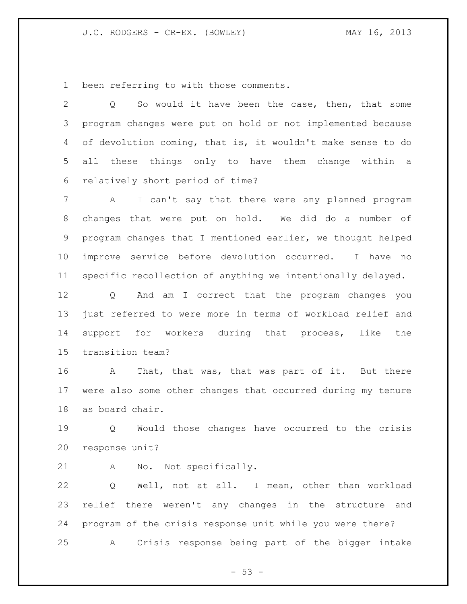been referring to with those comments.

 Q So would it have been the case, then, that some program changes were put on hold or not implemented because of devolution coming, that is, it wouldn't make sense to do all these things only to have them change within a relatively short period of time?

 A I can't say that there were any planned program changes that were put on hold. We did do a number of program changes that I mentioned earlier, we thought helped improve service before devolution occurred. I have no specific recollection of anything we intentionally delayed.

 Q And am I correct that the program changes you just referred to were more in terms of workload relief and support for workers during that process, like the transition team?

16 A That, that was, that was part of it. But there were also some other changes that occurred during my tenure as board chair.

 Q Would those changes have occurred to the crisis response unit?

A No. Not specifically.

 Q Well, not at all. I mean, other than workload relief there weren't any changes in the structure and program of the crisis response unit while you were there? A Crisis response being part of the bigger intake

 $-53 -$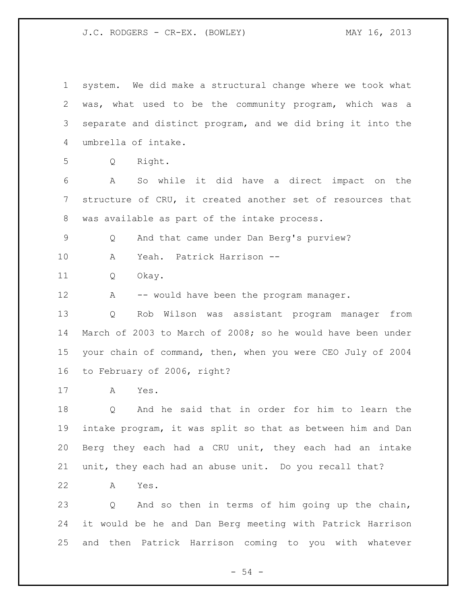system. We did make a structural change where we took what was, what used to be the community program, which was a separate and distinct program, and we did bring it into the umbrella of intake. Q Right. A So while it did have a direct impact on the structure of CRU, it created another set of resources that was available as part of the intake process. Q And that came under Dan Berg's purview? A Yeah. Patrick Harrison -- Q Okay. 12 A -- would have been the program manager. Q Rob Wilson was assistant program manager from March of 2003 to March of 2008; so he would have been under your chain of command, then, when you were CEO July of 2004 to February of 2006, right? A Yes. Q And he said that in order for him to learn the intake program, it was split so that as between him and Dan Berg they each had a CRU unit, they each had an intake unit, they each had an abuse unit. Do you recall that? A Yes. Q And so then in terms of him going up the chain, it would be he and Dan Berg meeting with Patrick Harrison and then Patrick Harrison coming to you with whatever

- 54 -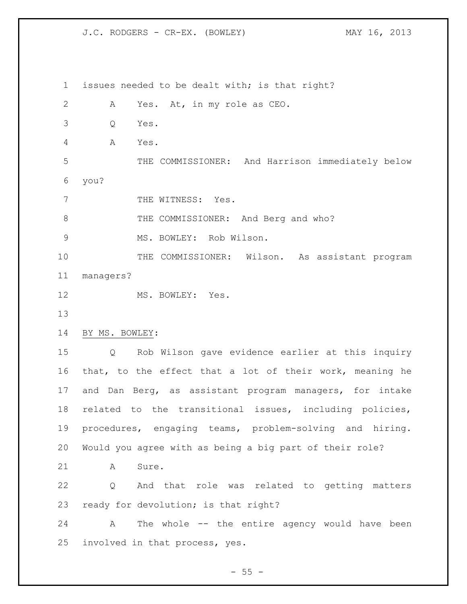issues needed to be dealt with; is that right? A Yes. At, in my role as CEO. Q Yes. A Yes. THE COMMISSIONER: And Harrison immediately below you? 7 THE WITNESS: Yes. 8 THE COMMISSIONER: And Berg and who? 9 MS. BOWLEY: Rob Wilson. 10 THE COMMISSIONER: Wilson. As assistant program managers? 12 MS. BOWLEY: Yes. BY MS. BOWLEY: Q Rob Wilson gave evidence earlier at this inquiry that, to the effect that a lot of their work, meaning he and Dan Berg, as assistant program managers, for intake related to the transitional issues, including policies, procedures, engaging teams, problem-solving and hiring. Would you agree with as being a big part of their role? 21 A Sure. Q And that role was related to getting matters ready for devolution; is that right? A The whole -- the entire agency would have been involved in that process, yes.

 $- 55 -$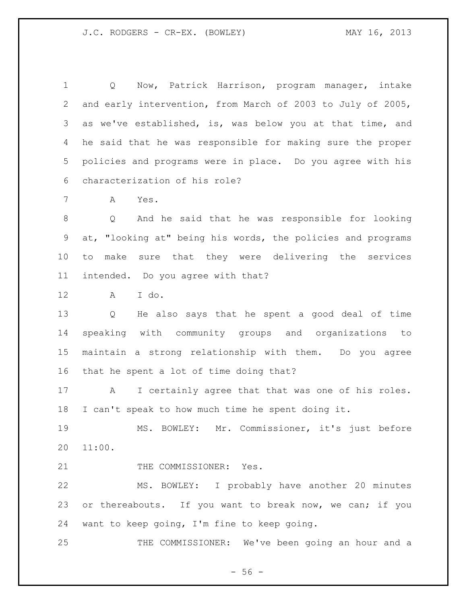Q Now, Patrick Harrison, program manager, intake and early intervention, from March of 2003 to July of 2005, as we've established, is, was below you at that time, and he said that he was responsible for making sure the proper policies and programs were in place. Do you agree with his characterization of his role?

A Yes.

 Q And he said that he was responsible for looking at, "looking at" being his words, the policies and programs to make sure that they were delivering the services intended. Do you agree with that?

A I do.

 Q He also says that he spent a good deal of time speaking with community groups and organizations to maintain a strong relationship with them. Do you agree that he spent a lot of time doing that?

 A I certainly agree that that was one of his roles. I can't speak to how much time he spent doing it.

 MS. BOWLEY: Mr. Commissioner, it's just before 11:00.

21 THE COMMISSIONER: Yes.

 MS. BOWLEY: I probably have another 20 minutes 23 or thereabouts. If you want to break now, we can; if you want to keep going, I'm fine to keep going.

THE COMMISSIONER: We've been going an hour and a

 $-56 -$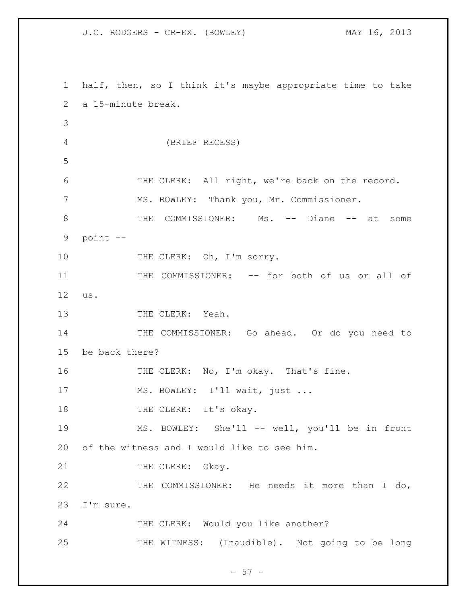1 half, then, so I think it's maybe appropriate time to take 2 a 15-minute break. 3 4 (BRIEF RECESS) 5 6 THE CLERK: All right, we're back on the record. 7 MS. BOWLEY: Thank you, Mr. Commissioner. 8 THE COMMISSIONER: Ms. -- Diane -- at some 9 point -- 10 THE CLERK: Oh, I'm sorry. 11 THE COMMISSIONER: -- for both of us or all of 12 us. 13 THE CLERK: Yeah. 14 THE COMMISSIONER: Go ahead. Or do you need to 15 be back there? 16 THE CLERK: No, I'm okay. That's fine. 17 MS. BOWLEY: I'll wait, just ... 18 THE CLERK: It's okay. 19 MS. BOWLEY: She'll -- well, you'll be in front 20 of the witness and I would like to see him. 21 THE CLERK: Okay. 22 THE COMMISSIONER: He needs it more than I do, 23 I'm sure. 24 THE CLERK: Would you like another? 25 THE WITNESS: (Inaudible). Not going to be long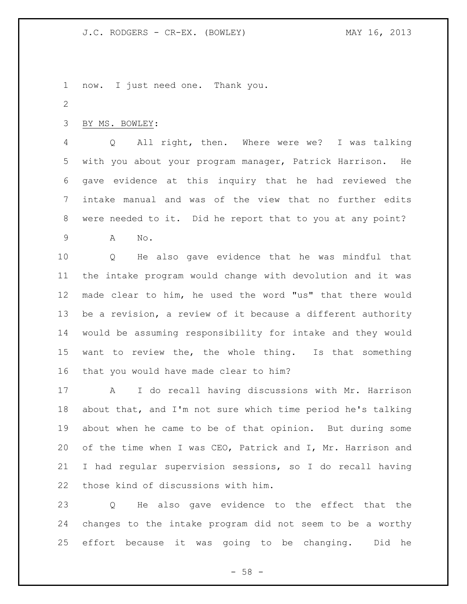now. I just need one. Thank you.

BY MS. BOWLEY:

 Q All right, then. Where were we? I was talking with you about your program manager, Patrick Harrison. He gave evidence at this inquiry that he had reviewed the intake manual and was of the view that no further edits were needed to it. Did he report that to you at any point?

A No.

 Q He also gave evidence that he was mindful that the intake program would change with devolution and it was made clear to him, he used the word "us" that there would be a revision, a review of it because a different authority would be assuming responsibility for intake and they would want to review the, the whole thing. Is that something that you would have made clear to him?

 A I do recall having discussions with Mr. Harrison about that, and I'm not sure which time period he's talking about when he came to be of that opinion. But during some of the time when I was CEO, Patrick and I, Mr. Harrison and I had regular supervision sessions, so I do recall having those kind of discussions with him.

 Q He also gave evidence to the effect that the changes to the intake program did not seem to be a worthy effort because it was going to be changing. Did he

 $- 58 -$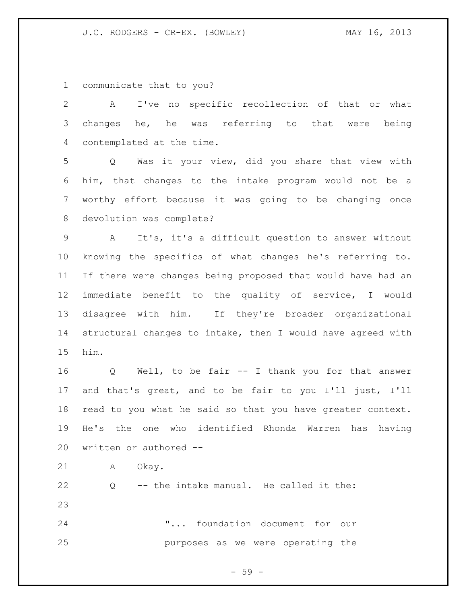communicate that to you?

| 2               | I've no specific recollection of that or what<br>A                  |
|-----------------|---------------------------------------------------------------------|
| 3               | changes he, he was referring to that were being                     |
| 4               | contemplated at the time.                                           |
| 5               | Was it your view, did you share that view with<br>$Q \qquad \qquad$ |
| 6               | him, that changes to the intake program would not be a              |
| $7\phantom{.0}$ | worthy effort because it was going to be changing once              |
| 8               | devolution was complete?                                            |
| 9               | It's, it's a difficult question to answer without<br>A              |
| 10 <sub>o</sub> | knowing the specifics of what changes he's referring to.            |
| 11              | If there were changes being proposed that would have had an         |
| 12 <sup>°</sup> | immediate benefit to the quality of service, I would                |
| 13              | disagree with him. If they're broader organizational                |
| 14              | structural changes to intake, then I would have agreed with         |
| 15              | him.                                                                |
| 16              | Q Well, to be fair -- I thank you for that answer                   |
| 17              | and that's great, and to be fair to you I'll just, I'll             |
| 18              | read to you what he said so that you have greater context.          |
| 19              | He's the one who identified Rhonda Warren has having                |
| 20              | written or authored --                                              |
| 21              | Okay.<br>A                                                          |
| 22              | Q -- the intake manual. He called it the:                           |
| 23              |                                                                     |
| 24              | " foundation document for our                                       |
| 25              | purposes as we were operating the                                   |
|                 |                                                                     |

- 59 -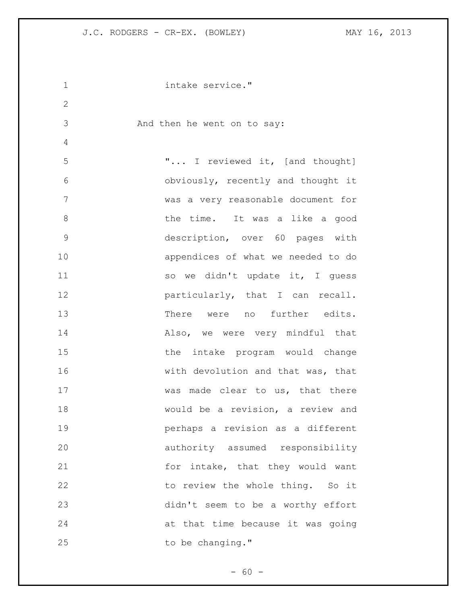```
1 intake service."
2
3 And then he went on to say:
4
5 "... I reviewed it, [and thought]
6 obviously, recently and thought it 
7 was a very reasonable document for 
8 blue time. It was a like a good
9 description, over 60 pages with 
10 appendices of what we needed to do
11 so we didn't update it, I quess
12 particularly, that I can recall.
13 There were no further edits.
14 Also, we were very mindful that 
15 the intake program would change 
16 with devolution and that was, that 
17 was made clear to us, that there
18 would be a revision, a review and 
19 perhaps a revision as a different 
20 authority assumed responsibility 
21 for intake, that they would want
22 to review the whole thing. So it 
23 didn't seem to be a worthy effort 
24 at that time because it was going 
25 to be changing."
```
 $- 60 -$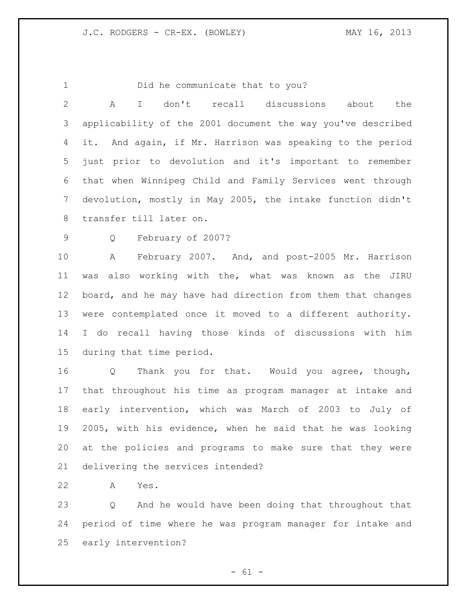Did he communicate that to you? A I don't recall discussions about the applicability of the 2001 document the way you've described it. And again, if Mr. Harrison was speaking to the period just prior to devolution and it's important to remember that when Winnipeg Child and Family Services went through devolution, mostly in May 2005, the intake function didn't transfer till later on. Q February of 2007? A February 2007. And, and post-2005 Mr. Harrison was also working with the, what was known as the JIRU board, and he may have had direction from them that changes were contemplated once it moved to a different authority. I do recall having those kinds of discussions with him during that time period. Q Thank you for that. Would you agree, though, that throughout his time as program manager at intake and early intervention, which was March of 2003 to July of 2005, with his evidence, when he said that he was looking at the policies and programs to make sure that they were delivering the services intended? A Yes.

 Q And he would have been doing that throughout that period of time where he was program manager for intake and early intervention?

 $- 61 -$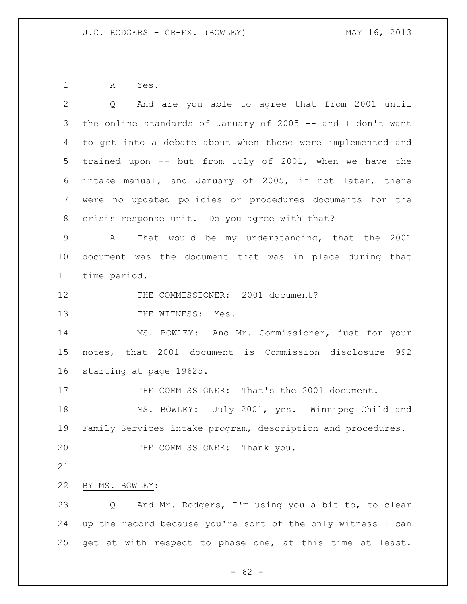A Yes.

| $\mathbf{2}$ | Q And are you able to agree that from 2001 until            |
|--------------|-------------------------------------------------------------|
| 3            | the online standards of January of 2005 -- and I don't want |
| 4            | to get into a debate about when those were implemented and  |
| 5            | trained upon -- but from July of 2001, when we have the     |
| 6            | intake manual, and January of 2005, if not later, there     |
| 7            | were no updated policies or procedures documents for the    |
| 8            | crisis response unit. Do you agree with that?               |
| $\mathsf 9$  | That would be my understanding, that the 2001<br>A          |
| 10           | document was the document that was in place during that     |
| 11           | time period.                                                |
| 12           | THE COMMISSIONER: 2001 document?                            |
| 13           | THE WITNESS: Yes.                                           |
| 14           | MS. BOWLEY: And Mr. Commissioner, just for your             |
| 15           | notes, that 2001 document is Commission disclosure 992      |
| 16           | starting at page 19625.                                     |
| 17           | THE COMMISSIONER: That's the 2001 document.                 |
| 18           | MS. BOWLEY: July 2001, yes. Winnipeg Child and              |
| 19           | Family Services intake program, description and procedures. |
| 20           | THE COMMISSIONER: Thank you.                                |
| 21           |                                                             |
| 22           | BY MS. BOWLEY:                                              |
| 23           | And Mr. Rodgers, I'm using you a bit to, to clear<br>Q      |
| 24           | up the record because you're sort of the only witness I can |
| 25           | get at with respect to phase one, at this time at least.    |
|              |                                                             |

- 62 -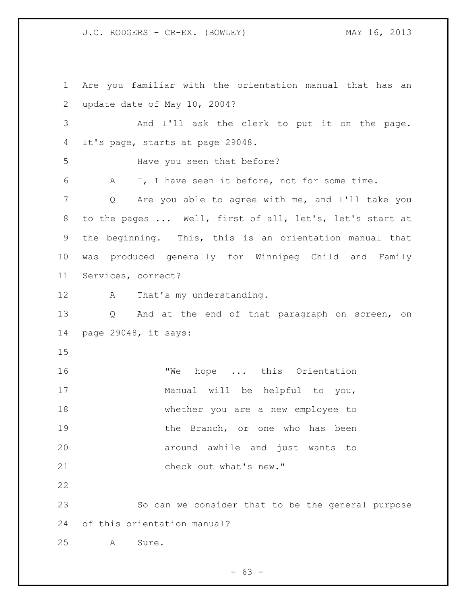Are you familiar with the orientation manual that has an update date of May 10, 2004? And I'll ask the clerk to put it on the page. It's page, starts at page 29048. Have you seen that before? A I, I have seen it before, not for some time. Q Are you able to agree with me, and I'll take you to the pages ... Well, first of all, let's, let's start at the beginning. This, this is an orientation manual that was produced generally for Winnipeg Child and Family Services, correct? 12 A That's my understanding. Q And at the end of that paragraph on screen, on page 29048, it says: 16 TWe hope ... this Orientation Manual will be helpful to you, whether you are a new employee to 19 the Branch, or one who has been around awhile and just wants to 21 check out what's new." So can we consider that to be the general purpose of this orientation manual? A Sure.

 $- 63 -$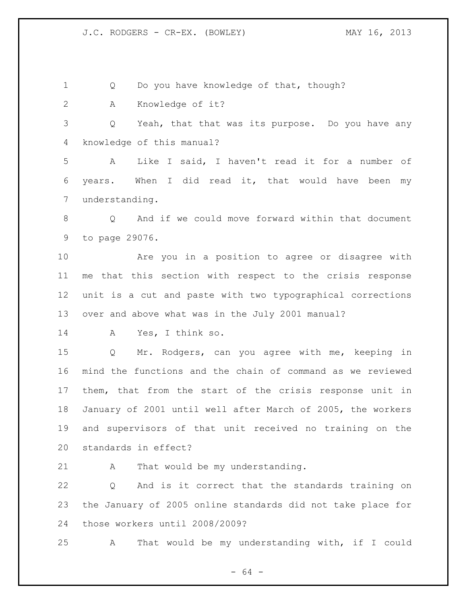1 Q Do you have knowledge of that, though?

A Knowledge of it?

 Q Yeah, that that was its purpose. Do you have any knowledge of this manual?

 A Like I said, I haven't read it for a number of years. When I did read it, that would have been my understanding.

 Q And if we could move forward within that document to page 29076.

 Are you in a position to agree or disagree with me that this section with respect to the crisis response unit is a cut and paste with two typographical corrections over and above what was in the July 2001 manual?

A Yes, I think so.

 Q Mr. Rodgers, can you agree with me, keeping in mind the functions and the chain of command as we reviewed them, that from the start of the crisis response unit in January of 2001 until well after March of 2005, the workers and supervisors of that unit received no training on the standards in effect?

21 A That would be my understanding.

 Q And is it correct that the standards training on the January of 2005 online standards did not take place for those workers until 2008/2009?

A That would be my understanding with, if I could

- 64 -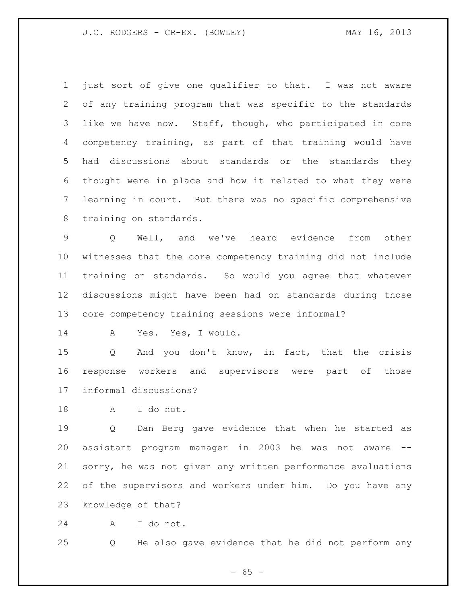just sort of give one qualifier to that. I was not aware of any training program that was specific to the standards like we have now. Staff, though, who participated in core competency training, as part of that training would have had discussions about standards or the standards they thought were in place and how it related to what they were learning in court. But there was no specific comprehensive training on standards.

 Q Well, and we've heard evidence from other witnesses that the core competency training did not include training on standards. So would you agree that whatever discussions might have been had on standards during those core competency training sessions were informal?

A Yes. Yes, I would.

 Q And you don't know, in fact, that the crisis response workers and supervisors were part of those informal discussions?

A I do not.

 Q Dan Berg gave evidence that when he started as assistant program manager in 2003 he was not aware -- sorry, he was not given any written performance evaluations of the supervisors and workers under him. Do you have any knowledge of that?

A I do not.

Q He also gave evidence that he did not perform any

 $- 65 -$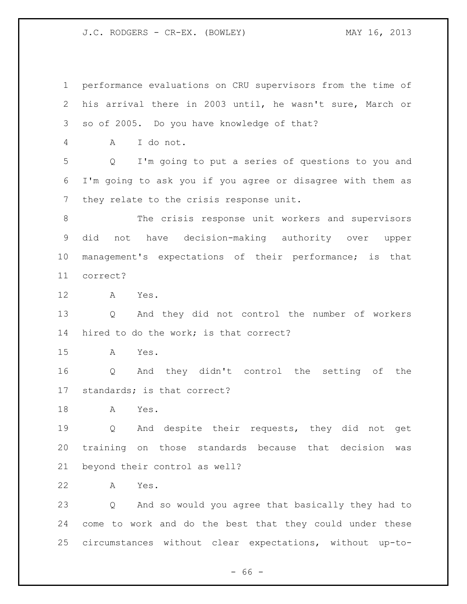performance evaluations on CRU supervisors from the time of his arrival there in 2003 until, he wasn't sure, March or so of 2005. Do you have knowledge of that? A I do not. Q I'm going to put a series of questions to you and I'm going to ask you if you agree or disagree with them as they relate to the crisis response unit. The crisis response unit workers and supervisors did not have decision-making authority over upper management's expectations of their performance; is that correct? A Yes. Q And they did not control the number of workers hired to do the work; is that correct? A Yes. Q And they didn't control the setting of the standards; is that correct? A Yes. Q And despite their requests, they did not get training on those standards because that decision was beyond their control as well? A Yes. Q And so would you agree that basically they had to come to work and do the best that they could under these

circumstances without clear expectations, without up-to-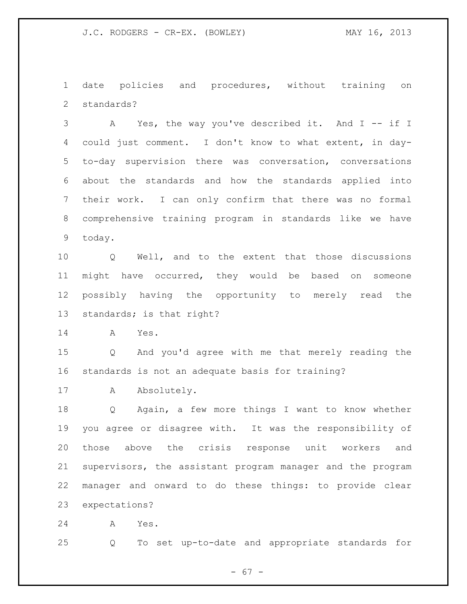date policies and procedures, without training on standards?

 A Yes, the way you've described it. And I -- if I could just comment. I don't know to what extent, in day- to-day supervision there was conversation, conversations about the standards and how the standards applied into their work. I can only confirm that there was no formal comprehensive training program in standards like we have today.

 Q Well, and to the extent that those discussions might have occurred, they would be based on someone possibly having the opportunity to merely read the standards; is that right?

A Yes.

 Q And you'd agree with me that merely reading the standards is not an adequate basis for training?

17 A Absolutely.

 Q Again, a few more things I want to know whether you agree or disagree with. It was the responsibility of those above the crisis response unit workers and supervisors, the assistant program manager and the program manager and onward to do these things: to provide clear expectations?

A Yes.

Q To set up-to-date and appropriate standards for

- 67 -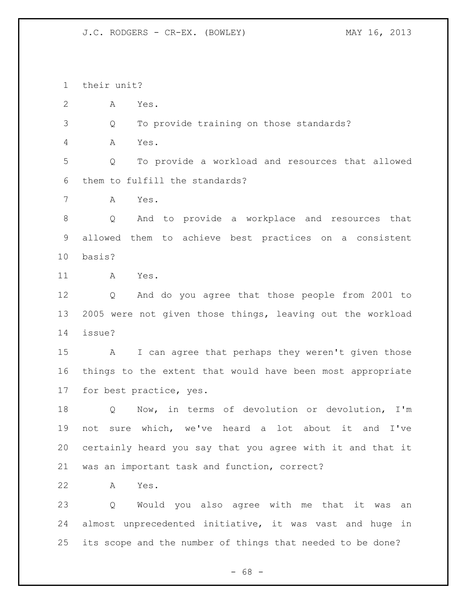their unit?

A Yes.

Q To provide training on those standards?

A Yes.

 Q To provide a workload and resources that allowed them to fulfill the standards?

A Yes.

 Q And to provide a workplace and resources that allowed them to achieve best practices on a consistent basis?

A Yes.

 Q And do you agree that those people from 2001 to 2005 were not given those things, leaving out the workload issue?

 A I can agree that perhaps they weren't given those things to the extent that would have been most appropriate for best practice, yes.

 Q Now, in terms of devolution or devolution, I'm not sure which, we've heard a lot about it and I've certainly heard you say that you agree with it and that it was an important task and function, correct?

A Yes.

 Q Would you also agree with me that it was an almost unprecedented initiative, it was vast and huge in its scope and the number of things that needed to be done?

- 68 -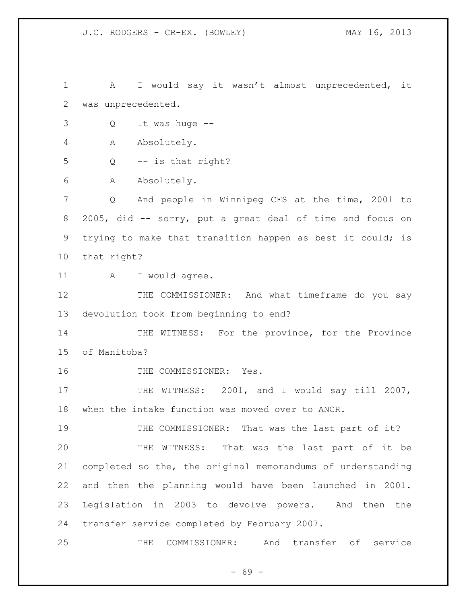1 A I would say it wasn't almost unprecedented, it was unprecedented. Q It was huge -- A Absolutely. Q -- is that right? A Absolutely. Q And people in Winnipeg CFS at the time, 2001 to 2005, did -- sorry, put a great deal of time and focus on trying to make that transition happen as best it could; is that right? 11 A I would agree. 12 THE COMMISSIONER: And what timeframe do you say devolution took from beginning to end? 14 THE WITNESS: For the province, for the Province of Manitoba? 16 THE COMMISSIONER: Yes. 17 THE WITNESS: 2001, and I would say till 2007, when the intake function was moved over to ANCR. 19 THE COMMISSIONER: That was the last part of it? THE WITNESS: That was the last part of it be completed so the, the original memorandums of understanding and then the planning would have been launched in 2001. Legislation in 2003 to devolve powers. And then the transfer service completed by February 2007. THE COMMISSIONER: And transfer of service

- 69 -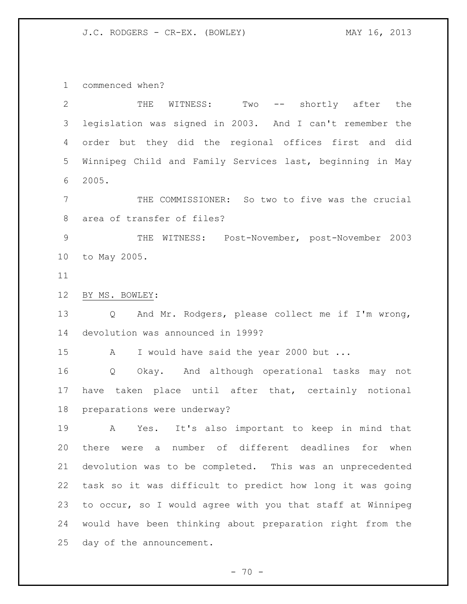commenced when?

| $\mathbf{2}$   | THE<br>Two -- shortly after the<br>WITNESS:                           |
|----------------|-----------------------------------------------------------------------|
| 3              | legislation was signed in 2003. And I can't remember the              |
| 4              | order but they did the regional offices first and did                 |
| 5              | Winnipeg Child and Family Services last, beginning in May             |
| 6              | 2005.                                                                 |
| $7\phantom{.}$ | THE COMMISSIONER: So two to five was the crucial                      |
| 8              | area of transfer of files?                                            |
| $\overline{9}$ | WITNESS: Post-November, post-November 2003<br>THE                     |
| 10             | to May 2005.                                                          |
| 11             |                                                                       |
| 12             | BY MS. BOWLEY:                                                        |
| 13             | And Mr. Rodgers, please collect me if I'm wrong,<br>$Q \qquad \qquad$ |
| 14             | devolution was announced in 1999?                                     |
| 15             | I would have said the year 2000 but<br>$\mathbf{A}$                   |
| 16             | Q Okay. And although operational tasks may not                        |
| 17             | have taken place until after that, certainly notional                 |
| 18             | preparations were underway?                                           |
| 19             | Yes. It's also important to keep in mind that<br>A                    |
| 20             | number of different deadlines<br>there were a<br>for<br>when          |
| 21             | devolution was to be completed. This was an unprecedented             |
| 22             | task so it was difficult to predict how long it was going             |
| 23             | to occur, so I would agree with you that staff at Winnipeg            |
| 24             | would have been thinking about preparation right from the             |
| 25             | day of the announcement.                                              |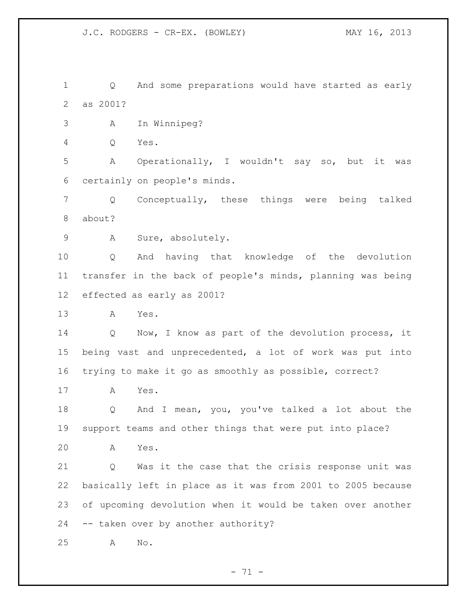Q And some preparations would have started as early as 2001?

- A In Winnipeg?
- Q Yes.

 A Operationally, I wouldn't say so, but it was certainly on people's minds.

 Q Conceptually, these things were being talked about?

A Sure, absolutely.

 Q And having that knowledge of the devolution transfer in the back of people's minds, planning was being effected as early as 2001?

A Yes.

 Q Now, I know as part of the devolution process, it being vast and unprecedented, a lot of work was put into trying to make it go as smoothly as possible, correct?

A Yes.

 Q And I mean, you, you've talked a lot about the support teams and other things that were put into place?

A Yes.

 Q Was it the case that the crisis response unit was basically left in place as it was from 2001 to 2005 because of upcoming devolution when it would be taken over another -- taken over by another authority?

A No.

 $- 71 -$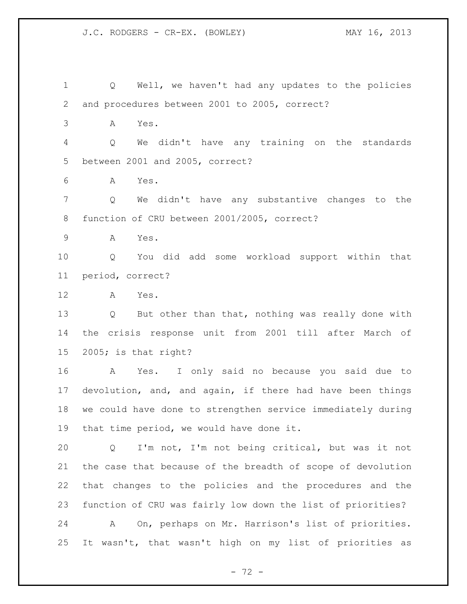Q Well, we haven't had any updates to the policies and procedures between 2001 to 2005, correct? A Yes. Q We didn't have any training on the standards between 2001 and 2005, correct? A Yes. Q We didn't have any substantive changes to the function of CRU between 2001/2005, correct? A Yes. Q You did add some workload support within that period, correct? A Yes. Q But other than that, nothing was really done with the crisis response unit from 2001 till after March of 2005; is that right? A Yes. I only said no because you said due to devolution, and, and again, if there had have been things we could have done to strengthen service immediately during that time period, we would have done it. Q I'm not, I'm not being critical, but was it not the case that because of the breadth of scope of devolution that changes to the policies and the procedures and the function of CRU was fairly low down the list of priorities? A On, perhaps on Mr. Harrison's list of priorities. It wasn't, that wasn't high on my list of priorities as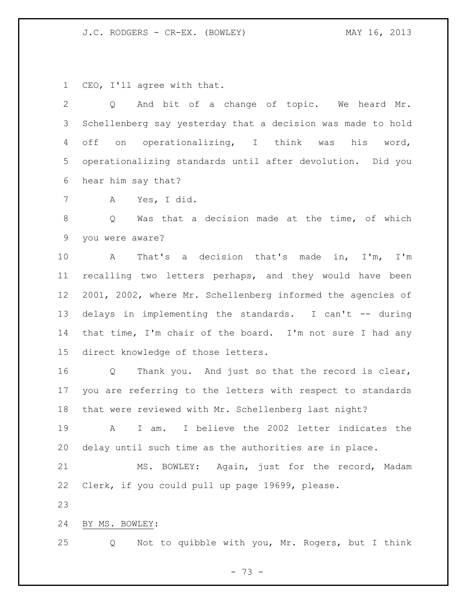CEO, I'll agree with that.

 Q And bit of a change of topic. We heard Mr. Schellenberg say yesterday that a decision was made to hold off on operationalizing, I think was his word, operationalizing standards until after devolution. Did you hear him say that?

A Yes, I did.

 Q Was that a decision made at the time, of which you were aware?

 A That's a decision that's made in, I'm, I'm recalling two letters perhaps, and they would have been 2001, 2002, where Mr. Schellenberg informed the agencies of delays in implementing the standards. I can't -- during that time, I'm chair of the board. I'm not sure I had any direct knowledge of those letters.

 Q Thank you. And just so that the record is clear, you are referring to the letters with respect to standards that were reviewed with Mr. Schellenberg last night?

 A I am. I believe the 2002 letter indicates the delay until such time as the authorities are in place.

 MS. BOWLEY: Again, just for the record, Madam Clerk, if you could pull up page 19699, please.

BY MS. BOWLEY:

Q Not to quibble with you, Mr. Rogers, but I think

- 73 -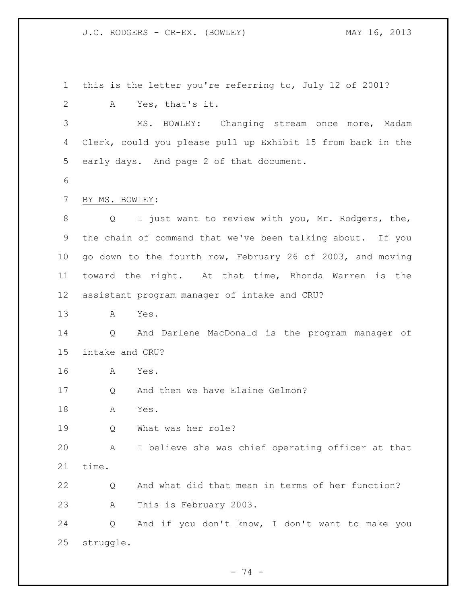this is the letter you're referring to, July 12 of 2001? A Yes, that's it. MS. BOWLEY: Changing stream once more, Madam Clerk, could you please pull up Exhibit 15 from back in the early days. And page 2 of that document. BY MS. BOWLEY: Q I just want to review with you, Mr. Rodgers, the, the chain of command that we've been talking about. If you go down to the fourth row, February 26 of 2003, and moving toward the right. At that time, Rhonda Warren is the assistant program manager of intake and CRU? A Yes. Q And Darlene MacDonald is the program manager of intake and CRU? A Yes. Q And then we have Elaine Gelmon? A Yes. Q What was her role? A I believe she was chief operating officer at that time. Q And what did that mean in terms of her function? A This is February 2003. Q And if you don't know, I don't want to make you struggle.

- 74 -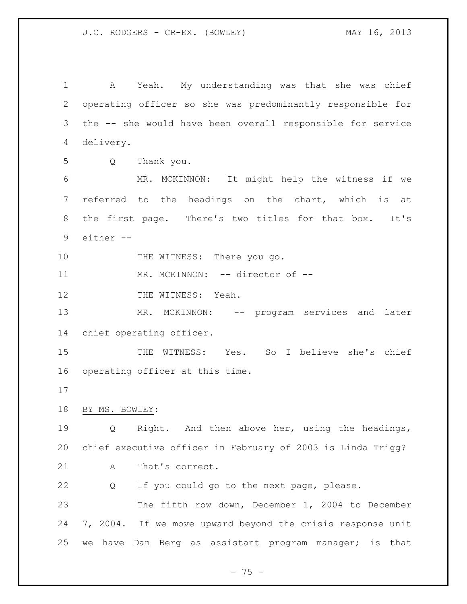A Yeah. My understanding was that she was chief operating officer so she was predominantly responsible for the -- she would have been overall responsible for service delivery. Q Thank you. MR. MCKINNON: It might help the witness if we referred to the headings on the chart, which is at the first page. There's two titles for that box. It's either -- 10 THE WITNESS: There you go. 11 MR. MCKINNON: -- director of --12 THE WITNESS: Yeah. MR. MCKINNON: -- program services and later chief operating officer. THE WITNESS: Yes. So I believe she's chief operating officer at this time. BY MS. BOWLEY: Q Right. And then above her, using the headings, chief executive officer in February of 2003 is Linda Trigg? 21 A That's correct. Q If you could go to the next page, please. The fifth row down, December 1, 2004 to December 7, 2004. If we move upward beyond the crisis response unit we have Dan Berg as assistant program manager; is that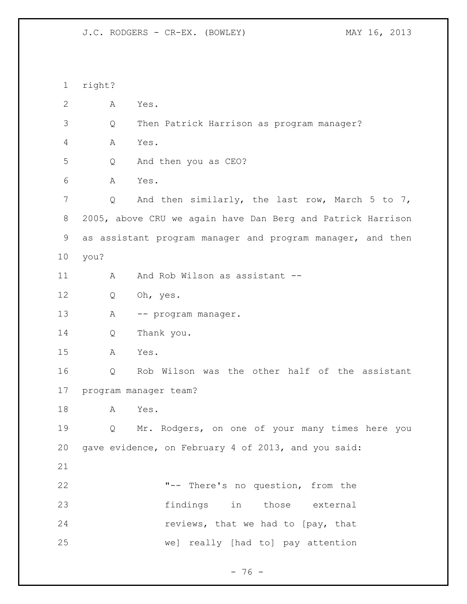right? A Yes. Q Then Patrick Harrison as program manager? A Yes. Q And then you as CEO? A Yes. 7 Q And then similarly, the last row, March 5 to 7, 2005, above CRU we again have Dan Berg and Patrick Harrison as assistant program manager and program manager, and then you? 11 A And Rob Wilson as assistant -- Q Oh, yes. 13 A -- program manager. Q Thank you. A Yes. Q Rob Wilson was the other half of the assistant program manager team? A Yes. Q Mr. Rodgers, on one of your many times here you gave evidence, on February 4 of 2013, and you said: "-- There's no question, from the findings in those external **reviews, that we had to [pay, that** we] really [had to] pay attention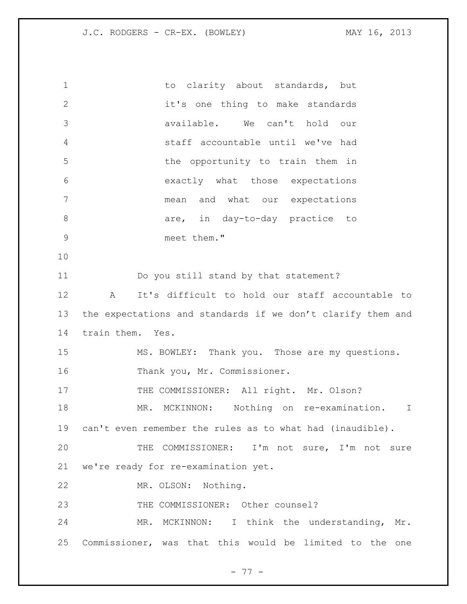1 to clarity about standards, but it's one thing to make standards available. We can't hold our staff accountable until we've had 5 the opportunity to train them in exactly what those expectations mean and what our expectations 8 are, in day-to-day practice to meet them." Do you still stand by that statement? A It's difficult to hold our staff accountable to the expectations and standards if we don't clarify them and train them. Yes. MS. BOWLEY: Thank you. Those are my questions. Thank you, Mr. Commissioner. 17 THE COMMISSIONER: All right. Mr. Olson? MR. MCKINNON: Nothing on re-examination. I can't even remember the rules as to what had (inaudible). THE COMMISSIONER: I'm not sure, I'm not sure we're ready for re-examination yet. MR. OLSON: Nothing. THE COMMISSIONER: Other counsel? MR. MCKINNON: I think the understanding, Mr. Commissioner, was that this would be limited to the one

- 77 -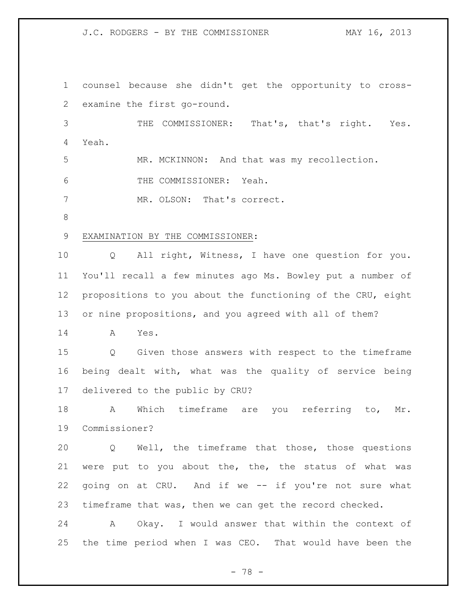J.C. RODGERS - BY THE COMMISSIONER MAY 16, 2013

 counsel because she didn't get the opportunity to cross- examine the first go-round. THE COMMISSIONER: That's, that's right. Yes. Yeah. MR. MCKINNON: And that was my recollection. THE COMMISSIONER: Yeah. MR. OLSON: That's correct. EXAMINATION BY THE COMMISSIONER: Q All right, Witness, I have one question for you. You'll recall a few minutes ago Ms. Bowley put a number of propositions to you about the functioning of the CRU, eight or nine propositions, and you agreed with all of them? A Yes. Q Given those answers with respect to the timeframe being dealt with, what was the quality of service being delivered to the public by CRU? A Which timeframe are you referring to, Mr. Commissioner? Q Well, the timeframe that those, those questions were put to you about the, the, the status of what was going on at CRU. And if we -- if you're not sure what timeframe that was, then we can get the record checked. A Okay. I would answer that within the context of the time period when I was CEO. That would have been the

- 78 -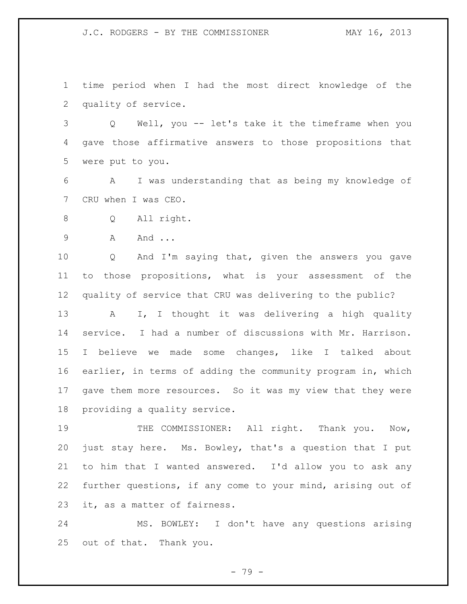J.C. RODGERS - BY THE COMMISSIONER MAY 16, 2013

 time period when I had the most direct knowledge of the quality of service.

 Q Well, you -- let's take it the timeframe when you gave those affirmative answers to those propositions that were put to you.

 A I was understanding that as being my knowledge of CRU when I was CEO.

Q All right.

A And ...

 Q And I'm saying that, given the answers you gave to those propositions, what is your assessment of the quality of service that CRU was delivering to the public? A I, I thought it was delivering a high quality service. I had a number of discussions with Mr. Harrison. I believe we made some changes, like I talked about earlier, in terms of adding the community program in, which gave them more resources. So it was my view that they were providing a quality service.

19 THE COMMISSIONER: All right. Thank you. Now, just stay here. Ms. Bowley, that's a question that I put to him that I wanted answered. I'd allow you to ask any further questions, if any come to your mind, arising out of it, as a matter of fairness.

 MS. BOWLEY: I don't have any questions arising out of that. Thank you.

- 79 -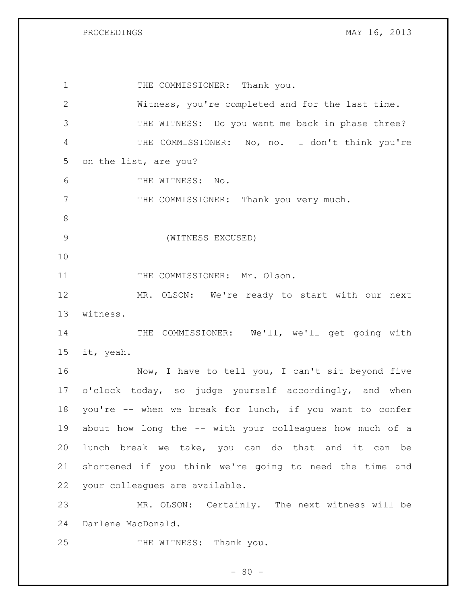PROCEEDINGS MAY 16, 2013

1 THE COMMISSIONER: Thank you. Witness, you're completed and for the last time. THE WITNESS: Do you want me back in phase three? THE COMMISSIONER: No, no. I don't think you're on the list, are you? THE WITNESS: No. 7 THE COMMISSIONER: Thank you very much. (WITNESS EXCUSED) 11 THE COMMISSIONER: Mr. Olson. MR. OLSON: We're ready to start with our next witness. 14 THE COMMISSIONER: We'll, we'll get going with it, yeah. 16 Now, I have to tell you, I can't sit beyond five o'clock today, so judge yourself accordingly, and when you're -- when we break for lunch, if you want to confer about how long the -- with your colleagues how much of a lunch break we take, you can do that and it can be shortened if you think we're going to need the time and your colleagues are available. MR. OLSON: Certainly. The next witness will be Darlene MacDonald. 25 THE WITNESS: Thank you.

 $- 80 -$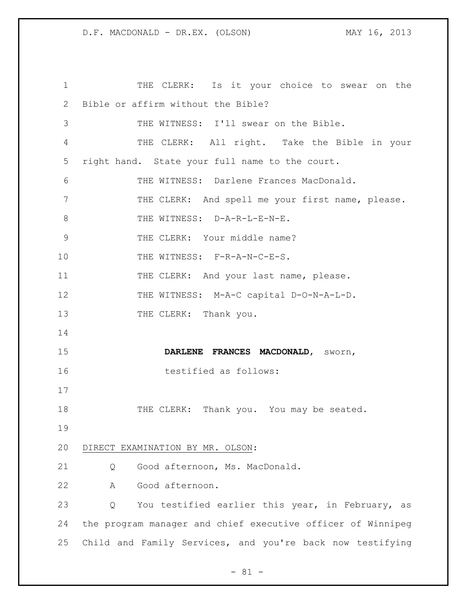THE CLERK: Is it your choice to swear on the Bible or affirm without the Bible? THE WITNESS: I'll swear on the Bible. THE CLERK: All right. Take the Bible in your right hand. State your full name to the court. THE WITNESS: Darlene Frances MacDonald. THE CLERK: And spell me your first name, please. 8 THE WITNESS: D-A-R-L-E-N-E. 9 THE CLERK: Your middle name? 10 THE WITNESS: F-R-A-N-C-E-S. 11 THE CLERK: And your last name, please. 12 THE WITNESS: M-A-C capital D-O-N-A-L-D. 13 THE CLERK: Thank you. **DARLENE FRANCES MACDONALD**, sworn, testified as follows: 18 THE CLERK: Thank you. You may be seated. DIRECT EXAMINATION BY MR. OLSON: Q Good afternoon, Ms. MacDonald. A Good afternoon. Q You testified earlier this year, in February, as the program manager and chief executive officer of Winnipeg Child and Family Services, and you're back now testifying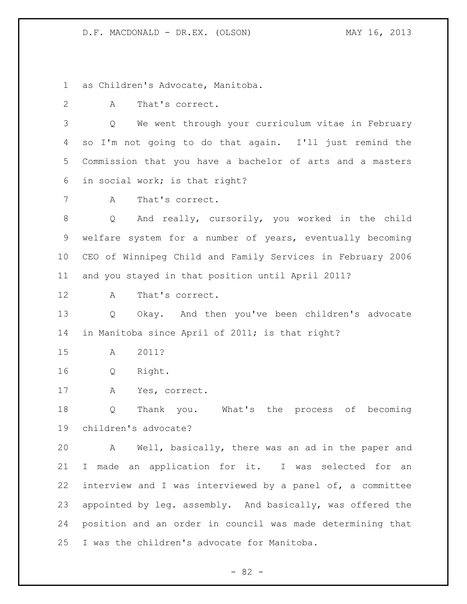as Children's Advocate, Manitoba.

A That's correct.

 Q We went through your curriculum vitae in February so I'm not going to do that again. I'll just remind the Commission that you have a bachelor of arts and a masters in social work; is that right?

A That's correct.

 Q And really, cursorily, you worked in the child welfare system for a number of years, eventually becoming CEO of Winnipeg Child and Family Services in February 2006 and you stayed in that position until April 2011?

A That's correct.

 Q Okay. And then you've been children's advocate in Manitoba since April of 2011; is that right?

A 2011?

Q Right.

A Yes, correct.

 Q Thank you. What's the process of becoming children's advocate?

 A Well, basically, there was an ad in the paper and I made an application for it. I was selected for an interview and I was interviewed by a panel of, a committee 23 appointed by leg. assembly. And basically, was offered the position and an order in council was made determining that I was the children's advocate for Manitoba.

- 82 -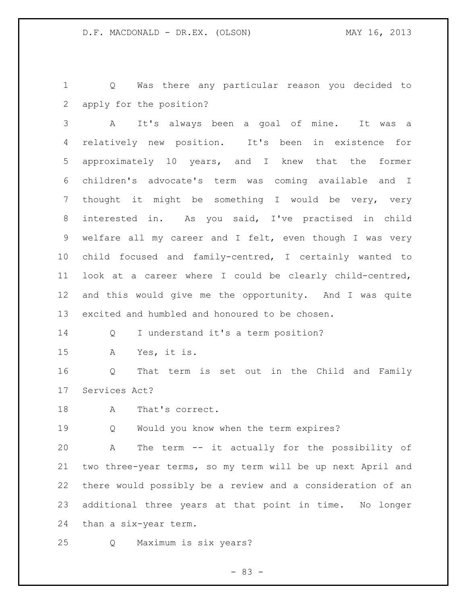Q Was there any particular reason you decided to apply for the position?

 A It's always been a goal of mine. It was a relatively new position. It's been in existence for approximately 10 years, and I knew that the former children's advocate's term was coming available and I thought it might be something I would be very, very interested in. As you said, I've practised in child welfare all my career and I felt, even though I was very child focused and family-centred, I certainly wanted to look at a career where I could be clearly child-centred, and this would give me the opportunity. And I was quite excited and humbled and honoured to be chosen.

Q I understand it's a term position?

A Yes, it is.

 Q That term is set out in the Child and Family Services Act?

18 A That's correct.

Q Would you know when the term expires?

 A The term -- it actually for the possibility of two three-year terms, so my term will be up next April and there would possibly be a review and a consideration of an additional three years at that point in time. No longer than a six-year term.

Q Maximum is six years?

- 83 -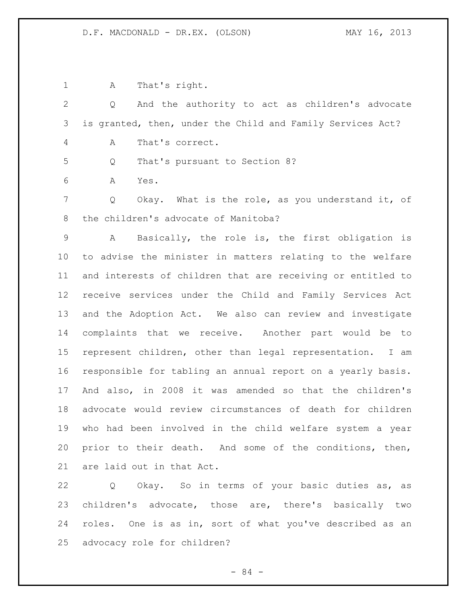A That's right. Q And the authority to act as children's advocate is granted, then, under the Child and Family Services Act? A That's correct. Q That's pursuant to Section 8? A Yes. Q Okay. What is the role, as you understand it, of the children's advocate of Manitoba? A Basically, the role is, the first obligation is to advise the minister in matters relating to the welfare and interests of children that are receiving or entitled to receive services under the Child and Family Services Act and the Adoption Act. We also can review and investigate complaints that we receive. Another part would be to represent children, other than legal representation. I am responsible for tabling an annual report on a yearly basis. And also, in 2008 it was amended so that the children's advocate would review circumstances of death for children who had been involved in the child welfare system a year prior to their death. And some of the conditions, then, are laid out in that Act.

 Q Okay. So in terms of your basic duties as, as children's advocate, those are, there's basically two roles. One is as in, sort of what you've described as an advocacy role for children?

- 84 -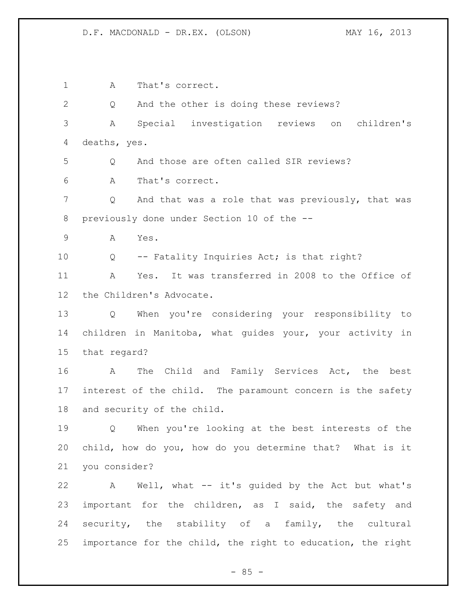A That's correct. Q And the other is doing these reviews? A Special investigation reviews on children's deaths, yes. Q And those are often called SIR reviews? A That's correct. 7 Q And that was a role that was previously, that was previously done under Section 10 of the -- A Yes. Q -- Fatality Inquiries Act; is that right? A Yes. It was transferred in 2008 to the Office of the Children's Advocate. Q When you're considering your responsibility to children in Manitoba, what guides your, your activity in that regard? A The Child and Family Services Act, the best interest of the child. The paramount concern is the safety and security of the child. Q When you're looking at the best interests of the child, how do you, how do you determine that? What is it you consider? A Well, what -- it's guided by the Act but what's important for the children, as I said, the safety and security, the stability of a family, the cultural importance for the child, the right to education, the right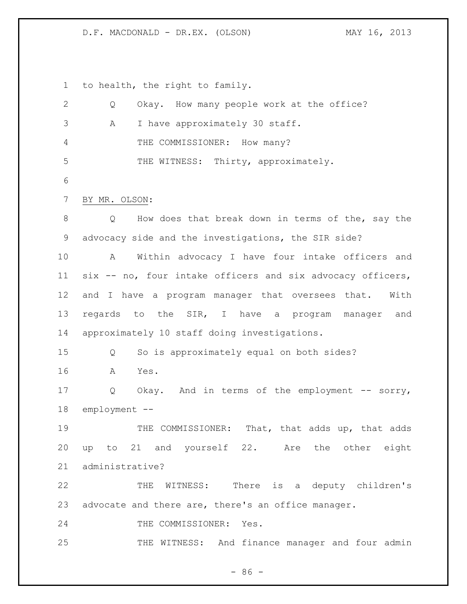to health, the right to family.

| $\mathbf{2}$ | Okay. How many people work at the office?<br>Q             |
|--------------|------------------------------------------------------------|
| 3            | I have approximately 30 staff.<br>Α                        |
| 4            | THE COMMISSIONER: How many?                                |
| 5            | THE WITNESS: Thirty, approximately.                        |
| 6            |                                                            |
| 7            | BY MR. OLSON:                                              |
| 8            | How does that break down in terms of the, say the<br>Q     |
| 9            | advocacy side and the investigations, the SIR side?        |
| 10           | Within advocacy I have four intake officers and<br>A       |
| 11           | six -- no, four intake officers and six advocacy officers, |
| 12           | and I have a program manager that oversees that.<br>With   |
| 13           | regards to the SIR, I have a program manager and           |
| 14           | approximately 10 staff doing investigations.               |
| 15           | So is approximately equal on both sides?<br>Q              |
| 16           | Α<br>Yes.                                                  |
| 17           | Q<br>Okay. And in terms of the employment -- sorry,        |
| 18           | employment --                                              |
| 19           | THE COMMISSIONER: That, that adds up, that adds            |
| 20           | up to 21 and yourself 22. Are the other eight              |
| 21           | administrative?                                            |
| 22           | WITNESS: There is a deputy children's<br>THE               |
| 23           | advocate and there are, there's an office manager.         |
| 24           | THE COMMISSIONER: Yes.                                     |
| 25           | THE WITNESS: And finance manager and four admin            |

- 86 -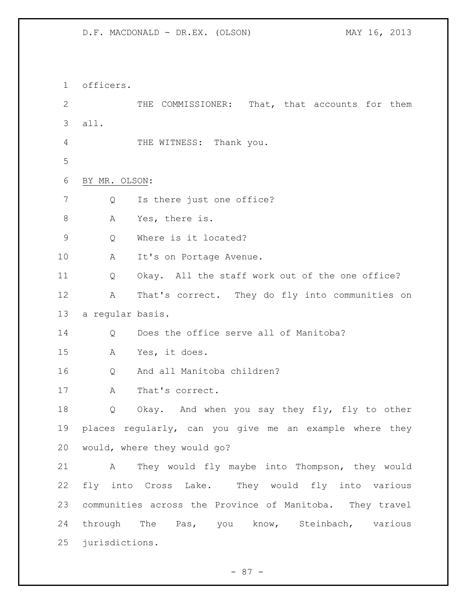officers. THE COMMISSIONER: That, that accounts for them all. 4 THE WITNESS: Thank you. BY MR. OLSON: 7 Q Is there just one office? A Yes, there is. Q Where is it located? 10 A It's on Portage Avenue. Q Okay. All the staff work out of the one office? A That's correct. They do fly into communities on a regular basis. 14 O Does the office serve all of Manitoba? A Yes, it does. Q And all Manitoba children? 17 A That's correct. Q Okay. And when you say they fly, fly to other places regularly, can you give me an example where they would, where they would go? A They would fly maybe into Thompson, they would fly into Cross Lake. They would fly into various communities across the Province of Manitoba. They travel through The Pas, you know, Steinbach, various jurisdictions.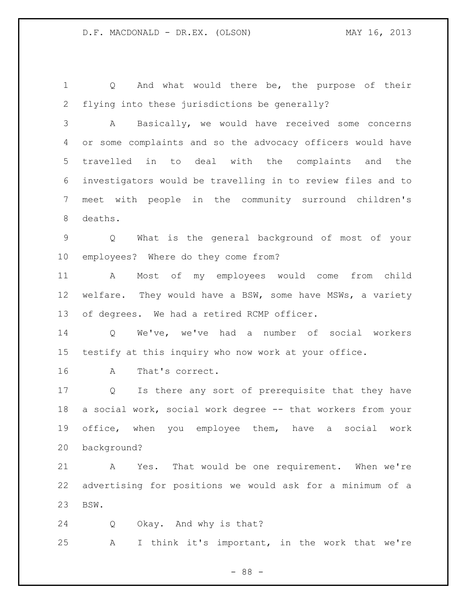Q And what would there be, the purpose of their flying into these jurisdictions be generally?

 A Basically, we would have received some concerns or some complaints and so the advocacy officers would have travelled in to deal with the complaints and the investigators would be travelling in to review files and to meet with people in the community surround children's deaths.

 Q What is the general background of most of your employees? Where do they come from?

 A Most of my employees would come from child welfare. They would have a BSW, some have MSWs, a variety of degrees. We had a retired RCMP officer.

 Q We've, we've had a number of social workers testify at this inquiry who now work at your office.

A That's correct.

 Q Is there any sort of prerequisite that they have a social work, social work degree -- that workers from your office, when you employee them, have a social work background?

 A Yes. That would be one requirement. When we're advertising for positions we would ask for a minimum of a BSW.

 Q Okay. And why is that? A I think it's important, in the work that we're

- 88 -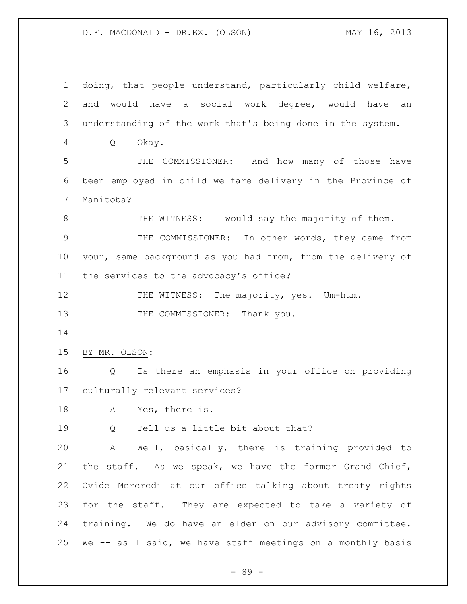doing, that people understand, particularly child welfare, and would have a social work degree, would have an understanding of the work that's being done in the system. Q Okay. THE COMMISSIONER: And how many of those have been employed in child welfare delivery in the Province of Manitoba? 8 THE WITNESS: I would say the majority of them. THE COMMISSIONER: In other words, they came from your, same background as you had from, from the delivery of the services to the advocacy's office? 12 THE WITNESS: The majority, yes. Um-hum. 13 THE COMMISSIONER: Thank you. BY MR. OLSON: Q Is there an emphasis in your office on providing culturally relevant services? A Yes, there is. Q Tell us a little bit about that? A Well, basically, there is training provided to the staff. As we speak, we have the former Grand Chief, Ovide Mercredi at our office talking about treaty rights for the staff. They are expected to take a variety of training. We do have an elder on our advisory committee. We -- as I said, we have staff meetings on a monthly basis

- 89 -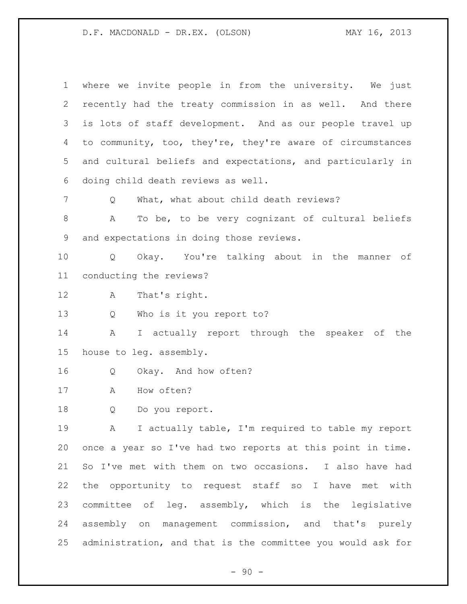| $\mathbf 1$ | where we invite people in from the university. We just      |
|-------------|-------------------------------------------------------------|
| 2           | recently had the treaty commission in as well. And there    |
| 3           | is lots of staff development. And as our people travel up   |
| 4           | to community, too, they're, they're aware of circumstances  |
| 5           | and cultural beliefs and expectations, and particularly in  |
| 6           | doing child death reviews as well.                          |
| 7           | What, what about child death reviews?<br>Q                  |
| $\,8\,$     | To be, to be very cognizant of cultural beliefs<br>A        |
| 9           | and expectations in doing those reviews.                    |
| 10          | Okay. You're talking about in the manner of<br>Q            |
| 11          | conducting the reviews?                                     |
| 12          | That's right.<br>A                                          |
| 13          | Who is it you report to?<br>Q                               |
| 14          | I actually report through the speaker of the<br>A           |
| 15          | house to leg. assembly.                                     |
| 16          | Okay. And how often?<br>Q                                   |
| 17          | How often?<br>A                                             |
| 18          | Q<br>Do you report.                                         |
| 19          | I actually table, I'm required to table my report<br>A      |
| 20          | once a year so I've had two reports at this point in time.  |
| 21          | So I've met with them on two occasions. I also have had     |
| 22          | the opportunity to request staff so I have met with         |
| 23          | committee of leg. assembly, which is the legislative        |
| 24          | assembly on management commission, and that's purely        |
| 25          | administration, and that is the committee you would ask for |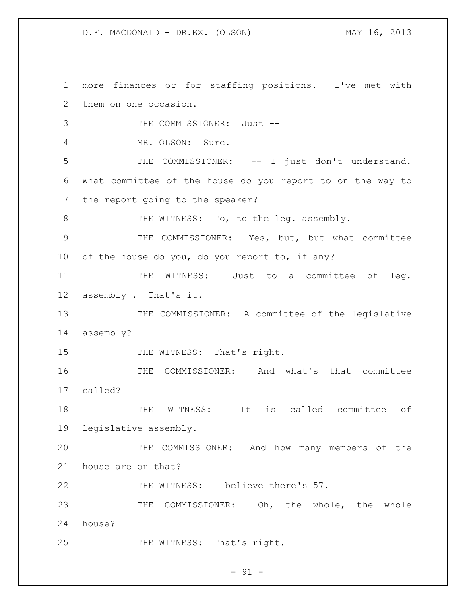1 more finances or for staffing positions. I've met with 2 them on one occasion. 3 THE COMMISSIONER: Just --4 MR. OLSON: Sure. 5 THE COMMISSIONER: -- I just don't understand. 6 What committee of the house do you report to on the way to 7 the report going to the speaker? 8 THE WITNESS: To, to the leg. assembly. 9 THE COMMISSIONER: Yes, but, but what committee 10 of the house do you, do you report to, if any? 11 THE WITNESS: Just to a committee of leg. 12 assembly. That's it. 13 THE COMMISSIONER: A committee of the legislative 14 assembly? 15 THE WITNESS: That's right. 16 THE COMMISSIONER: And what's that committee 17 called? 18 THE WITNESS: It is called committee of 19 legislative assembly. 20 THE COMMISSIONER: And how many members of the 21 house are on that? 22 THE WITNESS: I believe there's 57. 23 THE COMMISSIONER: Oh, the whole, the whole 24 house? 25 THE WITNESS: That's right.

 $-91 -$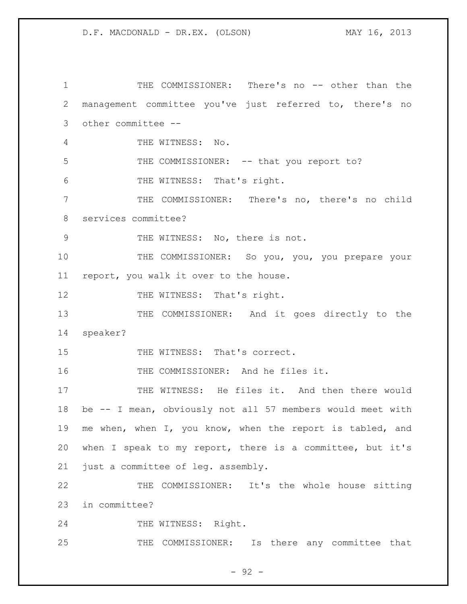1 THE COMMISSIONER: There's no -- other than the management committee you've just referred to, there's no other committee -- THE WITNESS: No. 5 THE COMMISSIONER: -- that you report to? THE WITNESS: That's right. THE COMMISSIONER: There's no, there's no child services committee? 9 THE WITNESS: No, there is not. 10 THE COMMISSIONER: So you, you, you prepare your report, you walk it over to the house. 12 THE WITNESS: That's right. THE COMMISSIONER: And it goes directly to the speaker? 15 THE WITNESS: That's correct. THE COMMISSIONER: And he files it. THE WITNESS: He files it. And then there would be -- I mean, obviously not all 57 members would meet with me when, when I, you know, when the report is tabled, and when I speak to my report, there is a committee, but it's just a committee of leg. assembly. THE COMMISSIONER: It's the whole house sitting in committee? 24 THE WITNESS: Right. THE COMMISSIONER: Is there any committee that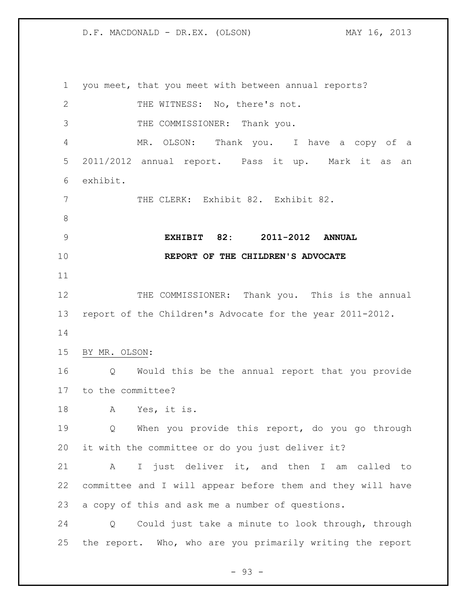you meet, that you meet with between annual reports? 2 THE WITNESS: No, there's not. THE COMMISSIONER: Thank you. MR. OLSON: Thank you. I have a copy of a 2011/2012 annual report. Pass it up. Mark it as an exhibit. THE CLERK: Exhibit 82. Exhibit 82. **EXHIBIT 82: 2011-2012 ANNUAL REPORT OF THE CHILDREN'S ADVOCATE** THE COMMISSIONER: Thank you. This is the annual report of the Children's Advocate for the year 2011-2012. BY MR. OLSON: Q Would this be the annual report that you provide to the committee? A Yes, it is. Q When you provide this report, do you go through it with the committee or do you just deliver it? A I just deliver it, and then I am called to committee and I will appear before them and they will have a copy of this and ask me a number of questions. Q Could just take a minute to look through, through the report. Who, who are you primarily writing the report

 $-93 -$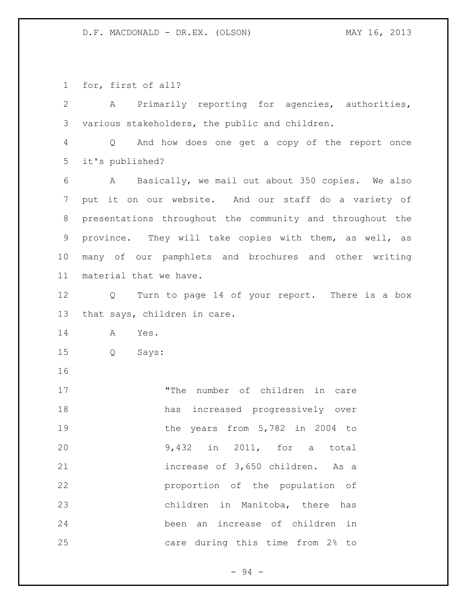for, first of all?

 A Primarily reporting for agencies, authorities, various stakeholders, the public and children. Q And how does one get a copy of the report once it's published? A Basically, we mail out about 350 copies. We also put it on our website. And our staff do a variety of presentations throughout the community and throughout the province. They will take copies with them, as well, as many of our pamphlets and brochures and other writing material that we have. Q Turn to page 14 of your report. There is a box that says, children in care. A Yes. Q Says: "The number of children in care has increased progressively over 19 the years from 5,782 in 2004 to 9,432 in 2011, for a total increase of 3,650 children. As a proportion of the population of children in Manitoba, there has been an increase of children in care during this time from 2% to

 $-94 -$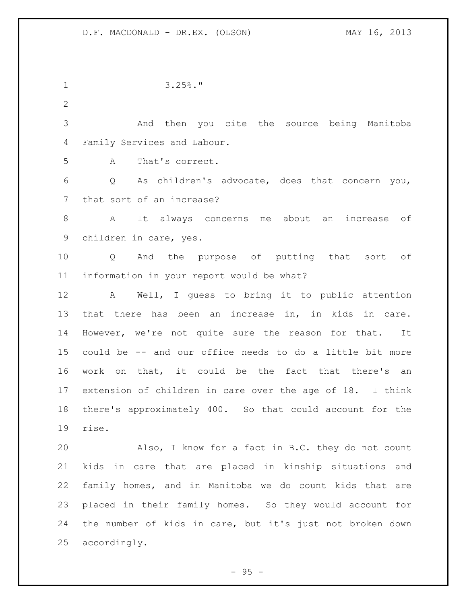3.25%." And then you cite the source being Manitoba Family Services and Labour. A That's correct. Q As children's advocate, does that concern you, that sort of an increase? A It always concerns me about an increase of children in care, yes. Q And the purpose of putting that sort of information in your report would be what? A Well, I guess to bring it to public attention that there has been an increase in, in kids in care. However, we're not quite sure the reason for that. It could be -- and our office needs to do a little bit more work on that, it could be the fact that there's an extension of children in care over the age of 18. I think there's approximately 400. So that could account for the rise. Also, I know for a fact in B.C. they do not count kids in care that are placed in kinship situations and family homes, and in Manitoba we do count kids that are placed in their family homes. So they would account for the number of kids in care, but it's just not broken down accordingly.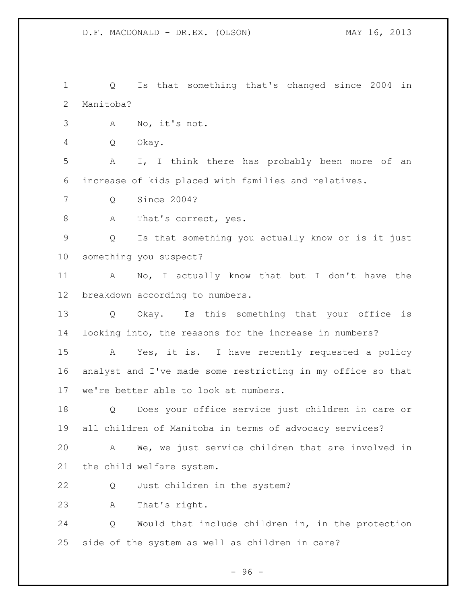Q Is that something that's changed since 2004 in Manitoba? A No, it's not. Q Okay. A I, I think there has probably been more of an increase of kids placed with families and relatives. Q Since 2004? 8 A That's correct, yes. Q Is that something you actually know or is it just something you suspect? A No, I actually know that but I don't have the breakdown according to numbers. Q Okay. Is this something that your office is looking into, the reasons for the increase in numbers? A Yes, it is. I have recently requested a policy analyst and I've made some restricting in my office so that we're better able to look at numbers. Q Does your office service just children in care or all children of Manitoba in terms of advocacy services? A We, we just service children that are involved in the child welfare system. Q Just children in the system? A That's right. Q Would that include children in, in the protection side of the system as well as children in care?

 $-96 -$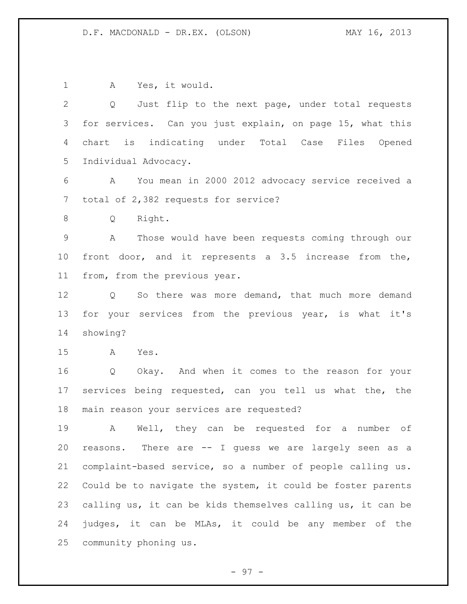A Yes, it would. Q Just flip to the next page, under total requests for services. Can you just explain, on page 15, what this chart is indicating under Total Case Files Opened Individual Advocacy. A You mean in 2000 2012 advocacy service received a total of 2,382 requests for service? Q Right. A Those would have been requests coming through our front door, and it represents a 3.5 increase from the, from, from the previous year. Q So there was more demand, that much more demand 13 for your services from the previous year, is what it's showing? A Yes. Q Okay. And when it comes to the reason for your services being requested, can you tell us what the, the main reason your services are requested? A Well, they can be requested for a number of reasons. There are -- I guess we are largely seen as a complaint-based service, so a number of people calling us. Could be to navigate the system, it could be foster parents calling us, it can be kids themselves calling us, it can be judges, it can be MLAs, it could be any member of the community phoning us.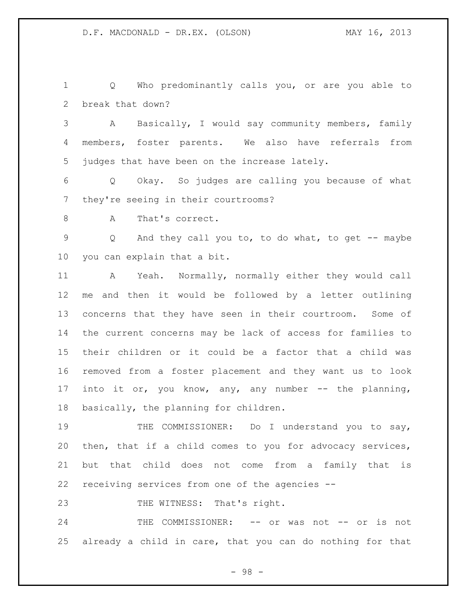Q Who predominantly calls you, or are you able to break that down?

 A Basically, I would say community members, family members, foster parents. We also have referrals from judges that have been on the increase lately.

 Q Okay. So judges are calling you because of what they're seeing in their courtrooms?

8 A That's correct.

 Q And they call you to, to do what, to get -- maybe you can explain that a bit.

 A Yeah. Normally, normally either they would call me and then it would be followed by a letter outlining concerns that they have seen in their courtroom. Some of the current concerns may be lack of access for families to their children or it could be a factor that a child was removed from a foster placement and they want us to look into it or, you know, any, any number -- the planning, basically, the planning for children.

19 THE COMMISSIONER: Do I understand you to say, then, that if a child comes to you for advocacy services, but that child does not come from a family that is receiving services from one of the agencies --

23 THE WITNESS: That's right.

24 THE COMMISSIONER: -- or was not -- or is not already a child in care, that you can do nothing for that

- 98 -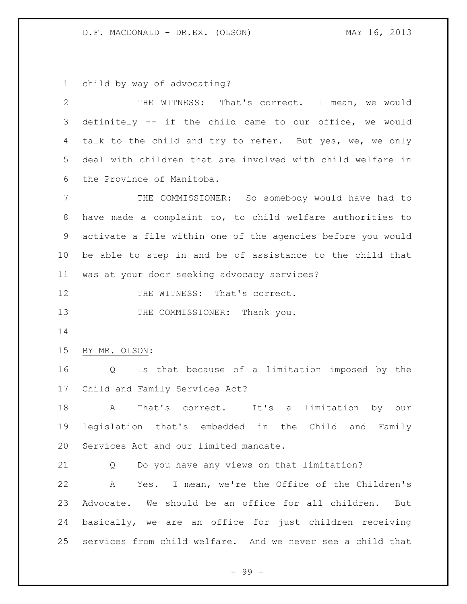child by way of advocating?

 THE WITNESS: That's correct. I mean, we would definitely -- if the child came to our office, we would 4 talk to the child and try to refer. But yes, we, we only deal with children that are involved with child welfare in the Province of Manitoba.

 THE COMMISSIONER: So somebody would have had to have made a complaint to, to child welfare authorities to activate a file within one of the agencies before you would be able to step in and be of assistance to the child that was at your door seeking advocacy services?

12 THE WITNESS: That's correct.

13 THE COMMISSIONER: Thank you.

BY MR. OLSON:

 Q Is that because of a limitation imposed by the Child and Family Services Act?

 A That's correct. It's a limitation by our legislation that's embedded in the Child and Family Services Act and our limited mandate.

Q Do you have any views on that limitation?

 A Yes. I mean, we're the Office of the Children's Advocate. We should be an office for all children. But basically, we are an office for just children receiving services from child welfare. And we never see a child that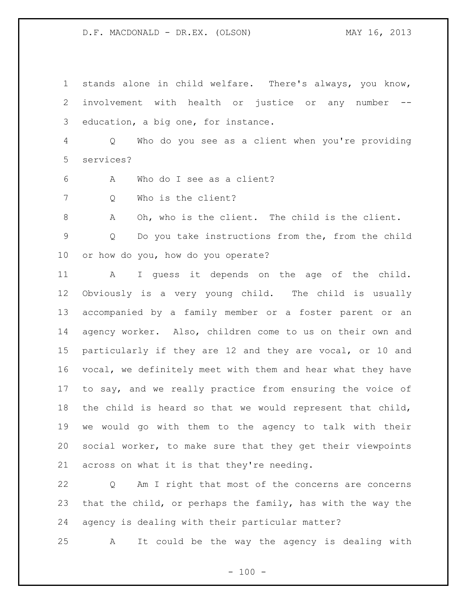stands alone in child welfare. There's always, you know, involvement with health or justice or any number -- education, a big one, for instance.

 Q Who do you see as a client when you're providing services?

A Who do I see as a client?

Q Who is the client?

A Oh, who is the client. The child is the client.

 Q Do you take instructions from the, from the child or how do you, how do you operate?

 A I guess it depends on the age of the child. Obviously is a very young child. The child is usually accompanied by a family member or a foster parent or an agency worker. Also, children come to us on their own and particularly if they are 12 and they are vocal, or 10 and vocal, we definitely meet with them and hear what they have to say, and we really practice from ensuring the voice of the child is heard so that we would represent that child, we would go with them to the agency to talk with their social worker, to make sure that they get their viewpoints across on what it is that they're needing.

 Q Am I right that most of the concerns are concerns that the child, or perhaps the family, has with the way the agency is dealing with their particular matter?

A It could be the way the agency is dealing with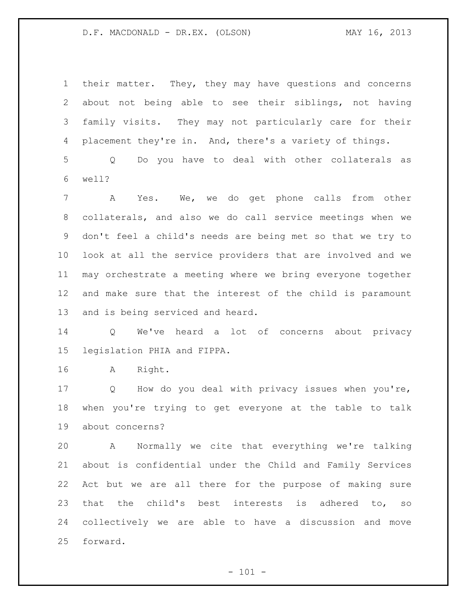their matter. They, they may have questions and concerns about not being able to see their siblings, not having family visits. They may not particularly care for their placement they're in. And, there's a variety of things.

 Q Do you have to deal with other collaterals as well?

 A Yes. We, we do get phone calls from other collaterals, and also we do call service meetings when we don't feel a child's needs are being met so that we try to look at all the service providers that are involved and we may orchestrate a meeting where we bring everyone together and make sure that the interest of the child is paramount and is being serviced and heard.

 Q We've heard a lot of concerns about privacy legislation PHIA and FIPPA.

A Right.

 Q How do you deal with privacy issues when you're, when you're trying to get everyone at the table to talk about concerns?

 A Normally we cite that everything we're talking about is confidential under the Child and Family Services Act but we are all there for the purpose of making sure that the child's best interests is adhered to, so collectively we are able to have a discussion and move forward.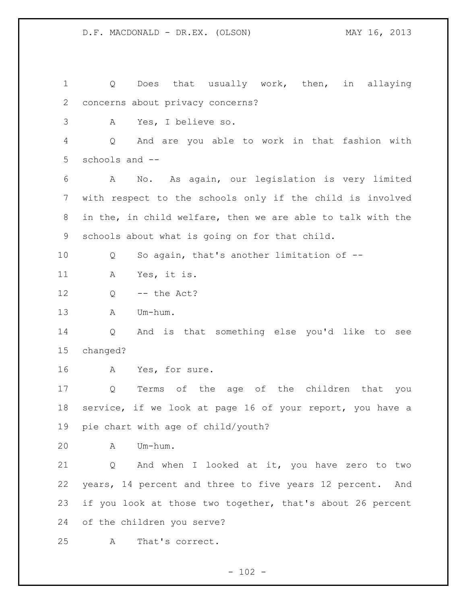Q Does that usually work, then, in allaying concerns about privacy concerns? A Yes, I believe so. Q And are you able to work in that fashion with schools and -- A No. As again, our legislation is very limited with respect to the schools only if the child is involved in the, in child welfare, then we are able to talk with the schools about what is going on for that child. Q So again, that's another limitation of -- A Yes, it is. Q -- the Act? A Um-hum. Q And is that something else you'd like to see changed? A Yes, for sure. Q Terms of the age of the children that you service, if we look at page 16 of your report, you have a pie chart with age of child/youth? A Um-hum. Q And when I looked at it, you have zero to two years, 14 percent and three to five years 12 percent. And if you look at those two together, that's about 26 percent of the children you serve? A That's correct.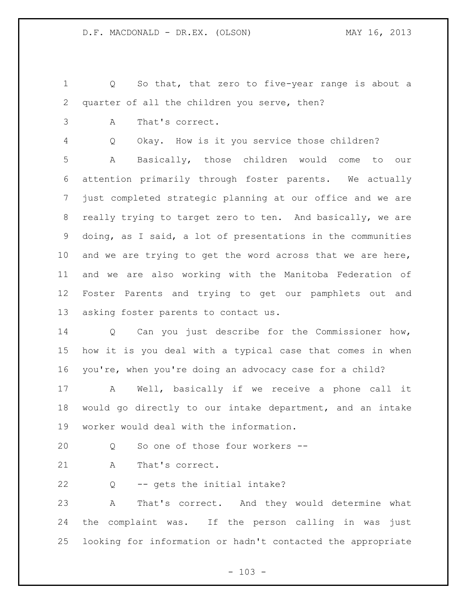Q So that, that zero to five-year range is about a quarter of all the children you serve, then?

A That's correct.

Q Okay. How is it you service those children?

 A Basically, those children would come to our attention primarily through foster parents. We actually just completed strategic planning at our office and we are really trying to target zero to ten. And basically, we are doing, as I said, a lot of presentations in the communities and we are trying to get the word across that we are here, and we are also working with the Manitoba Federation of Foster Parents and trying to get our pamphlets out and asking foster parents to contact us.

 Q Can you just describe for the Commissioner how, how it is you deal with a typical case that comes in when you're, when you're doing an advocacy case for a child?

 A Well, basically if we receive a phone call it would go directly to our intake department, and an intake worker would deal with the information.

20 0 So one of those four workers --

21 A That's correct.

Q -- gets the initial intake?

 A That's correct. And they would determine what the complaint was. If the person calling in was just looking for information or hadn't contacted the appropriate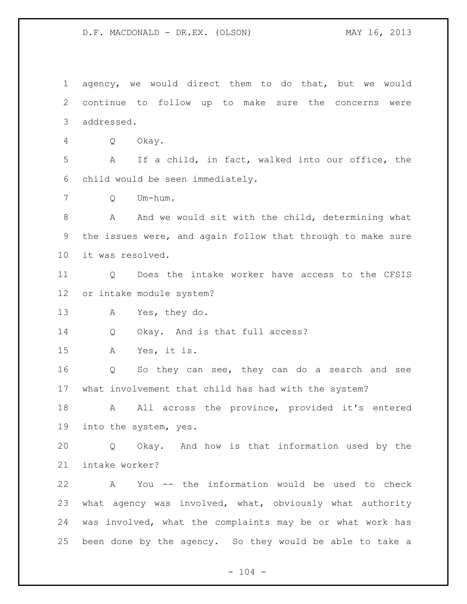agency, we would direct them to do that, but we would continue to follow up to make sure the concerns were addressed.

Q Okay.

 A If a child, in fact, walked into our office, the child would be seen immediately.

Q Um-hum.

8 A And we would sit with the child, determining what the issues were, and again follow that through to make sure it was resolved.

 Q Does the intake worker have access to the CFSIS or intake module system?

A Yes, they do.

Q Okay. And is that full access?

A Yes, it is.

 Q So they can see, they can do a search and see what involvement that child has had with the system?

18 A All across the province, provided it's entered into the system, yes.

 Q Okay. And how is that information used by the intake worker?

 A You -- the information would be used to check what agency was involved, what, obviously what authority was involved, what the complaints may be or what work has been done by the agency. So they would be able to take a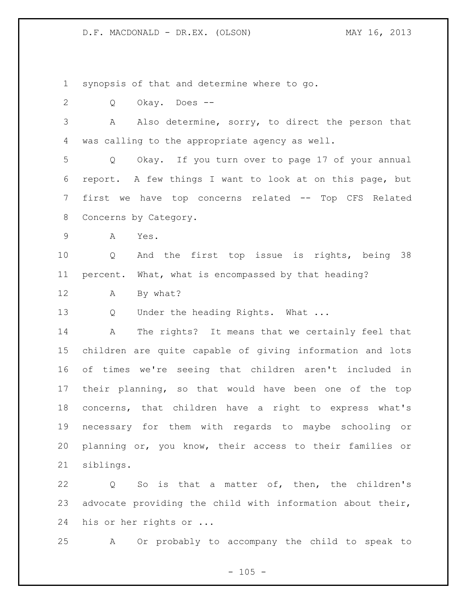synopsis of that and determine where to go.

2 O Okay. Does --

 A Also determine, sorry, to direct the person that was calling to the appropriate agency as well.

 Q Okay. If you turn over to page 17 of your annual report. A few things I want to look at on this page, but first we have top concerns related -- Top CFS Related Concerns by Category.

A Yes.

 Q And the first top issue is rights, being 38 percent. What, what is encompassed by that heading?

A By what?

13 Q Under the heading Rights. What ...

 A The rights? It means that we certainly feel that children are quite capable of giving information and lots of times we're seeing that children aren't included in their planning, so that would have been one of the top concerns, that children have a right to express what's necessary for them with regards to maybe schooling or planning or, you know, their access to their families or siblings.

22 Q So is that a matter of, then, the children's advocate providing the child with information about their, his or her rights or ...

A Or probably to accompany the child to speak to

 $- 105 -$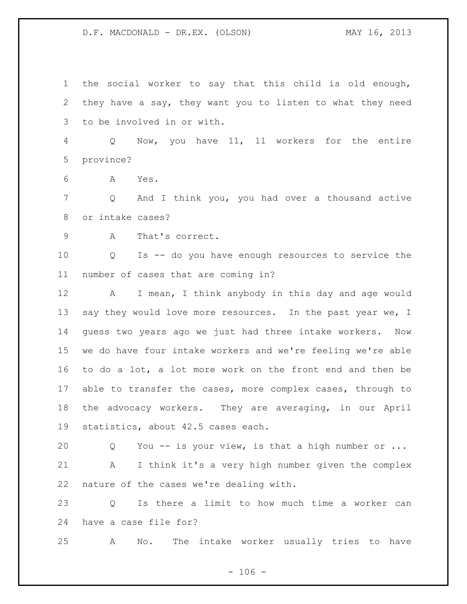the social worker to say that this child is old enough, they have a say, they want you to listen to what they need to be involved in or with.

 Q Now, you have 11, 11 workers for the entire province?

A Yes.

 Q And I think you, you had over a thousand active or intake cases?

A That's correct.

 Q Is -- do you have enough resources to service the number of cases that are coming in?

 A I mean, I think anybody in this day and age would 13 say they would love more resources. In the past year we, I guess two years ago we just had three intake workers. Now we do have four intake workers and we're feeling we're able to do a lot, a lot more work on the front end and then be able to transfer the cases, more complex cases, through to the advocacy workers. They are averaging, in our April statistics, about 42.5 cases each.

 Q You -- is your view, is that a high number or ... A I think it's a very high number given the complex nature of the cases we're dealing with.

 Q Is there a limit to how much time a worker can have a case file for?

A No. The intake worker usually tries to have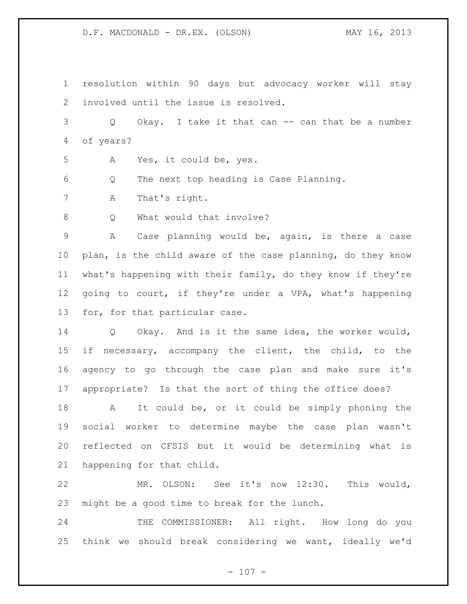resolution within 90 days but advocacy worker will stay involved until the issue is resolved.

 Q Okay. I take it that can -- can that be a number of years?

A Yes, it could be, yes.

Q The next top heading is Case Planning.

A That's right.

8 O What would that involve?

 A Case planning would be, again, is there a case plan, is the child aware of the case planning, do they know what's happening with their family, do they know if they're going to court, if they're under a VPA, what's happening for, for that particular case.

 Q Okay. And is it the same idea, the worker would, if necessary, accompany the client, the child, to the agency to go through the case plan and make sure it's appropriate? Is that the sort of thing the office does?

 A It could be, or it could be simply phoning the social worker to determine maybe the case plan wasn't reflected on CFSIS but it would be determining what is happening for that child.

 MR. OLSON: See it's now 12:30. This would, might be a good time to break for the lunch.

 THE COMMISSIONER: All right. How long do you think we should break considering we want, ideally we'd

 $- 107 -$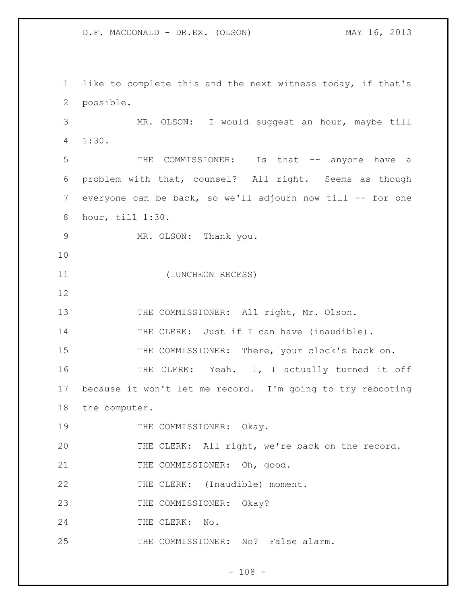1 like to complete this and the next witness today, if that's 2 possible. 3 MR. OLSON: I would suggest an hour, maybe till 4 1:30. 5 THE COMMISSIONER: Is that -- anyone have a 6 problem with that, counsel? All right. Seems as though 7 everyone can be back, so we'll adjourn now till -- for one 8 hour, till 1:30. 9 MR. OLSON: Thank you. 10 11 (LUNCHEON RECESS) 12 13 THE COMMISSIONER: All right, Mr. Olson. 14 THE CLERK: Just if I can have (inaudible). 15 THE COMMISSIONER: There, your clock's back on. 16 THE CLERK: Yeah. I, I actually turned it off 17 because it won't let me record. I'm going to try rebooting 18 the computer. 19 THE COMMISSIONER: Okay. 20 THE CLERK: All right, we're back on the record. 21 THE COMMISSIONER: Oh, good. 22 THE CLERK: (Inaudible) moment. 23 THE COMMISSIONER: Okay? 24 THE CLERK: No. 25 THE COMMISSIONER: No? False alarm.

 $- 108 -$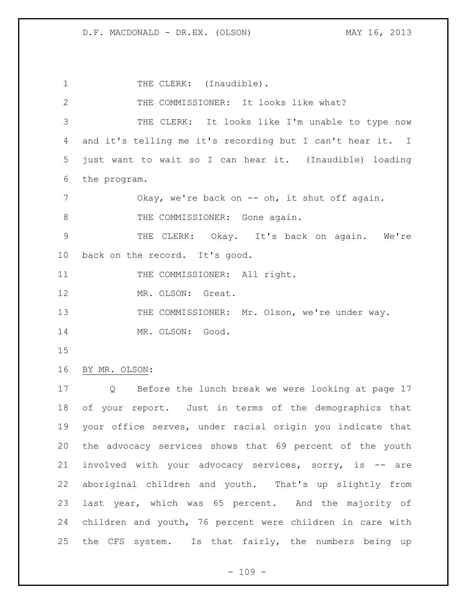1 THE CLERK: (Inaudible). THE COMMISSIONER: It looks like what? THE CLERK: It looks like I'm unable to type now and it's telling me it's recording but I can't hear it. I just want to wait so I can hear it. (Inaudible) loading the program. 7 Okay, we're back on -- oh, it shut off again. 8 THE COMMISSIONER: Gone again. THE CLERK: Okay. It's back on again. We're back on the record. It's good. 11 THE COMMISSIONER: All right. 12 MR. OLSON: Great. THE COMMISSIONER: Mr. Olson, we're under way. 14 MR. OLSON: Good. BY MR. OLSON: Q Before the lunch break we were looking at page 17 of your report. Just in terms of the demographics that your office serves, under racial origin you indicate that the advocacy services shows that 69 percent of the youth involved with your advocacy services, sorry, is -- are aboriginal children and youth. That's up slightly from last year, which was 65 percent. And the majority of children and youth, 76 percent were children in care with the CFS system. Is that fairly, the numbers being up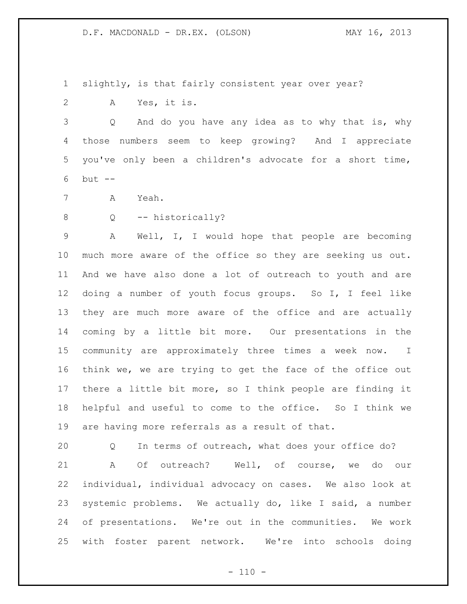slightly, is that fairly consistent year over year?

A Yes, it is.

 Q And do you have any idea as to why that is, why those numbers seem to keep growing? And I appreciate you've only been a children's advocate for a short time, but --

- A Yeah.
- 

## 8 0 -- historically?

 A Well, I, I would hope that people are becoming much more aware of the office so they are seeking us out. And we have also done a lot of outreach to youth and are doing a number of youth focus groups. So I, I feel like they are much more aware of the office and are actually coming by a little bit more. Our presentations in the community are approximately three times a week now. I think we, we are trying to get the face of the office out there a little bit more, so I think people are finding it helpful and useful to come to the office. So I think we are having more referrals as a result of that.

 Q In terms of outreach, what does your office do? A Of outreach? Well, of course, we do our individual, individual advocacy on cases. We also look at systemic problems. We actually do, like I said, a number of presentations. We're out in the communities. We work with foster parent network. We're into schools doing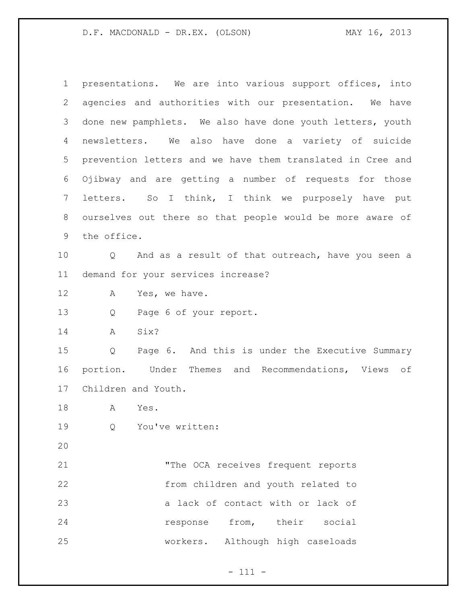presentations. We are into various support offices, into agencies and authorities with our presentation. We have done new pamphlets. We also have done youth letters, youth newsletters. We also have done a variety of suicide prevention letters and we have them translated in Cree and Ojibway and are getting a number of requests for those letters. So I think, I think we purposely have put ourselves out there so that people would be more aware of the office. Q And as a result of that outreach, have you seen a demand for your services increase? 12 A Yes, we have. Q Page 6 of your report. A Six? Q Page 6. And this is under the Executive Summary portion. Under Themes and Recommendations, Views of Children and Youth. A Yes. Q You've written: "The OCA receives frequent reports from children and youth related to 23 a lack of contact with or lack of response from, their social workers. Although high caseloads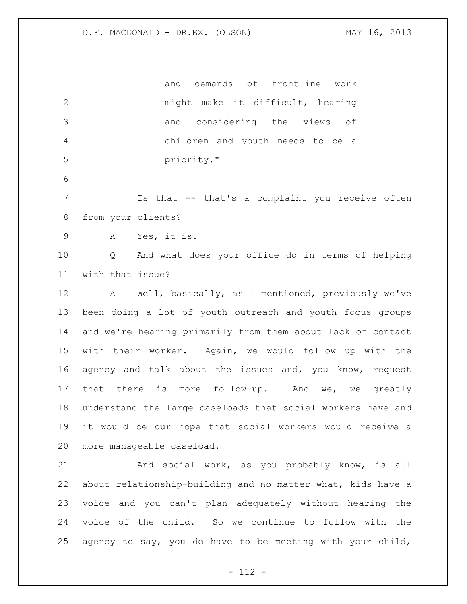and demands of frontline work might make it difficult, hearing and considering the views of children and youth needs to be a priority." Is that -- that's a complaint you receive often from your clients? A Yes, it is. Q And what does your office do in terms of helping with that issue? A Well, basically, as I mentioned, previously we've been doing a lot of youth outreach and youth focus groups and we're hearing primarily from them about lack of contact with their worker. Again, we would follow up with the agency and talk about the issues and, you know, request that there is more follow-up. And we, we greatly understand the large caseloads that social workers have and it would be our hope that social workers would receive a more manageable caseload. And social work, as you probably know, is all about relationship-building and no matter what, kids have a voice and you can't plan adequately without hearing the voice of the child. So we continue to follow with the 25 agency to say, you do have to be meeting with your child,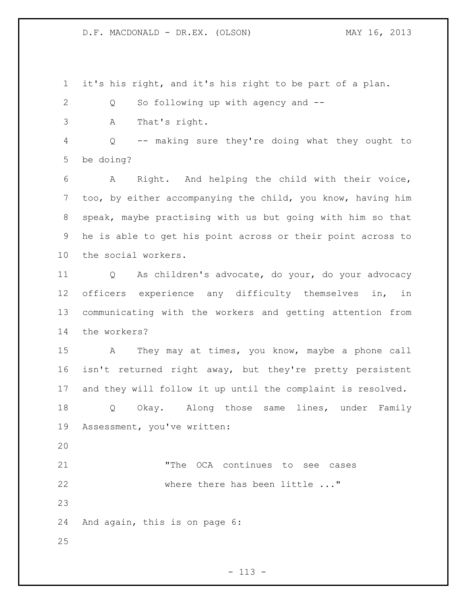it's his right, and it's his right to be part of a plan.

2 Q So following up with agency and --

A That's right.

 Q -- making sure they're doing what they ought to be doing?

 A Right. And helping the child with their voice, too, by either accompanying the child, you know, having him speak, maybe practising with us but going with him so that he is able to get his point across or their point across to the social workers.

 Q As children's advocate, do your, do your advocacy officers experience any difficulty themselves in, in communicating with the workers and getting attention from the workers?

 A They may at times, you know, maybe a phone call isn't returned right away, but they're pretty persistent and they will follow it up until the complaint is resolved.

 Q Okay. Along those same lines, under Family Assessment, you've written:

 "The OCA continues to see cases 22 where there has been little ..."

And again, this is on page 6: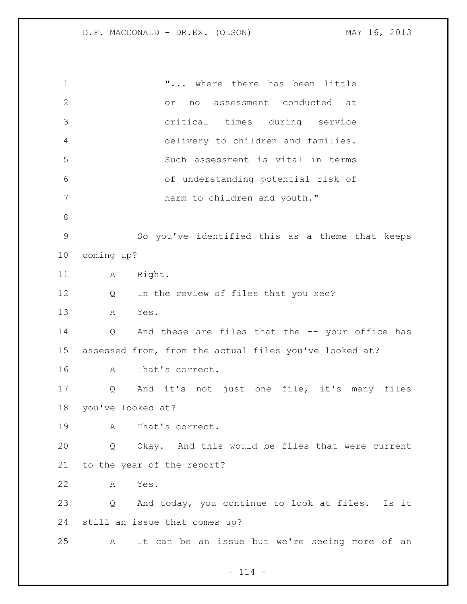"... where there has been little or no assessment conducted at critical times during service delivery to children and families. Such assessment is vital in terms of understanding potential risk of 7 harm to children and youth." So you've identified this as a theme that keeps coming up? 11 A Right. Q In the review of files that you see? A Yes. Q And these are files that the -- your office has assessed from, from the actual files you've looked at? A That's correct. Q And it's not just one file, it's many files you've looked at? A That's correct. Q Okay. And this would be files that were current to the year of the report? A Yes. Q And today, you continue to look at files. Is it still an issue that comes up? A It can be an issue but we're seeing more of an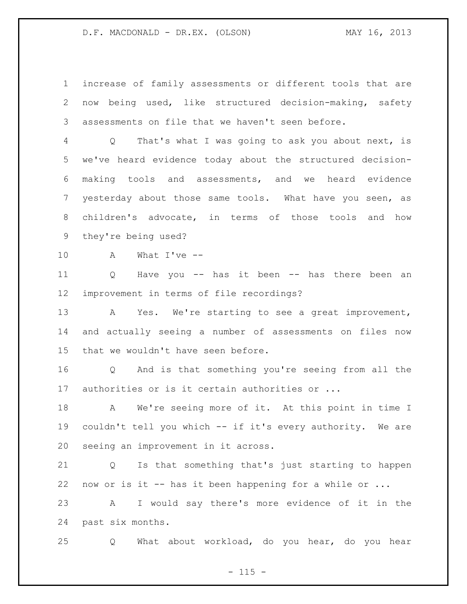increase of family assessments or different tools that are now being used, like structured decision-making, safety assessments on file that we haven't seen before.

 Q That's what I was going to ask you about next, is we've heard evidence today about the structured decision- making tools and assessments, and we heard evidence yesterday about those same tools. What have you seen, as children's advocate, in terms of those tools and how they're being used?

A What I've --

 Q Have you -- has it been -- has there been an improvement in terms of file recordings?

 A Yes. We're starting to see a great improvement, and actually seeing a number of assessments on files now that we wouldn't have seen before.

 Q And is that something you're seeing from all the authorities or is it certain authorities or ...

 A We're seeing more of it. At this point in time I couldn't tell you which -- if it's every authority. We are seeing an improvement in it across.

 Q Is that something that's just starting to happen now or is it -- has it been happening for a while or ...

 A I would say there's more evidence of it in the past six months.

Q What about workload, do you hear, do you hear

 $- 115 -$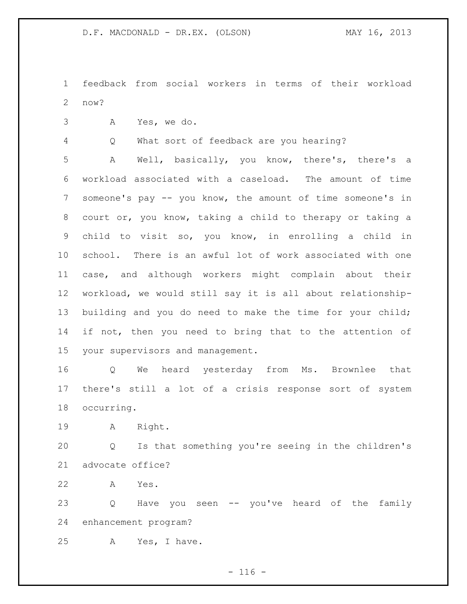feedback from social workers in terms of their workload now?

A Yes, we do.

Q What sort of feedback are you hearing?

 A Well, basically, you know, there's, there's a workload associated with a caseload. The amount of time someone's pay -- you know, the amount of time someone's in court or, you know, taking a child to therapy or taking a child to visit so, you know, in enrolling a child in school. There is an awful lot of work associated with one case, and although workers might complain about their workload, we would still say it is all about relationship- building and you do need to make the time for your child; 14 if not, then you need to bring that to the attention of your supervisors and management.

 Q We heard yesterday from Ms. Brownlee that there's still a lot of a crisis response sort of system occurring.

A Right.

 Q Is that something you're seeing in the children's advocate office?

A Yes.

 Q Have you seen -- you've heard of the family enhancement program?

A Yes, I have.

 $- 116 -$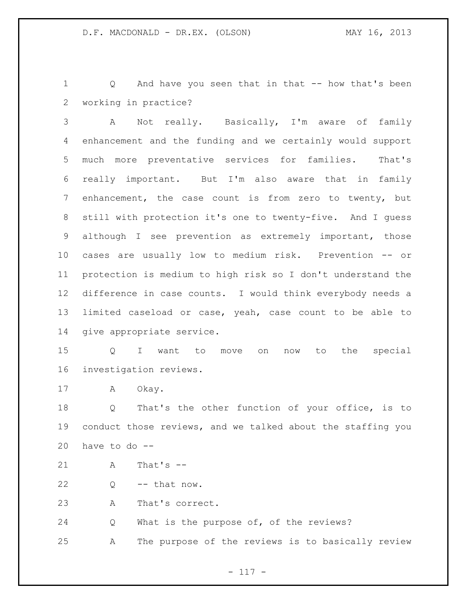Q And have you seen that in that -- how that's been working in practice?

 A Not really. Basically, I'm aware of family enhancement and the funding and we certainly would support much more preventative services for families. That's really important. But I'm also aware that in family enhancement, the case count is from zero to twenty, but still with protection it's one to twenty-five. And I guess although I see prevention as extremely important, those cases are usually low to medium risk. Prevention -- or protection is medium to high risk so I don't understand the difference in case counts. I would think everybody needs a limited caseload or case, yeah, case count to be able to give appropriate service.

 Q I want to move on now to the special investigation reviews.

17 A Okay.

 Q That's the other function of your office, is to conduct those reviews, and we talked about the staffing you 20 have to do  $-$ 

A That's --

 $22 \qquad Q \qquad -- \text{ that now.}$ 

A That's correct.

Q What is the purpose of, of the reviews?

A The purpose of the reviews is to basically review

- 117 -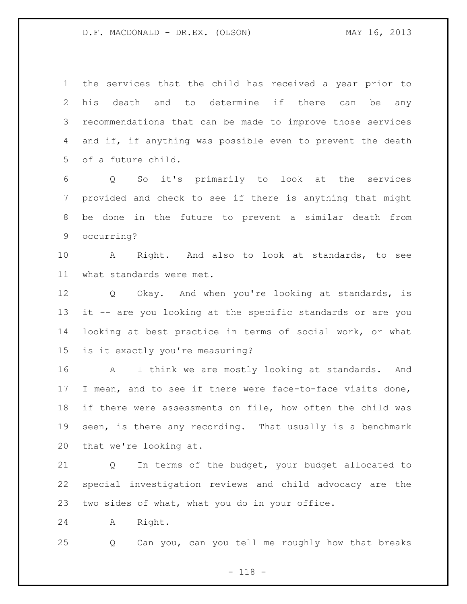the services that the child has received a year prior to his death and to determine if there can be any recommendations that can be made to improve those services and if, if anything was possible even to prevent the death of a future child.

 Q So it's primarily to look at the services provided and check to see if there is anything that might be done in the future to prevent a similar death from occurring?

 A Right. And also to look at standards, to see what standards were met.

 Q Okay. And when you're looking at standards, is it -- are you looking at the specific standards or are you looking at best practice in terms of social work, or what is it exactly you're measuring?

 A I think we are mostly looking at standards. And I mean, and to see if there were face-to-face visits done, if there were assessments on file, how often the child was seen, is there any recording. That usually is a benchmark that we're looking at.

 Q In terms of the budget, your budget allocated to special investigation reviews and child advocacy are the two sides of what, what you do in your office.

A Right.

Q Can you, can you tell me roughly how that breaks

- 118 -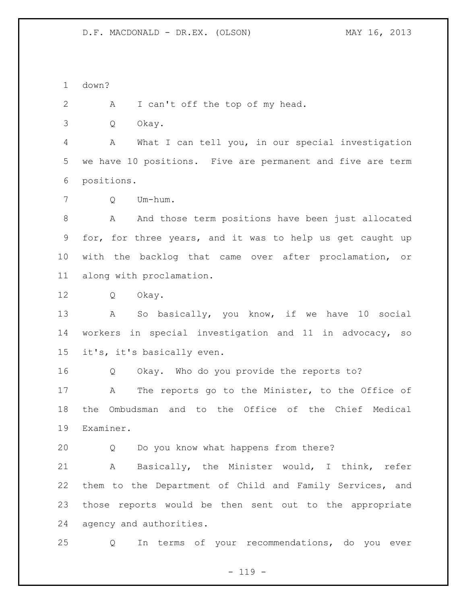down?

A I can't off the top of my head.

Q Okay.

 A What I can tell you, in our special investigation we have 10 positions. Five are permanent and five are term positions.

Q Um-hum.

 A And those term positions have been just allocated for, for three years, and it was to help us get caught up with the backlog that came over after proclamation, or along with proclamation.

Q Okay.

 A So basically, you know, if we have 10 social workers in special investigation and 11 in advocacy, so it's, it's basically even.

Q Okay. Who do you provide the reports to?

 A The reports go to the Minister, to the Office of the Ombudsman and to the Office of the Chief Medical Examiner.

Q Do you know what happens from there?

 A Basically, the Minister would, I think, refer them to the Department of Child and Family Services, and those reports would be then sent out to the appropriate agency and authorities.

Q In terms of your recommendations, do you ever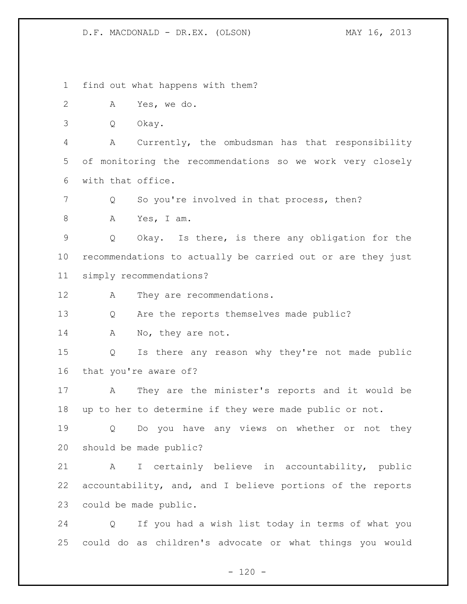$- 120 -$  find out what happens with them? A Yes, we do. Q Okay. A Currently, the ombudsman has that responsibility of monitoring the recommendations so we work very closely with that office. 7 Q So you're involved in that process, then? A Yes, I am. Q Okay. Is there, is there any obligation for the recommendations to actually be carried out or are they just simply recommendations? A They are recommendations. Q Are the reports themselves made public? 14 A No, they are not. Q Is there any reason why they're not made public that you're aware of? A They are the minister's reports and it would be up to her to determine if they were made public or not. Q Do you have any views on whether or not they should be made public? A I certainly believe in accountability, public accountability, and, and I believe portions of the reports could be made public. Q If you had a wish list today in terms of what you could do as children's advocate or what things you would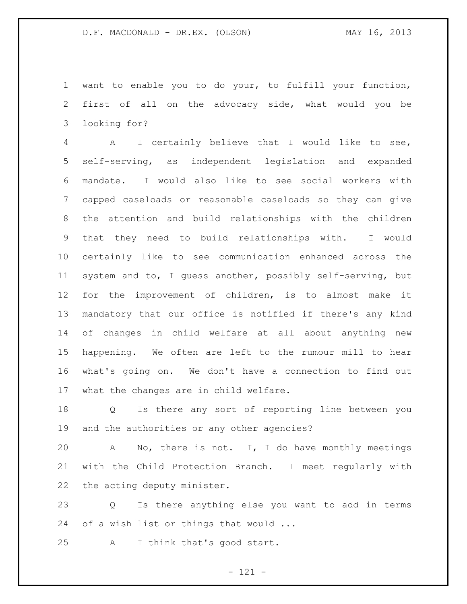want to enable you to do your, to fulfill your function, first of all on the advocacy side, what would you be looking for?

 A I certainly believe that I would like to see, self-serving, as independent legislation and expanded mandate. I would also like to see social workers with capped caseloads or reasonable caseloads so they can give the attention and build relationships with the children that they need to build relationships with. I would certainly like to see communication enhanced across the system and to, I guess another, possibly self-serving, but for the improvement of children, is to almost make it mandatory that our office is notified if there's any kind of changes in child welfare at all about anything new happening. We often are left to the rumour mill to hear what's going on. We don't have a connection to find out what the changes are in child welfare.

 Q Is there any sort of reporting line between you and the authorities or any other agencies?

 A No, there is not. I, I do have monthly meetings with the Child Protection Branch. I meet regularly with the acting deputy minister.

 Q Is there anything else you want to add in terms of a wish list or things that would ...

A I think that's good start.

- 121 -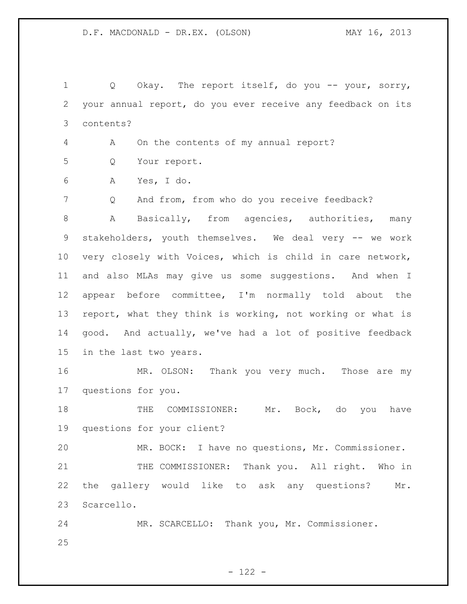Q Okay. The report itself, do you -- your, sorry, your annual report, do you ever receive any feedback on its contents?

A On the contents of my annual report?

Q Your report.

A Yes, I do.

Q And from, from who do you receive feedback?

 A Basically, from agencies, authorities, many stakeholders, youth themselves. We deal very -- we work very closely with Voices, which is child in care network, and also MLAs may give us some suggestions. And when I appear before committee, I'm normally told about the report, what they think is working, not working or what is good. And actually, we've had a lot of positive feedback in the last two years.

 MR. OLSON: Thank you very much. Those are my questions for you.

18 THE COMMISSIONER: Mr. Bock, do you have questions for your client?

MR. BOCK: I have no questions, Mr. Commissioner.

21 THE COMMISSIONER: Thank you. All right. Who in the gallery would like to ask any questions? Mr. Scarcello.

 MR. SCARCELLO: Thank you, Mr. Commissioner.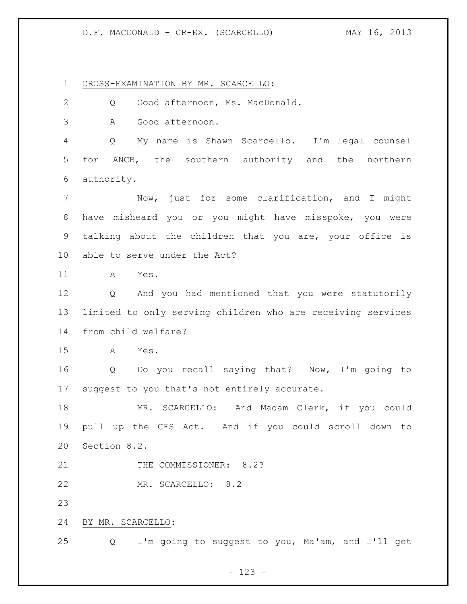## D.F. MACDONALD - CR-EX. (SCARCELLO) MAY 16, 2013

CROSS-EXAMINATION BY MR. SCARCELLO:

Q Good afternoon, Ms. MacDonald.

A Good afternoon.

 Q My name is Shawn Scarcello. I'm legal counsel for ANCR, the southern authority and the northern authority.

 Now, just for some clarification, and I might have misheard you or you might have misspoke, you were talking about the children that you are, your office is able to serve under the Act?

A Yes.

 Q And you had mentioned that you were statutorily limited to only serving children who are receiving services from child welfare?

A Yes.

 Q Do you recall saying that? Now, I'm going to suggest to you that's not entirely accurate.

 MR. SCARCELLO: And Madam Clerk, if you could pull up the CFS Act. And if you could scroll down to Section 8.2.

21 THE COMMISSIONER: 8.2?

MR. SCARCELLO: 8.2

BY MR. SCARCELLO:

Q I'm going to suggest to you, Ma'am, and I'll get

- 123 -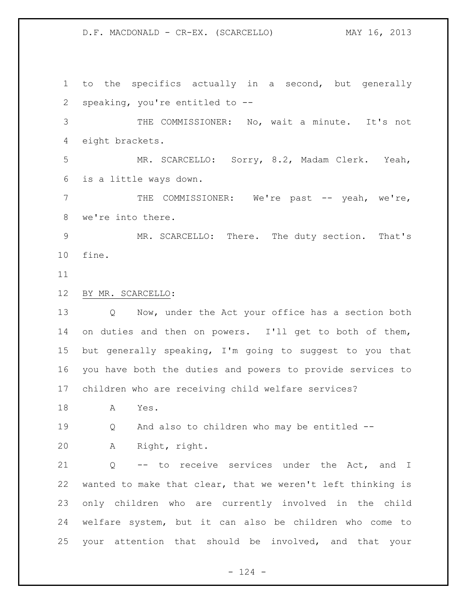D.F. MACDONALD - CR-EX. (SCARCELLO) MAY 16, 2013

 to the specifics actually in a second, but generally speaking, you're entitled to --

 THE COMMISSIONER: No, wait a minute. It's not eight brackets.

 MR. SCARCELLO: Sorry, 8.2, Madam Clerk. Yeah, is a little ways down.

 THE COMMISSIONER: We're past -- yeah, we're, we're into there.

 MR. SCARCELLO: There. The duty section. That's fine.

## BY MR. SCARCELLO:

 Q Now, under the Act your office has a section both on duties and then on powers. I'll get to both of them, but generally speaking, I'm going to suggest to you that you have both the duties and powers to provide services to children who are receiving child welfare services?

A Yes.

Q And also to children who may be entitled --

A Right, right.

21 Q -- to receive services under the Act, and I wanted to make that clear, that we weren't left thinking is only children who are currently involved in the child welfare system, but it can also be children who come to your attention that should be involved, and that your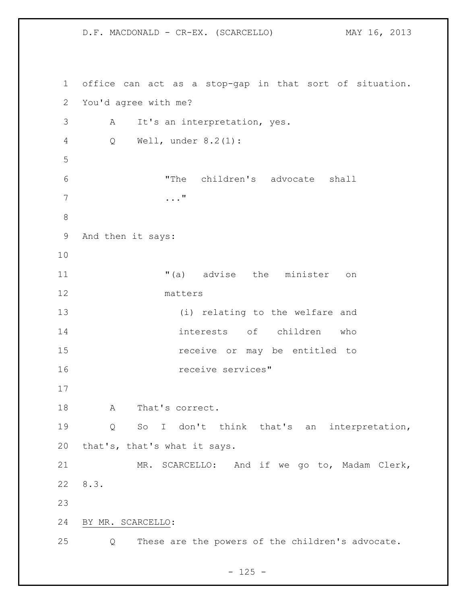office can act as a stop-gap in that sort of situation. You'd agree with me? A It's an interpretation, yes. Q Well, under 8.2(1): "The children's advocate shall ..." And then it says: 11 The minister on the minister on matters (i) relating to the welfare and interests of children who receive or may be entitled to receive services" A That's correct. Q So I don't think that's an interpretation, that's, that's what it says. MR. SCARCELLO: And if we go to, Madam Clerk, 8.3. BY MR. SCARCELLO: Q These are the powers of the children's advocate.

D.F. MACDONALD - CR-EX. (SCARCELLO) MAY 16, 2013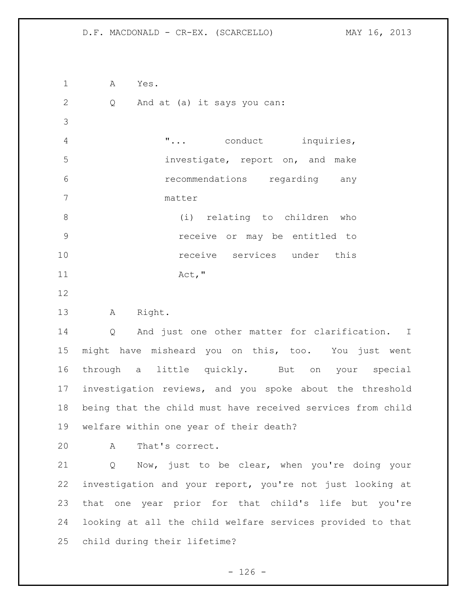D.F. MACDONALD - CR-EX. (SCARCELLO) MAY 16, 2013

 A Yes. 2 Q And at (a) it says you can: "... conduct inquiries, investigate, report on, and make recommendations regarding any matter (i) relating to children who receive or may be entitled to **10** receive services under this 11 Act, " A Right. Q And just one other matter for clarification. I might have misheard you on this, too. You just went through a little quickly. But on your special investigation reviews, and you spoke about the threshold being that the child must have received services from child welfare within one year of their death? A That's correct. Q Now, just to be clear, when you're doing your investigation and your report, you're not just looking at that one year prior for that child's life but you're looking at all the child welfare services provided to that child during their lifetime?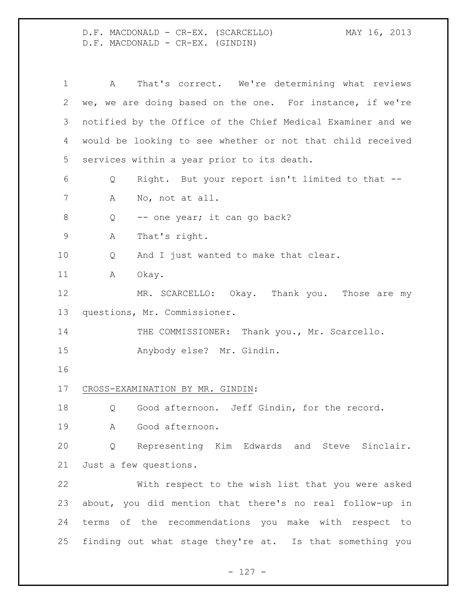D.F. MACDONALD - CR-EX. (SCARCELLO) MAY 16, 2013 D.F. MACDONALD - CR-EX. (GINDIN)

 A That's correct. We're determining what reviews we, we are doing based on the one. For instance, if we're notified by the Office of the Chief Medical Examiner and we would be looking to see whether or not that child received services within a year prior to its death. Q Right. But your report isn't limited to that -- A No, not at all. 8 Q -- one year; it can go back? A That's right. Q And I just wanted to make that clear. 11 A Okay. 12 MR. SCARCELLO: Okay. Thank you. Those are my questions, Mr. Commissioner. 14 THE COMMISSIONER: Thank you., Mr. Scarcello. Anybody else? Mr. Gindin. CROSS-EXAMINATION BY MR. GINDIN: 18 O Good afternoon. Jeff Gindin, for the record. A Good afternoon. Q Representing Kim Edwards and Steve Sinclair. Just a few questions. With respect to the wish list that you were asked about, you did mention that there's no real follow-up in terms of the recommendations you make with respect to finding out what stage they're at. Is that something you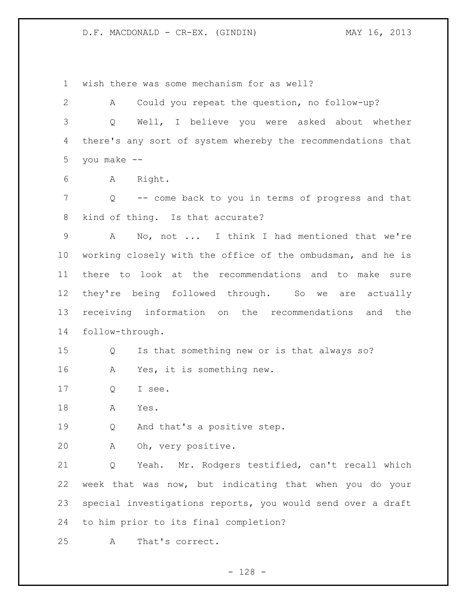wish there was some mechanism for as well?

 A Could you repeat the question, no follow-up? Q Well, I believe you were asked about whether there's any sort of system whereby the recommendations that you make --

A Right.

 Q -- come back to you in terms of progress and that kind of thing. Is that accurate?

 A No, not ... I think I had mentioned that we're working closely with the office of the ombudsman, and he is there to look at the recommendations and to make sure they're being followed through. So we are actually receiving information on the recommendations and the follow-through.

Q Is that something new or is that always so?

A Yes, it is something new.

Q I see.

A Yes.

Q And that's a positive step.

A Oh, very positive.

 Q Yeah. Mr. Rodgers testified, can't recall which week that was now, but indicating that when you do your special investigations reports, you would send over a draft to him prior to its final completion?

A That's correct.

- 128 -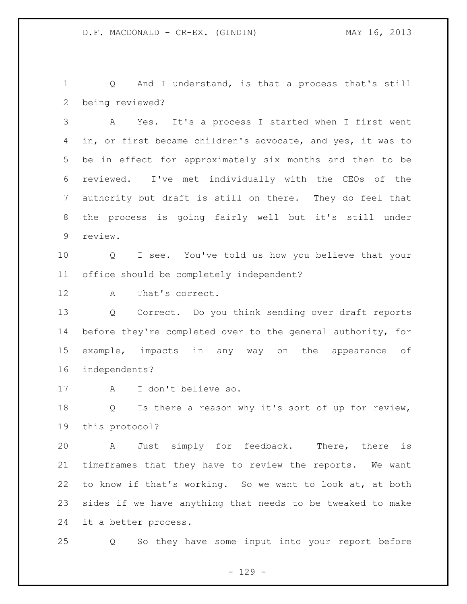1 Q And I understand, is that a process that's still being reviewed?

 A Yes. It's a process I started when I first went in, or first became children's advocate, and yes, it was to be in effect for approximately six months and then to be reviewed. I've met individually with the CEOs of the authority but draft is still on there. They do feel that the process is going fairly well but it's still under review.

 Q I see. You've told us how you believe that your office should be completely independent?

A That's correct.

 Q Correct. Do you think sending over draft reports before they're completed over to the general authority, for example, impacts in any way on the appearance of independents?

A I don't believe so.

 Q Is there a reason why it's sort of up for review, this protocol?

 A Just simply for feedback. There, there is timeframes that they have to review the reports. We want to know if that's working. So we want to look at, at both sides if we have anything that needs to be tweaked to make it a better process.

Q So they have some input into your report before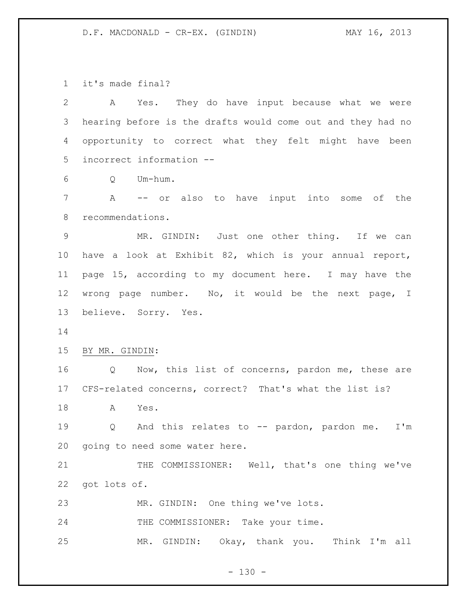it's made final?

 A Yes. They do have input because what we were hearing before is the drafts would come out and they had no opportunity to correct what they felt might have been incorrect information --

Q Um-hum.

 A -- or also to have input into some of the recommendations.

 MR. GINDIN: Just one other thing. If we can have a look at Exhibit 82, which is your annual report, page 15, according to my document here. I may have the wrong page number. No, it would be the next page, I believe. Sorry. Yes.

BY MR. GINDIN:

 Q Now, this list of concerns, pardon me, these are CFS-related concerns, correct? That's what the list is?

A Yes.

 Q And this relates to -- pardon, pardon me. I'm going to need some water here.

21 THE COMMISSIONER: Well, that's one thing we've got lots of.

MR. GINDIN: One thing we've lots.

24 THE COMMISSIONER: Take your time.

MR. GINDIN: Okay, thank you. Think I'm all

 $- 130 -$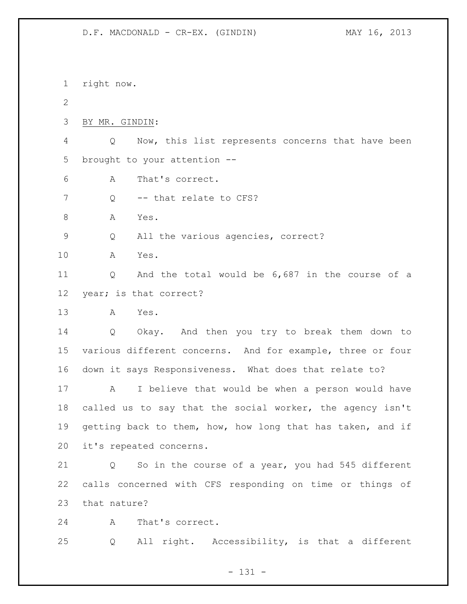right now.  $\mathcal{P}$  BY MR. GINDIN: Q Now, this list represents concerns that have been brought to your attention -- A That's correct. 7 Q -- that relate to CFS? A Yes. Q All the various agencies, correct? A Yes. Q And the total would be 6,687 in the course of a year; is that correct? A Yes. Q Okay. And then you try to break them down to various different concerns. And for example, three or four down it says Responsiveness. What does that relate to? A I believe that would be when a person would have called us to say that the social worker, the agency isn't getting back to them, how, how long that has taken, and if it's repeated concerns. Q So in the course of a year, you had 545 different calls concerned with CFS responding on time or things of that nature? A That's correct. Q All right. Accessibility, is that a different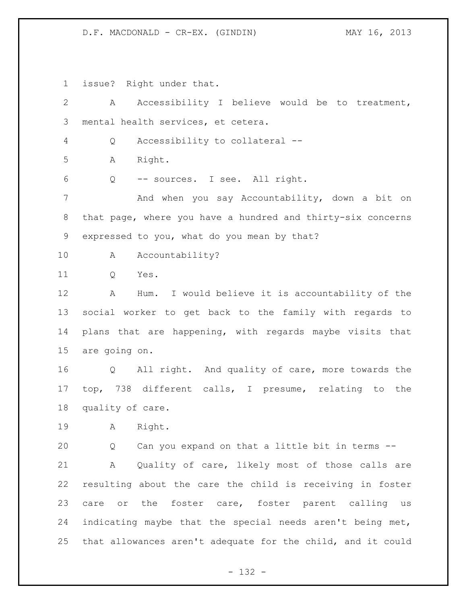issue? Right under that.

| $\overline{2}$ | Accessibility I believe would be to treatment,<br>$\mathbf{A}$        |
|----------------|-----------------------------------------------------------------------|
| 3              | mental health services, et cetera.                                    |
| 4              | Accessibility to collateral --<br>Q                                   |
| 5              | Right.<br>Α                                                           |
| 6              | -- sources. I see. All right.<br>Q                                    |
| 7              | And when you say Accountability, down a bit on                        |
| $8\,$          | that page, where you have a hundred and thirty-six concerns           |
| 9              | expressed to you, what do you mean by that?                           |
| 10             | Accountability?<br>Α                                                  |
| 11             | Yes.<br>Q                                                             |
| 12             | Hum. I would believe it is accountability of the<br>Α                 |
| 13             | social worker to get back to the family with regards to               |
| 14             | plans that are happening, with regards maybe visits that              |
| 15             | are going on.                                                         |
|                |                                                                       |
| 16             | All right. And quality of care, more towards the<br>$Q \qquad \qquad$ |
| 17             | top, 738 different calls, I presume, relating to the                  |
| 18             | quality of care.                                                      |
| 19             | Right.<br>A                                                           |
| 20             | Can you expand on that a little bit in terms --<br>Q                  |
| 21             | Quality of care, likely most of those calls are<br>A                  |
| 22             | resulting about the care the child is receiving in foster             |
| 23             | care or the foster care, foster parent calling us                     |
| 24             | indicating maybe that the special needs aren't being met,             |

- 132 -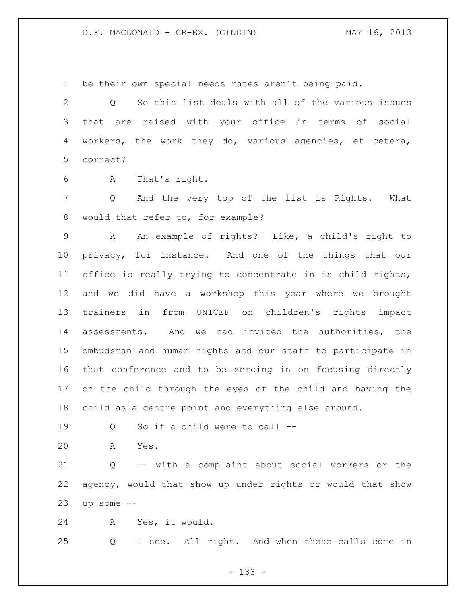be their own special needs rates aren't being paid.

 Q So this list deals with all of the various issues that are raised with your office in terms of social workers, the work they do, various agencies, et cetera, correct?

A That's right.

 Q And the very top of the list is Rights. What would that refer to, for example?

 A An example of rights? Like, a child's right to privacy, for instance. And one of the things that our office is really trying to concentrate in is child rights, and we did have a workshop this year where we brought trainers in from UNICEF on children's rights impact assessments. And we had invited the authorities, the ombudsman and human rights and our staff to participate in that conference and to be zeroing in on focusing directly on the child through the eyes of the child and having the child as a centre point and everything else around.

- Q So if a child were to call --
- A Yes.

 Q -- with a complaint about social workers or the agency, would that show up under rights or would that show up some  $-$ 

A Yes, it would.

Q I see. All right. And when these calls come in

- 133 -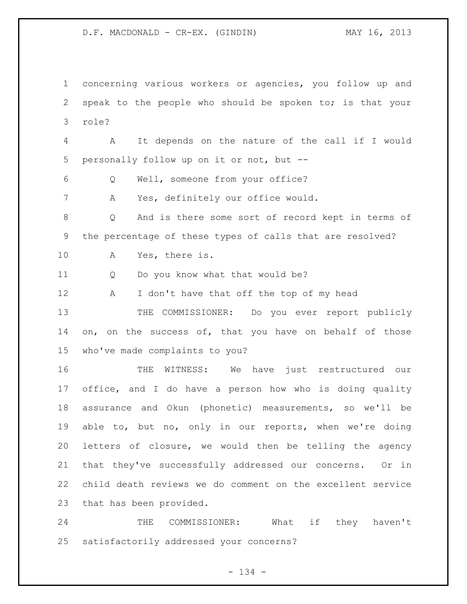concerning various workers or agencies, you follow up and speak to the people who should be spoken to; is that your role?

 A It depends on the nature of the call if I would personally follow up on it or not, but --

Q Well, someone from your office?

A Yes, definitely our office would.

 Q And is there some sort of record kept in terms of the percentage of these types of calls that are resolved?

A Yes, there is.

11 Q Do you know what that would be?

12 A I don't have that off the top of my head

 THE COMMISSIONER: Do you ever report publicly 14 on, on the success of, that you have on behalf of those who've made complaints to you?

 THE WITNESS: We have just restructured our office, and I do have a person how who is doing quality assurance and Okun (phonetic) measurements, so we'll be able to, but no, only in our reports, when we're doing letters of closure, we would then be telling the agency that they've successfully addressed our concerns. Or in child death reviews we do comment on the excellent service that has been provided.

 THE COMMISSIONER: What if they haven't satisfactorily addressed your concerns?

- 134 -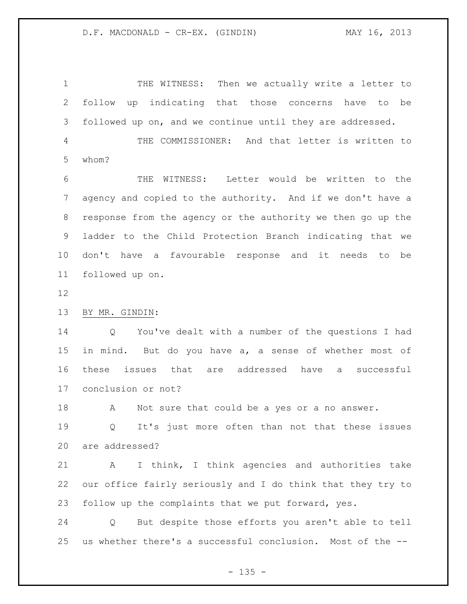1 THE WITNESS: Then we actually write a letter to follow up indicating that those concerns have to be followed up on, and we continue until they are addressed. THE COMMISSIONER: And that letter is written to

whom?

 THE WITNESS: Letter would be written to the agency and copied to the authority. And if we don't have a response from the agency or the authority we then go up the ladder to the Child Protection Branch indicating that we don't have a favourable response and it needs to be followed up on.

BY MR. GINDIN:

 Q You've dealt with a number of the questions I had in mind. But do you have a, a sense of whether most of these issues that are addressed have a successful conclusion or not?

18 A Not sure that could be a yes or a no answer.

 Q It's just more often than not that these issues are addressed?

 A I think, I think agencies and authorities take our office fairly seriously and I do think that they try to follow up the complaints that we put forward, yes.

 Q But despite those efforts you aren't able to tell us whether there's a successful conclusion. Most of the --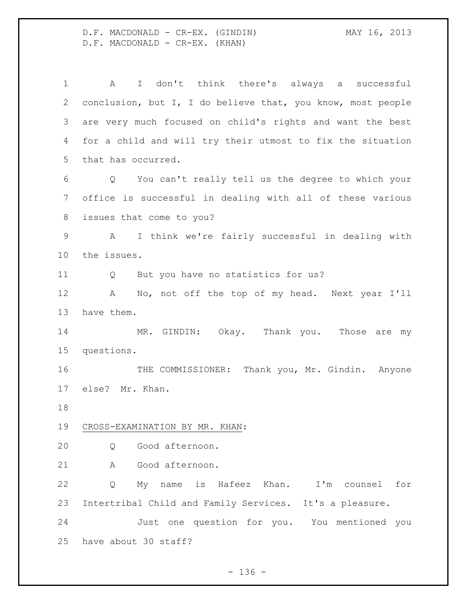D.F. MACDONALD - CR-EX. (GINDIN) MAY 16, 2013 D.F. MACDONALD - CR-EX. (KHAN)

 A I don't think there's always a successful conclusion, but I, I do believe that, you know, most people are very much focused on child's rights and want the best for a child and will try their utmost to fix the situation that has occurred. Q You can't really tell us the degree to which your office is successful in dealing with all of these various issues that come to you? A I think we're fairly successful in dealing with the issues. 11 Q But you have no statistics for us? A No, not off the top of my head. Next year I'll have them. 14 MR. GINDIN: Okay. Thank you. Those are my questions. THE COMMISSIONER: Thank you, Mr. Gindin. Anyone else? Mr. Khan. CROSS-EXAMINATION BY MR. KHAN: Q Good afternoon. A Good afternoon. Q My name is Hafeez Khan. I'm counsel for Intertribal Child and Family Services. It's a pleasure. Just one question for you. You mentioned you have about 30 staff?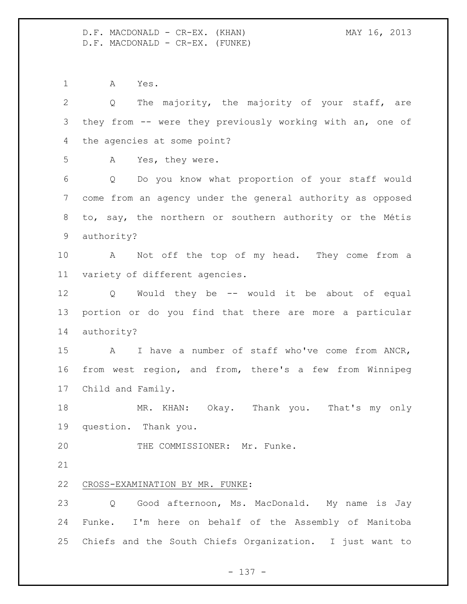D.F. MACDONALD - CR-EX. (KHAN) MAY 16, 2013 D.F. MACDONALD - CR-EX. (FUNKE)

 A Yes. Q The majority, the majority of your staff, are they from -- were they previously working with an, one of the agencies at some point? A Yes, they were. Q Do you know what proportion of your staff would come from an agency under the general authority as opposed to, say, the northern or southern authority or the Métis authority? A Not off the top of my head. They come from a variety of different agencies. Q Would they be -- would it be about of equal portion or do you find that there are more a particular authority? A I have a number of staff who've come from ANCR, from west region, and from, there's a few from Winnipeg Child and Family. 18 MR. KHAN: Okay. Thank you. That's my only question. Thank you. THE COMMISSIONER: Mr. Funke. CROSS-EXAMINATION BY MR. FUNKE: Q Good afternoon, Ms. MacDonald. My name is Jay Funke. I'm here on behalf of the Assembly of Manitoba Chiefs and the South Chiefs Organization. I just want to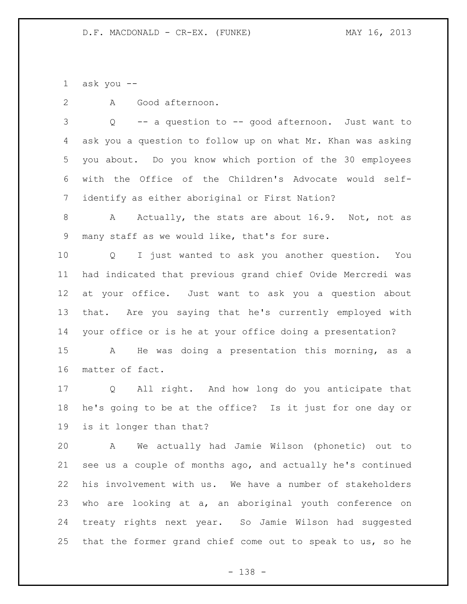1 ask you  $-$ 

A Good afternoon.

 Q -- a question to -- good afternoon. Just want to ask you a question to follow up on what Mr. Khan was asking you about. Do you know which portion of the 30 employees with the Office of the Children's Advocate would self-identify as either aboriginal or First Nation?

8 A Actually, the stats are about 16.9. Not, not as many staff as we would like, that's for sure.

 Q I just wanted to ask you another question. You had indicated that previous grand chief Ovide Mercredi was at your office. Just want to ask you a question about that. Are you saying that he's currently employed with your office or is he at your office doing a presentation?

 A He was doing a presentation this morning, as a matter of fact.

 Q All right. And how long do you anticipate that he's going to be at the office? Is it just for one day or is it longer than that?

 A We actually had Jamie Wilson (phonetic) out to see us a couple of months ago, and actually he's continued his involvement with us. We have a number of stakeholders who are looking at a, an aboriginal youth conference on treaty rights next year. So Jamie Wilson had suggested that the former grand chief come out to speak to us, so he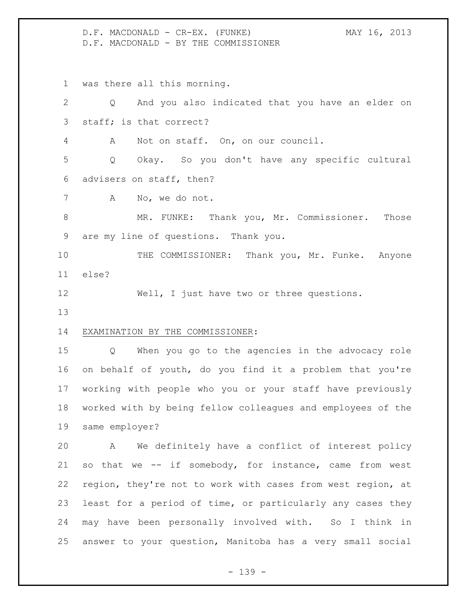D.F. MACDONALD - CR-EX. (FUNKE) MAY 16, 2013 D.F. MACDONALD - BY THE COMMISSIONER

was there all this morning.

 Q And you also indicated that you have an elder on staff; is that correct? A Not on staff. On, on our council. Q Okay. So you don't have any specific cultural advisers on staff, then? A No, we do not. MR. FUNKE: Thank you, Mr. Commissioner. Those are my line of questions. Thank you. 10 THE COMMISSIONER: Thank you, Mr. Funke. Anyone else? 12 Well, I just have two or three questions. EXAMINATION BY THE COMMISSIONER: Q When you go to the agencies in the advocacy role on behalf of youth, do you find it a problem that you're

 working with people who you or your staff have previously worked with by being fellow colleagues and employees of the same employer?

 A We definitely have a conflict of interest policy so that we -- if somebody, for instance, came from west region, they're not to work with cases from west region, at least for a period of time, or particularly any cases they may have been personally involved with. So I think in answer to your question, Manitoba has a very small social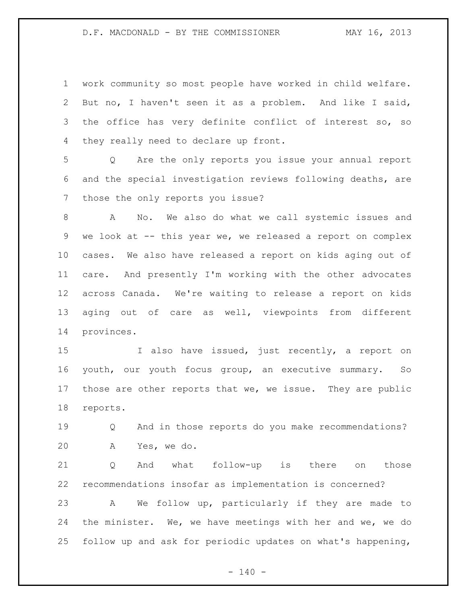work community so most people have worked in child welfare. But no, I haven't seen it as a problem. And like I said, the office has very definite conflict of interest so, so they really need to declare up front.

 Q Are the only reports you issue your annual report and the special investigation reviews following deaths, are those the only reports you issue?

 A No. We also do what we call systemic issues and 9 we look at -- this year we, we released a report on complex cases. We also have released a report on kids aging out of care. And presently I'm working with the other advocates across Canada. We're waiting to release a report on kids aging out of care as well, viewpoints from different provinces.

 I also have issued, just recently, a report on youth, our youth focus group, an executive summary. So those are other reports that we, we issue. They are public reports.

 Q And in those reports do you make recommendations? A Yes, we do.

 Q And what follow-up is there on those recommendations insofar as implementation is concerned? A We follow up, particularly if they are made to the minister. We, we have meetings with her and we, we do follow up and ask for periodic updates on what's happening,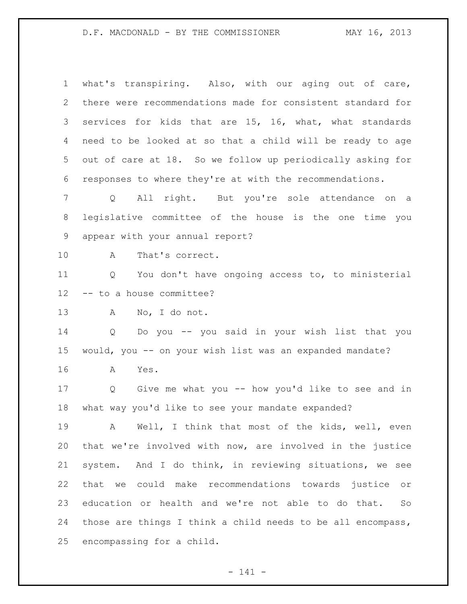# D.F. MACDONALD - BY THE COMMISSIONER MAY 16, 2013

| 1               | what's transpiring. Also, with our aging out of care,                 |
|-----------------|-----------------------------------------------------------------------|
| $\mathbf{2}$    | there were recommendations made for consistent standard for           |
| 3               | services for kids that are 15, 16, what, what standards               |
| 4               | need to be looked at so that a child will be ready to age             |
| 5               | out of care at 18. So we follow up periodically asking for            |
| 6               | responses to where they're at with the recommendations.               |
| 7               | All right. But you're sole attendance on a<br>$Q \qquad \qquad$       |
| $8\,$           | legislative committee of the house is the one time you                |
| 9               | appear with your annual report?                                       |
| 10              | Α<br>That's correct.                                                  |
| 11              | You don't have ongoing access to, to ministerial<br>Q                 |
| 12 <sup>°</sup> | -- to a house committee?                                              |
| 13              | No, I do not.<br>A                                                    |
| 14              | Do you -- you said in your wish list that you<br>$Q \qquad \qquad$    |
| 15              | would, you -- on your wish list was an expanded mandate?              |
| 16              | A<br>Yes.                                                             |
| 17              | Give me what you -- how you'd like to see and in<br>$Q \qquad \qquad$ |
| 18              | what way you'd like to see your mandate expanded?                     |
| 19              | A Well, I think that most of the kids, well, even                     |
| 20              | that we're involved with now, are involved in the justice             |
| 21              | system. And I do think, in reviewing situations, we see               |
| 22              | that we could make recommendations towards justice or                 |
| 23              | education or health and we're not able to do that.<br>So              |
| 24              | those are things I think a child needs to be all encompass,           |
| 25              | encompassing for a child.                                             |

- 141 -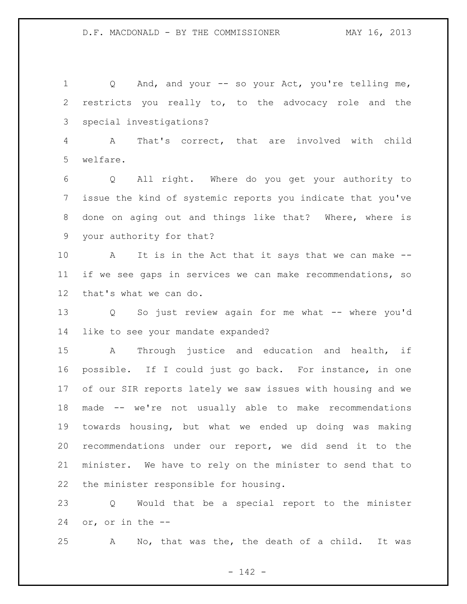1 Q And, and your -- so your Act, you're telling me, restricts you really to, to the advocacy role and the special investigations?

 A That's correct, that are involved with child welfare.

 Q All right. Where do you get your authority to issue the kind of systemic reports you indicate that you've done on aging out and things like that? Where, where is your authority for that?

 A It is in the Act that it says that we can make -- if we see gaps in services we can make recommendations, so that's what we can do.

 Q So just review again for me what -- where you'd like to see your mandate expanded?

 A Through justice and education and health, if possible. If I could just go back. For instance, in one of our SIR reports lately we saw issues with housing and we made -- we're not usually able to make recommendations towards housing, but what we ended up doing was making recommendations under our report, we did send it to the minister. We have to rely on the minister to send that to the minister responsible for housing.

 Q Would that be a special report to the minister or, or in the --

A No, that was the, the death of a child. It was

- 142 -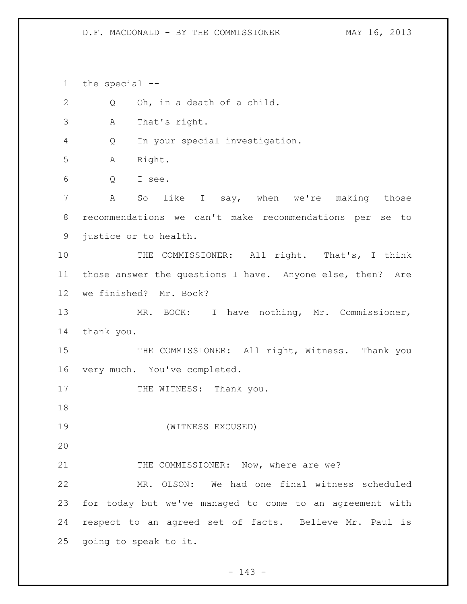## D.F. MACDONALD - BY THE COMMISSIONER MAY 16, 2013

the special --

| $\mathbf{2}$    | Oh, in a death of a child.<br>Q                           |
|-----------------|-----------------------------------------------------------|
| $\mathcal{S}$   | That's right.<br>Α                                        |
| 4               | In your special investigation.<br>Q                       |
| 5               | Right.<br>Α                                               |
| 6               | I see.<br>Q                                               |
| 7               | So like I say, when we're making those<br>Α               |
| 8               | recommendations we can't make recommendations per se to   |
| 9               | justice or to health.                                     |
| 10              | THE COMMISSIONER: All right. That's, I think              |
| 11              | those answer the questions I have. Anyone else, then? Are |
| 12 <sup>°</sup> | we finished? Mr. Bock?                                    |
| 13              | MR. BOCK: I have nothing, Mr. Commissioner,               |
| 14              | thank you.                                                |
| 15              | THE COMMISSIONER: All right, Witness. Thank you           |
| 16              | very much. You've completed.                              |
| 17              | THE WITNESS: Thank you.                                   |
| 18              |                                                           |
| 19              | (WITNESS EXCUSED)                                         |
| 20              |                                                           |
| 21              | THE COMMISSIONER: Now, where are we?                      |
| 22              | MR. OLSON: We had one final witness scheduled             |
| 23              | for today but we've managed to come to an agreement with  |
| 24              | respect to an agreed set of facts. Believe Mr. Paul is    |
| 25              | going to speak to it.                                     |
|                 |                                                           |

- 143 -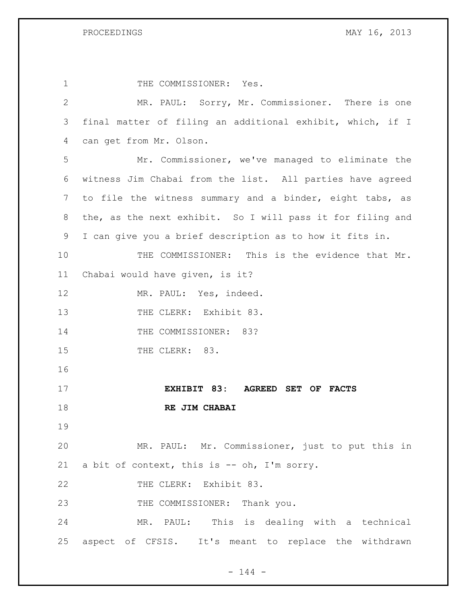| 1            | THE COMMISSIONER: Yes.                                     |
|--------------|------------------------------------------------------------|
| $\mathbf{2}$ | MR. PAUL: Sorry, Mr. Commissioner. There is one            |
| 3            | final matter of filing an additional exhibit, which, if I  |
| 4            | can get from Mr. Olson.                                    |
| 5            | Mr. Commissioner, we've managed to eliminate the           |
| 6            | witness Jim Chabai from the list. All parties have agreed  |
| 7            | to file the witness summary and a binder, eight tabs, as   |
| 8            | the, as the next exhibit. So I will pass it for filing and |
| 9            | I can give you a brief description as to how it fits in.   |
| 10           | THE COMMISSIONER: This is the evidence that Mr.            |
| 11           | Chabai would have given, is it?                            |
| 12           | MR. PAUL: Yes, indeed.                                     |
| 13           | THE CLERK: Exhibit 83.                                     |
| 14           | THE COMMISSIONER: 83?                                      |
| 15           | THE CLERK: 83.                                             |
| 16           |                                                            |
| 17           | EXHIBIT 83: AGREED SET OF FACTS                            |
| 18           | RE JIM CHABAI                                              |
| 19           |                                                            |
| 20           | MR. PAUL: Mr. Commissioner, just to put this in            |
| 21           | a bit of context, this is -- oh, I'm sorry.                |
| 22           | THE CLERK: Exhibit 83.                                     |
| 23           | THE COMMISSIONER: Thank you.                               |
| 24           | MR. PAUL: This is dealing with a technical                 |
| 25           | aspect of CFSIS. It's meant to replace the withdrawn       |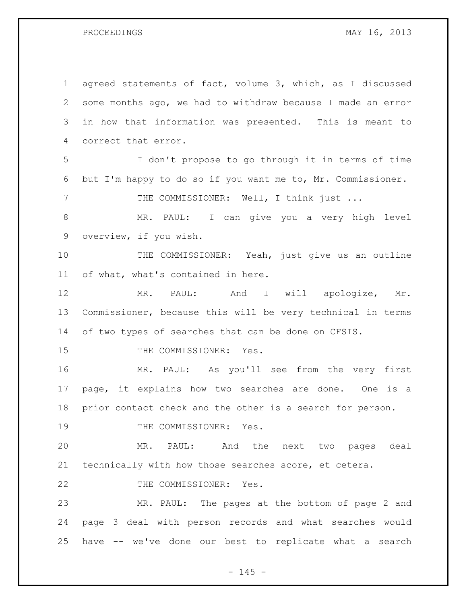PROCEEDINGS MAY 16, 2013

 agreed statements of fact, volume 3, which, as I discussed some months ago, we had to withdraw because I made an error in how that information was presented. This is meant to correct that error. I don't propose to go through it in terms of time but I'm happy to do so if you want me to, Mr. Commissioner. 7 THE COMMISSIONER: Well, I think just ... MR. PAUL: I can give you a very high level overview, if you wish. 10 THE COMMISSIONER: Yeah, just give us an outline of what, what's contained in here. 12 MR. PAUL: And I will apologize, Mr. Commissioner, because this will be very technical in terms of two types of searches that can be done on CFSIS. 15 THE COMMISSIONER: Yes. MR. PAUL: As you'll see from the very first page, it explains how two searches are done. One is a prior contact check and the other is a search for person. 19 THE COMMISSIONER: Yes. MR. PAUL: And the next two pages deal technically with how those searches score, et cetera. 22 THE COMMISSIONER: Yes. MR. PAUL: The pages at the bottom of page 2 and page 3 deal with person records and what searches would have -- we've done our best to replicate what a search

 $- 145 -$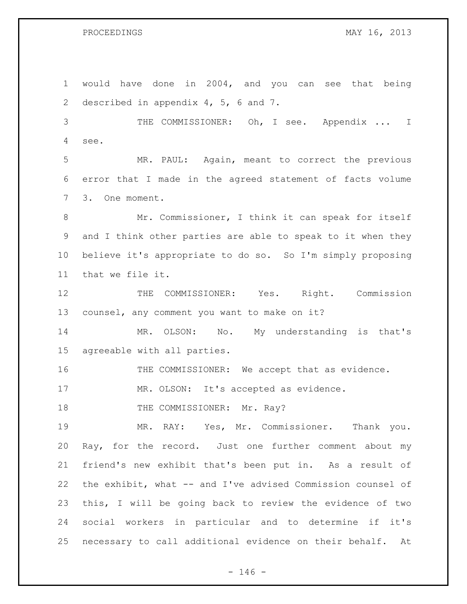would have done in 2004, and you can see that being described in appendix 4, 5, 6 and 7. THE COMMISSIONER: Oh, I see. Appendix ... I see. MR. PAUL: Again, meant to correct the previous error that I made in the agreed statement of facts volume 3. One moment. Mr. Commissioner, I think it can speak for itself and I think other parties are able to speak to it when they believe it's appropriate to do so. So I'm simply proposing that we file it. 12 THE COMMISSIONER: Yes. Right. Commission counsel, any comment you want to make on it? 14 MR. OLSON: No. My understanding is that's agreeable with all parties. THE COMMISSIONER: We accept that as evidence. MR. OLSON: It's accepted as evidence. 18 THE COMMISSIONER: Mr. Ray? MR. RAY: Yes, Mr. Commissioner. Thank you. Ray, for the record. Just one further comment about my friend's new exhibit that's been put in. As a result of the exhibit, what -- and I've advised Commission counsel of this, I will be going back to review the evidence of two social workers in particular and to determine if it's necessary to call additional evidence on their behalf. At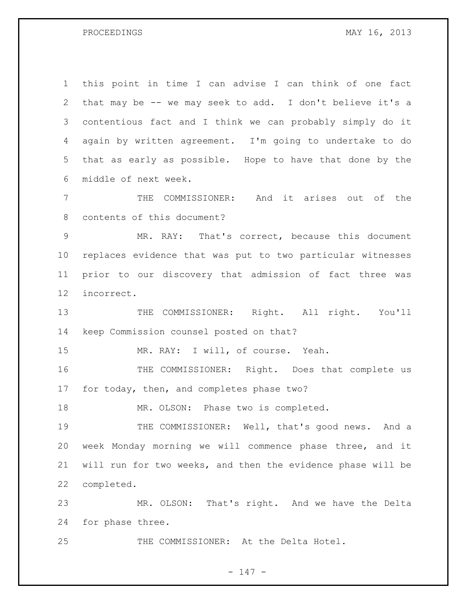PROCEEDINGS MAY 16, 2013

 this point in time I can advise I can think of one fact that may be -- we may seek to add. I don't believe it's a contentious fact and I think we can probably simply do it again by written agreement. I'm going to undertake to do that as early as possible. Hope to have that done by the middle of next week.

 THE COMMISSIONER: And it arises out of the contents of this document?

 MR. RAY: That's correct, because this document replaces evidence that was put to two particular witnesses prior to our discovery that admission of fact three was incorrect.

13 THE COMMISSIONER: Right. All right. You'll keep Commission counsel posted on that?

MR. RAY: I will, of course. Yeah.

 THE COMMISSIONER: Right. Does that complete us for today, then, and completes phase two?

18 MR. OLSON: Phase two is completed.

 THE COMMISSIONER: Well, that's good news. And a week Monday morning we will commence phase three, and it will run for two weeks, and then the evidence phase will be completed.

 MR. OLSON: That's right. And we have the Delta for phase three.

THE COMMISSIONER: At the Delta Hotel.

- 147 -